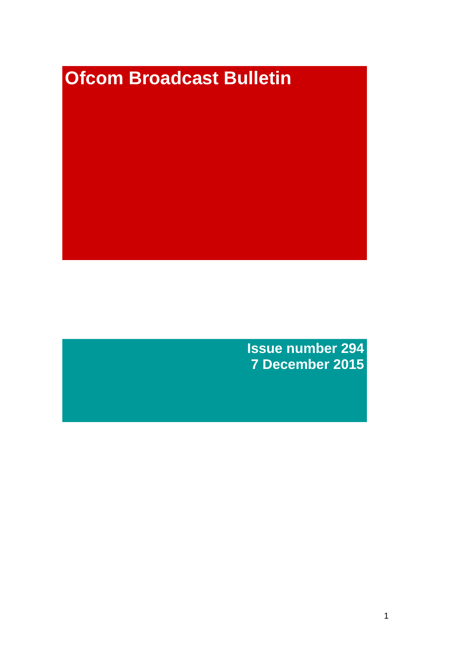# **Ofcom Broadcast Bulletin**

**Issue number 294 7 December 2015**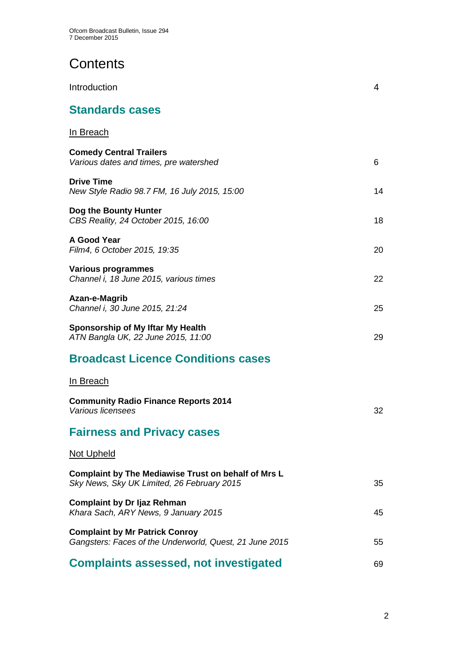# **Contents**

| Introduction                                                                                      | 4  |
|---------------------------------------------------------------------------------------------------|----|
| <b>Standards cases</b>                                                                            |    |
| <u>In Breach</u>                                                                                  |    |
| <b>Comedy Central Trailers</b><br>Various dates and times, pre watershed                          | 6  |
| <b>Drive Time</b><br>New Style Radio 98.7 FM, 16 July 2015, 15:00                                 | 14 |
| Dog the Bounty Hunter<br>CBS Reality, 24 October 2015, 16:00                                      | 18 |
| A Good Year<br>Film4, 6 October 2015, 19:35                                                       | 20 |
| <b>Various programmes</b><br>Channel i, 18 June 2015, various times                               | 22 |
| Azan-e-Magrib<br>Channel i, 30 June 2015, 21:24                                                   | 25 |
| Sponsorship of My Iftar My Health<br>ATN Bangla UK, 22 June 2015, 11:00                           | 29 |
| <b>Broadcast Licence Conditions cases</b>                                                         |    |
| In Breach                                                                                         |    |
| <b>Community Radio Finance Reports 2014</b><br>Various licensees                                  | 32 |
| <b>Fairness and Privacy cases</b>                                                                 |    |
| <u>Not Upheld</u>                                                                                 |    |
| Complaint by The Mediawise Trust on behalf of Mrs L<br>Sky News, Sky UK Limited, 26 February 2015 | 35 |
| <b>Complaint by Dr Ijaz Rehman</b><br>Khara Sach, ARY News, 9 January 2015                        | 45 |
| <b>Complaint by Mr Patrick Conroy</b><br>Gangsters: Faces of the Underworld, Quest, 21 June 2015  | 55 |
| <b>Complaints assessed, not investigated</b>                                                      | 69 |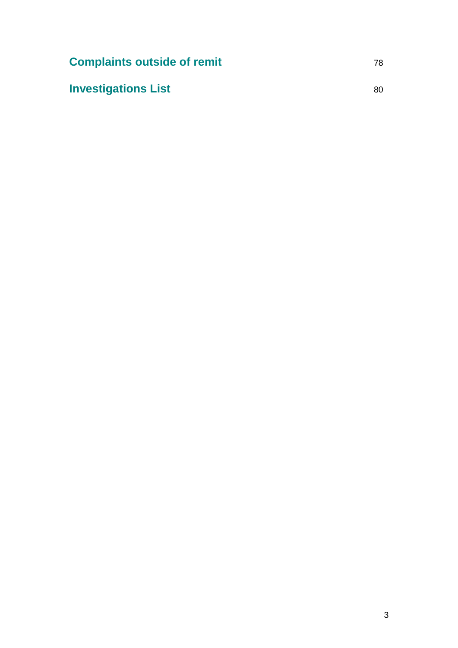| <b>Complaints outside of remit</b> | 78. |
|------------------------------------|-----|
| <b>Investigations List</b>         | 80. |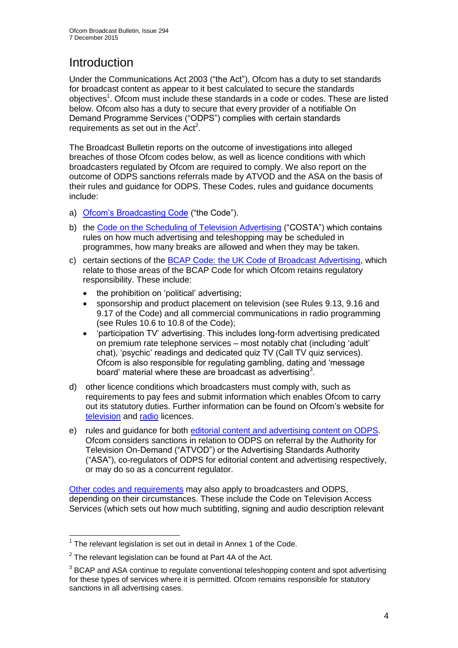# **Introduction**

Under the Communications Act 2003 ("the Act"), Ofcom has a duty to set standards for broadcast content as appear to it best calculated to secure the standards objectives<sup>1</sup>. Ofcom must include these standards in a code or codes. These are listed below. Ofcom also has a duty to secure that every provider of a notifiable On Demand Programme Services ("ODPS") complies with certain standards requirements as set out in the  $Act<sup>2</sup>$ .

The Broadcast Bulletin reports on the outcome of investigations into alleged breaches of those Ofcom codes below, as well as licence conditions with which broadcasters regulated by Ofcom are required to comply. We also report on the outcome of ODPS sanctions referrals made by ATVOD and the ASA on the basis of their rules and guidance for ODPS. These Codes, rules and guidance documents include:

- a) [Ofcom's Broadcasting Code](http://stakeholders.ofcom.org.uk/broadcasting/broadcast-codes/broadcast-code/) ("the Code").
- b) the [Code on the Scheduling of Television Advertising](http://stakeholders.ofcom.org.uk/broadcasting/broadcast-codes/advert-code/) ("COSTA") which contains rules on how much advertising and teleshopping may be scheduled in programmes, how many breaks are allowed and when they may be taken.
- c) certain sections of the [BCAP Code: the UK Code of Broadcast Advertising,](https://www.cap.org.uk/Advertising-Codes/Broadcast.aspx) which relate to those areas of the BCAP Code for which Ofcom retains regulatory responsibility. These include:
	- the prohibition on 'political' advertising:
	- sponsorship and product placement on television (see Rules 9.13, 9.16 and 9.17 of the Code) and all commercial communications in radio programming (see Rules 10.6 to 10.8 of the Code);
	- 'participation TV' advertising. This includes long-form advertising predicated on premium rate telephone services – most notably chat (including 'adult' chat), 'psychic' readings and dedicated quiz TV (Call TV quiz services). Ofcom is also responsible for regulating gambling, dating and 'message board' material where these are broadcast as advertising<sup>3</sup>.
- d) other licence conditions which broadcasters must comply with, such as requirements to pay fees and submit information which enables Ofcom to carry out its statutory duties. Further information can be found on Ofcom's website for [television](http://licensing.ofcom.org.uk/tv-broadcast-licences/) and [radio](http://licensing.ofcom.org.uk/radio-broadcast-licensing/) licences.
- e) rules and guidance for both [editorial content and advertising content on ODPS.](http://www.atvod.co.uk/uploads/files/ATVOD_Rules_and_Guidance_Ed_2.0_May_2012.pdf) Ofcom considers sanctions in relation to ODPS on referral by the Authority for Television On-Demand ("ATVOD") or the Advertising Standards Authority ("ASA"), co-regulators of ODPS for editorial content and advertising respectively, or may do so as a concurrent regulator.

[Other codes and requirements](http://stakeholders.ofcom.org.uk/broadcasting/broadcast-codes/) may also apply to broadcasters and ODPS, depending on their circumstances. These include the Code on Television Access Services (which sets out how much subtitling, signing and audio description relevant

<sup>1</sup>  $1$  The relevant legislation is set out in detail in Annex 1 of the Code.

 $2$  The relevant legislation can be found at Part 4A of the Act.

 $3$  BCAP and ASA continue to regulate conventional teleshopping content and spot advertising for these types of services where it is permitted. Ofcom remains responsible for statutory sanctions in all advertising cases.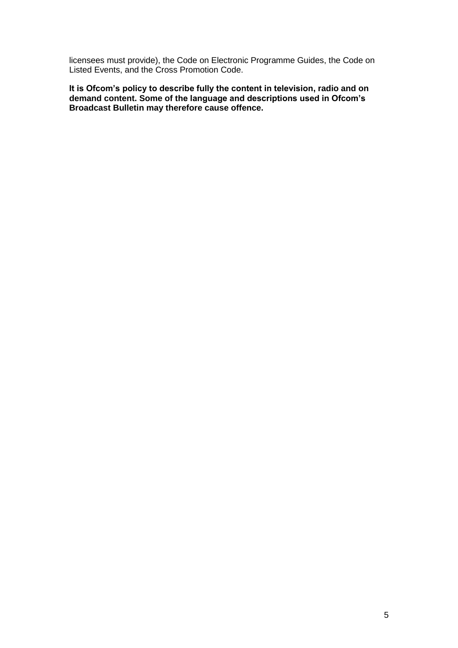licensees must provide), the Code on Electronic Programme Guides, the Code on Listed Events, and the Cross Promotion Code.

**It is Ofcom's policy to describe fully the content in television, radio and on demand content. Some of the language and descriptions used in Ofcom's Broadcast Bulletin may therefore cause offence.**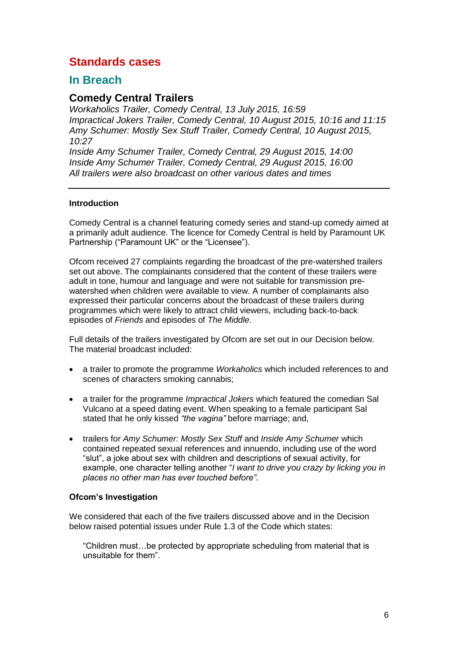# **Standards cases**

# **In Breach**

# **Comedy Central Trailers**

*Workaholics Trailer, Comedy Central, 13 July 2015, 16:59 Impractical Jokers Trailer, Comedy Central, 10 August 2015, 10:16 and 11:15 Amy Schumer: Mostly Sex Stuff Trailer, Comedy Central, 10 August 2015, 10:27*

*Inside Amy Schumer Trailer, Comedy Central, 29 August 2015, 14:00 Inside Amy Schumer Trailer, Comedy Central, 29 August 2015, 16:00 All trailers were also broadcast on other various dates and times*

# **Introduction**

Comedy Central is a channel featuring comedy series and stand-up comedy aimed at a primarily adult audience. The licence for Comedy Central is held by Paramount UK Partnership ("Paramount UK" or the "Licensee").

Ofcom received 27 complaints regarding the broadcast of the pre-watershed trailers set out above. The complainants considered that the content of these trailers were adult in tone, humour and language and were not suitable for transmission prewatershed when children were available to view. A number of complainants also expressed their particular concerns about the broadcast of these trailers during programmes which were likely to attract child viewers, including back-to-back episodes of *Friends* and episodes of *The Middle*.

Full details of the trailers investigated by Ofcom are set out in our Decision below. The material broadcast included:

- a trailer to promote the programme *Workaholics* which included references to and scenes of characters smoking cannabis;
- a trailer for the programme *Impractical Jokers* which featured the comedian Sal Vulcano at a speed dating event. When speaking to a female participant Sal stated that he only kissed *"the vagina"* before marriage; and,
- trailers for *Amy Schumer: Mostly Sex Stuff* and *Inside Amy Schumer* which contained repeated sexual references and innuendo, including use of the word "slut", a joke about sex with children and descriptions of sexual activity, for example, one character telling another "*I want to drive you crazy by licking you in places no other man has ever touched before"*.

# **Ofcom's Investigation**

We considered that each of the five trailers discussed above and in the Decision below raised potential issues under Rule 1.3 of the Code which states:

"Children must…be protected by appropriate scheduling from material that is unsuitable for them".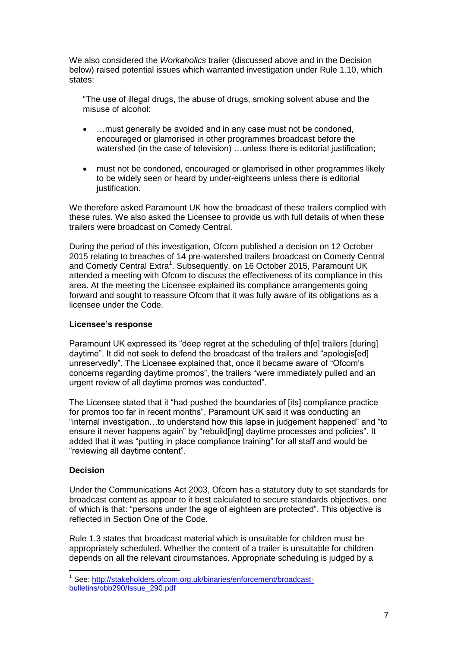We also considered the *Workaholics* trailer (discussed above and in the Decision below) raised potential issues which warranted investigation under Rule 1.10, which states:

"The use of illegal drugs, the abuse of drugs, smoking solvent abuse and the misuse of alcohol:

- …must generally be avoided and in any case must not be condoned, encouraged or glamorised in other programmes broadcast before the watershed (in the case of television) ... unless there is editorial justification;
- must not be condoned, encouraged or glamorised in other programmes likely to be widely seen or heard by under-eighteens unless there is editorial justification.

We therefore asked Paramount UK how the broadcast of these trailers complied with these rules. We also asked the Licensee to provide us with full details of when these trailers were broadcast on Comedy Central.

During the period of this investigation, Ofcom published a decision on 12 October 2015 relating to breaches of 14 pre-watershed trailers broadcast on Comedy Central and Comedy Central Extra<sup>1</sup>. Subsequently, on 16 October 2015, Paramount UK attended a meeting with Ofcom to discuss the effectiveness of its compliance in this area. At the meeting the Licensee explained its compliance arrangements going forward and sought to reassure Ofcom that it was fully aware of its obligations as a licensee under the Code.

## **Licensee's response**

Paramount UK expressed its "deep regret at the scheduling of th[e] trailers [during] daytime". It did not seek to defend the broadcast of the trailers and "apologis[ed] unreservedly". The Licensee explained that, once it became aware of "Ofcom's concerns regarding daytime promos", the trailers "were immediately pulled and an urgent review of all daytime promos was conducted".

The Licensee stated that it "had pushed the boundaries of [its] compliance practice for promos too far in recent months". Paramount UK said it was conducting an "internal investigation…to understand how this lapse in judgement happened" and "to ensure it never happens again" by "rebuild[ing] daytime processes and policies". It added that it was "putting in place compliance training" for all staff and would be "reviewing all daytime content".

# **Decision**

1

Under the Communications Act 2003, Ofcom has a statutory duty to set standards for broadcast content as appear to it best calculated to secure standards objectives, one of which is that: "persons under the age of eighteen are protected". This objective is reflected in Section One of the Code.

Rule 1.3 states that broadcast material which is unsuitable for children must be appropriately scheduled. Whether the content of a trailer is unsuitable for children depends on all the relevant circumstances. Appropriate scheduling is judged by a

<sup>&</sup>lt;sup>1</sup> See: [http://stakeholders.ofcom.org.uk/binaries/enforcement/broadcast](http://stakeholders.ofcom.org.uk/binaries/enforcement/broadcast-bulletins/obb290/Issue_290.pdf)[bulletins/obb290/Issue\\_290.pdf](http://stakeholders.ofcom.org.uk/binaries/enforcement/broadcast-bulletins/obb290/Issue_290.pdf)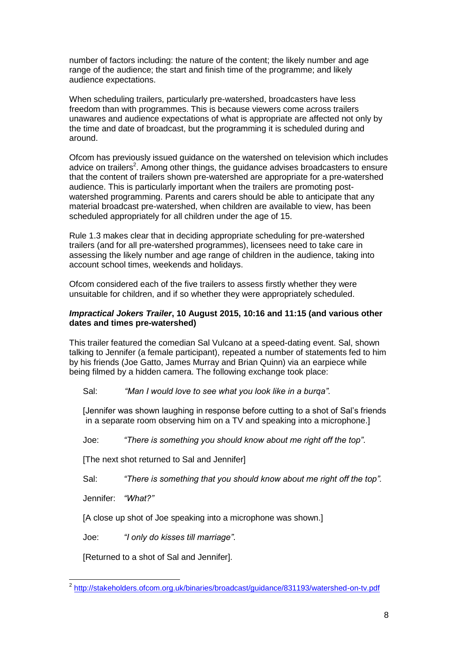number of factors including: the nature of the content; the likely number and age range of the audience; the start and finish time of the programme; and likely audience expectations.

When scheduling trailers, particularly pre-watershed, broadcasters have less freedom than with programmes. This is because viewers come across trailers unawares and audience expectations of what is appropriate are affected not only by the time and date of broadcast, but the programming it is scheduled during and around.

Ofcom has previously issued guidance on the watershed on television which includes advice on trailers<sup>2</sup>. Among other things, the guidance advises broadcasters to ensure that the content of trailers shown pre-watershed are appropriate for a pre-watershed audience. This is particularly important when the trailers are promoting postwatershed programming. Parents and carers should be able to anticipate that any material broadcast pre-watershed, when children are available to view, has been scheduled appropriately for all children under the age of 15.

Rule 1.3 makes clear that in deciding appropriate scheduling for pre-watershed trailers (and for all pre-watershed programmes), licensees need to take care in assessing the likely number and age range of children in the audience, taking into account school times, weekends and holidays.

Ofcom considered each of the five trailers to assess firstly whether they were unsuitable for children, and if so whether they were appropriately scheduled.

# *Impractical Jokers Trailer***, 10 August 2015, 10:16 and 11:15 (and various other dates and times pre-watershed)**

This trailer featured the comedian Sal Vulcano at a speed-dating event. Sal, shown talking to Jennifer (a female participant), repeated a number of statements fed to him by his friends (Joe Gatto, James Murray and Brian Quinn) via an earpiece while being filmed by a hidden camera. The following exchange took place:

Sal: *"Man I would love to see what you look like in a burqa"*.

[Jennifer was shown laughing in response before cutting to a shot of Sal's friends in a separate room observing him on a TV and speaking into a microphone.]

Joe: *"There is something you should know about me right off the top"*.

[The next shot returned to Sal and Jennifer]

Sal: *"There is something that you should know about me right off the top".*

Jennifer: *"What?"*

[A close up shot of Joe speaking into a microphone was shown.]

Joe: *"I only do kisses till marriage"*.

[Returned to a shot of Sal and Jennifer].

 2 <http://stakeholders.ofcom.org.uk/binaries/broadcast/guidance/831193/watershed-on-tv.pdf>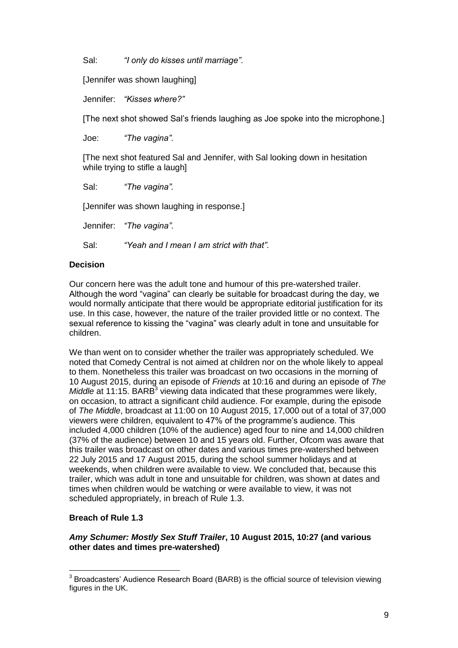Sal: *"I only do kisses until marriage"*.

[Jennifer was shown laughing]

Jennifer: *"Kisses where?"*

[The next shot showed Sal's friends laughing as Joe spoke into the microphone.]

Joe: *"The vagina"*.

[The next shot featured Sal and Jennifer, with Sal looking down in hesitation while trying to stifle a laugh]

Sal: *"The vagina".*

[Jennifer was shown laughing in response.]

Jennifer: *"The vagina"*.

Sal: *"Yeah and I mean I am strict with that"*.

# **Decision**

Our concern here was the adult tone and humour of this pre-watershed trailer. Although the word "vagina" can clearly be suitable for broadcast during the day, we would normally anticipate that there would be appropriate editorial justification for its use. In this case, however, the nature of the trailer provided little or no context. The sexual reference to kissing the "vagina" was clearly adult in tone and unsuitable for children.

We than went on to consider whether the trailer was appropriately scheduled. We noted that Comedy Central is not aimed at children nor on the whole likely to appeal to them. Nonetheless this trailer was broadcast on two occasions in the morning of 10 August 2015, during an episode of *Friends* at 10:16 and during an episode of *The*  Middle at 11:15. BARB<sup>3</sup> viewing data indicated that these programmes were likely, on occasion, to attract a significant child audience. For example, during the episode of *The Middle*, broadcast at 11:00 on 10 August 2015, 17,000 out of a total of 37,000 viewers were children, equivalent to 47% of the programme's audience. This included 4,000 children (10% of the audience) aged four to nine and 14,000 children (37% of the audience) between 10 and 15 years old. Further, Ofcom was aware that this trailer was broadcast on other dates and various times pre-watershed between 22 July 2015 and 17 August 2015, during the school summer holidays and at weekends, when children were available to view. We concluded that, because this trailer, which was adult in tone and unsuitable for children, was shown at dates and times when children would be watching or were available to view, it was not scheduled appropriately, in breach of Rule 1.3.

# **Breach of Rule 1.3**

# *Amy Schumer: Mostly Sex Stuff Trailer***, 10 August 2015, 10:27 (and various other dates and times pre-watershed)**

 3 Broadcasters' Audience Research Board (BARB) is the official source of television viewing figures in the UK.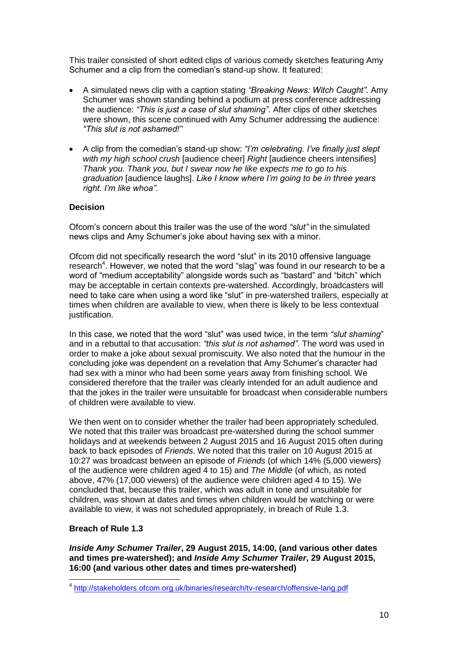This trailer consisted of short edited clips of various comedy sketches featuring Amy Schumer and a clip from the comedian's stand-up show. It featured:

- A simulated news clip with a caption stating *"Breaking News: Witch Caught"*. Amy Schumer was shown standing behind a podium at press conference addressing the audience: *"This is just a case of slut shaming"*. After clips of other sketches were shown, this scene continued with Amy Schumer addressing the audience: *"This slut is not ashamed!"*
- A clip from the comedian's stand-up show: *"I'm celebrating. I've finally just slept with my high school crush* [audience cheer] *Right* [audience cheers intensifies] *Thank you. Thank you, but I swear now he like expects me to go to his graduation* [audience laughs]. *Like I know where I'm going to be in three years right. I'm like whoa"*.

# **Decision**

Ofcom's concern about this trailer was the use of the word *"slut"* in the simulated news clips and Amy Schumer's joke about having sex with a minor.

Ofcom did not specifically research the word "slut" in its 2010 offensive language research<sup>4</sup>. However, we noted that the word "slag" was found in our research to be a word of "medium acceptability" alongside words such as "bastard" and "bitch" which may be acceptable in certain contexts pre-watershed. Accordingly, broadcasters will need to take care when using a word like "slut" in pre-watershed trailers, especially at times when children are available to view, when there is likely to be less contextual justification.

In this case, we noted that the word "slut" was used twice, in the term *"slut shaming*" and in a rebuttal to that accusation: *"this slut is not ashamed"*. The word was used in order to make a joke about sexual promiscuity. We also noted that the humour in the concluding joke was dependent on a revelation that Amy Schumer's character had had sex with a minor who had been some years away from finishing school. We considered therefore that the trailer was clearly intended for an adult audience and that the jokes in the trailer were unsuitable for broadcast when considerable numbers of children were available to view.

We then went on to consider whether the trailer had been appropriately scheduled. We noted that this trailer was broadcast pre-watershed during the school summer holidays and at weekends between 2 August 2015 and 16 August 2015 often during back to back episodes of *Friends*. We noted that this trailer on 10 August 2015 at 10:27 was broadcast between an episode of *Friends* (of which 14% (5,000 viewers) of the audience were children aged 4 to 15) and *The Middle* (of which, as noted above, 47% (17,000 viewers) of the audience were children aged 4 to 15)*.* We concluded that, because this trailer, which was adult in tone and unsuitable for children, was shown at dates and times when children would be watching or were available to view, it was not scheduled appropriately, in breach of Rule 1.3.

# **Breach of Rule 1.3**

*Inside Amy Schumer Trailer***, 29 August 2015, 14:00, (and various other dates and times pre-watershed); and** *Inside Amy Schumer Trailer***, 29 August 2015, 16:00 (and various other dates and times pre-watershed)**

 4 <http://stakeholders.ofcom.org.uk/binaries/research/tv-research/offensive-lang.pdf>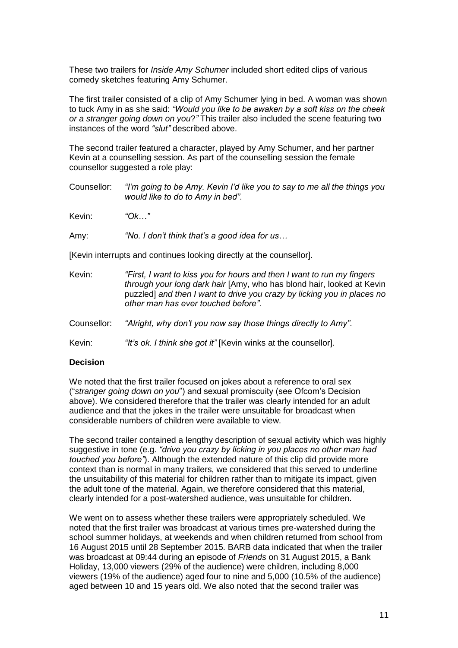These two trailers for *Inside Amy Schumer* included short edited clips of various comedy sketches featuring Amy Schumer.

The first trailer consisted of a clip of Amy Schumer lying in bed. A woman was shown to tuck Amy in as she said: *"Would you like to be awaken by a soft kiss on the cheek or a stranger going down on you*?*"* This trailer also included the scene featuring two instances of the word *"slut"* described above.

The second trailer featured a character, played by Amy Schumer, and her partner Kevin at a counselling session. As part of the counselling session the female counsellor suggested a role play:

Counsellor: *"I'm going to be Amy. Kevin I'd like you to say to me all the things you would like to do to Amy in bed"*.

Kevin: *"Ok…"* 

Amy: *"No. I don't think that's a good idea for us…*

[Kevin interrupts and continues looking directly at the counsellor].

| Kevin: | "First, I want to kiss you for hours and then I want to run my fingers" |
|--------|-------------------------------------------------------------------------|
|        | through your long dark hair [Amy, who has blond hair, looked at Kevin   |
|        | puzzled] and then I want to drive you crazy by licking you in places no |
|        | other man has ever touched before".                                     |

Counsellor: *"Alright, why don't you now say those things directly to Amy"*.

Kevin: *"It's ok. I think she got it"* [Kevin winks at the counsellor].

#### **Decision**

We noted that the first trailer focused on jokes about a reference to oral sex ("*stranger going down on you*") and sexual promiscuity (see Ofcom's Decision above). We considered therefore that the trailer was clearly intended for an adult audience and that the jokes in the trailer were unsuitable for broadcast when considerable numbers of children were available to view.

The second trailer contained a lengthy description of sexual activity which was highly suggestive in tone (e.g. *"drive you crazy by licking in you places no other man had touched you before"*). Although the extended nature of this clip did provide more context than is normal in many trailers, we considered that this served to underline the unsuitability of this material for children rather than to mitigate its impact, given the adult tone of the material. Again, we therefore considered that this material, clearly intended for a post-watershed audience, was unsuitable for children.

We went on to assess whether these trailers were appropriately scheduled. We noted that the first trailer was broadcast at various times pre-watershed during the school summer holidays, at weekends and when children returned from school from 16 August 2015 until 28 September 2015. BARB data indicated that when the trailer was broadcast at 09:44 during an episode of *Friends* on 31 August 2015, a Bank Holiday, 13,000 viewers (29% of the audience) were children, including 8,000 viewers (19% of the audience) aged four to nine and 5,000 (10.5% of the audience) aged between 10 and 15 years old. We also noted that the second trailer was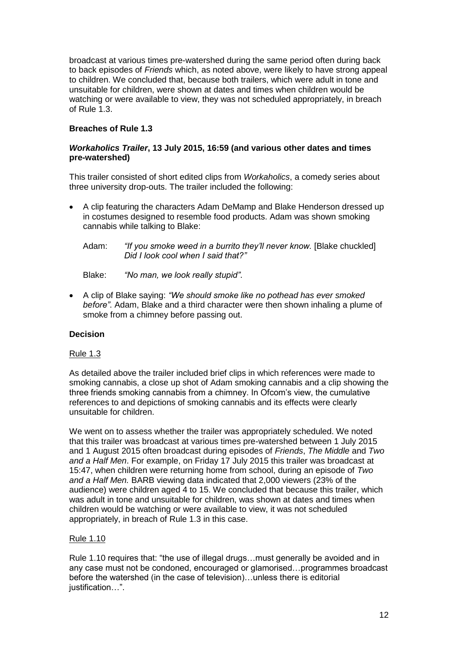broadcast at various times pre-watershed during the same period often during back to back episodes of *Friends* which, as noted above, were likely to have strong appeal to children. We concluded that, because both trailers, which were adult in tone and unsuitable for children, were shown at dates and times when children would be watching or were available to view, they was not scheduled appropriately, in breach of Rule 1.3.

# **Breaches of Rule 1.3**

# *Workaholics Trailer***, 13 July 2015, 16:59 (and various other dates and times pre-watershed)**

This trailer consisted of short edited clips from *Workaholics*, a comedy series about three university drop-outs. The trailer included the following:

- A clip featuring the characters Adam DeMamp and Blake Henderson dressed up in costumes designed to resemble food products. Adam was shown smoking cannabis while talking to Blake:
	- Adam: *"If you smoke weed in a burrito they'll never know.* [Blake chuckled] *Did I look cool when I said that?"*
	- Blake: *"No man, we look really stupid"*.
- A clip of Blake saying: *"We should smoke like no pothead has ever smoked before"*. Adam, Blake and a third character were then shown inhaling a plume of smoke from a chimney before passing out.

# **Decision**

# Rule 1.3

As detailed above the trailer included brief clips in which references were made to smoking cannabis, a close up shot of Adam smoking cannabis and a clip showing the three friends smoking cannabis from a chimney. In Ofcom's view, the cumulative references to and depictions of smoking cannabis and its effects were clearly unsuitable for children.

We went on to assess whether the trailer was appropriately scheduled. We noted that this trailer was broadcast at various times pre-watershed between 1 July 2015 and 1 August 2015 often broadcast during episodes of *Friends*, *The Middle* and *Two and a Half Men*. For example, on Friday 17 July 2015 this trailer was broadcast at 15:47, when children were returning home from school, during an episode of *Two and a Half Men.* BARB viewing data indicated that 2,000 viewers (23% of the audience) were children aged 4 to 15. We concluded that because this trailer, which was adult in tone and unsuitable for children, was shown at dates and times when children would be watching or were available to view, it was not scheduled appropriately, in breach of Rule 1.3 in this case.

# Rule 1.10

Rule 1.10 requires that: "the use of illegal drugs…must generally be avoided and in any case must not be condoned, encouraged or glamorised…programmes broadcast before the watershed (in the case of television)…unless there is editorial iustification…".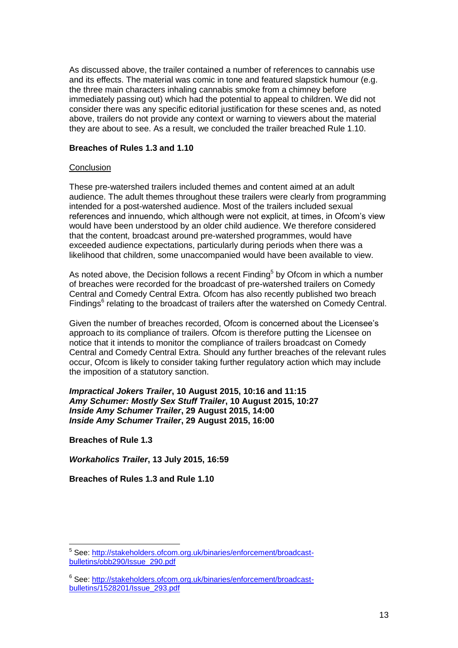As discussed above, the trailer contained a number of references to cannabis use and its effects. The material was comic in tone and featured slapstick humour (e.g. the three main characters inhaling cannabis smoke from a chimney before immediately passing out) which had the potential to appeal to children. We did not consider there was any specific editorial justification for these scenes and, as noted above, trailers do not provide any context or warning to viewers about the material they are about to see. As a result, we concluded the trailer breached Rule 1.10.

## **Breaches of Rules 1.3 and 1.10**

#### **Conclusion**

These pre-watershed trailers included themes and content aimed at an adult audience. The adult themes throughout these trailers were clearly from programming intended for a post-watershed audience. Most of the trailers included sexual references and innuendo, which although were not explicit, at times, in Ofcom's view would have been understood by an older child audience. We therefore considered that the content, broadcast around pre-watershed programmes, would have exceeded audience expectations, particularly during periods when there was a likelihood that children, some unaccompanied would have been available to view.

As noted above, the Decision follows a recent Finding<sup>5</sup> by Ofcom in which a number of breaches were recorded for the broadcast of pre-watershed trailers on Comedy Central and Comedy Central Extra. Ofcom has also recently published two breach Findings<sup>6</sup> relating to the broadcast of trailers after the watershed on Comedy Central.

Given the number of breaches recorded, Ofcom is concerned about the Licensee's approach to its compliance of trailers. Ofcom is therefore putting the Licensee on notice that it intends to monitor the compliance of trailers broadcast on Comedy Central and Comedy Central Extra. Should any further breaches of the relevant rules occur, Ofcom is likely to consider taking further regulatory action which may include the imposition of a statutory sanction.

*Impractical Jokers Trailer***, 10 August 2015, 10:16 and 11:15**  *Amy Schumer: Mostly Sex Stuff Trailer***, 10 August 2015, 10:27** *Inside Amy Schumer Trailer***, 29 August 2015, 14:00** *Inside Amy Schumer Trailer***, 29 August 2015, 16:00**

**Breaches of Rule 1.3**

1

*Workaholics Trailer***, 13 July 2015, 16:59**

**Breaches of Rules 1.3 and Rule 1.10**

<sup>&</sup>lt;sup>5</sup> See: [http://stakeholders.ofcom.org.uk/binaries/enforcement/broadcast](http://stakeholders.ofcom.org.uk/binaries/enforcement/broadcast-bulletins/obb290/Issue_290.pdf)[bulletins/obb290/Issue\\_290.pdf](http://stakeholders.ofcom.org.uk/binaries/enforcement/broadcast-bulletins/obb290/Issue_290.pdf)

<sup>&</sup>lt;sup>6</sup> See: [http://stakeholders.ofcom.org.uk/binaries/enforcement/broadcast](http://stakeholders.ofcom.org.uk/binaries/enforcement/broadcast-bulletins/1528201/Issue_293.pdf)[bulletins/1528201/Issue\\_293.pdf](http://stakeholders.ofcom.org.uk/binaries/enforcement/broadcast-bulletins/1528201/Issue_293.pdf)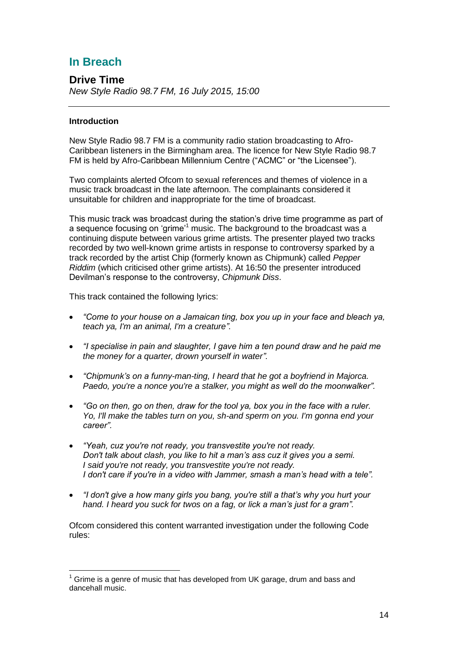# **In Breach**

**Drive Time** *New Style Radio 98.7 FM, 16 July 2015, 15:00*

# **Introduction**

1

New Style Radio 98.7 FM is a community radio station broadcasting to Afro-Caribbean listeners in the Birmingham area. The licence for New Style Radio 98.7 FM is held by Afro-Caribbean Millennium Centre ("ACMC" or "the Licensee").

Two complaints alerted Ofcom to sexual references and themes of violence in a music track broadcast in the late afternoon. The complainants considered it unsuitable for children and inappropriate for the time of broadcast.

This music track was broadcast during the station's drive time programme as part of a sequence focusing on 'grime'<sup>1</sup> music. The background to the broadcast was a continuing dispute between various grime artists. The presenter played two tracks recorded by two well-known grime artists in response to controversy sparked by a track recorded by the artist Chip (formerly known as Chipmunk) called *Pepper Riddim* (which criticised other grime artists). At 16:50 the presenter introduced Devilman's response to the controversy, *Chipmunk Diss*.

This track contained the following lyrics:

- *"Come to your house on a Jamaican ting, box you up in your face and bleach ya, teach ya, I'm an animal, I'm a creature".*
- *"I specialise in pain and slaughter, I gave him a ten pound draw and he paid me the money for a quarter, drown yourself in water".*
- *"Chipmunk's on a funny-man-ting, I heard that he got a boyfriend in Majorca. Paedo, you're a nonce you're a stalker, you might as well do the moonwalker".*
- *"Go on then, go on then, draw for the tool ya, box you in the face with a ruler. Yo, I'll make the tables turn on you, sh-and sperm on you. I'm gonna end your career".*
- *"Yeah, cuz you're not ready, you transvestite you're not ready. Don't talk about clash, you like to hit a man's ass cuz it gives you a semi. I said you're not ready, you transvestite you're not ready. I don't care if you're in a video with Jammer, smash a man's head with a tele".*
- *"I don't give a how many girls you bang, you're still a that's why you hurt your hand. [I heard you suck for twos on a fag,](http://genius.com/5398674/Devilman-chipmunk-reply/I-heard-you-suck-dick-for-twos-on-a-fag) or [lick a man's just for a gram"](http://genius.com/6491188/Devilman-chipmunk-reply/Lick-a-mans-balls-just-for-a-gram).*

Ofcom considered this content warranted investigation under the following Code rules:

 $1$  Grime is a genre of music that has developed from UK garage, drum and bass and dancehall music.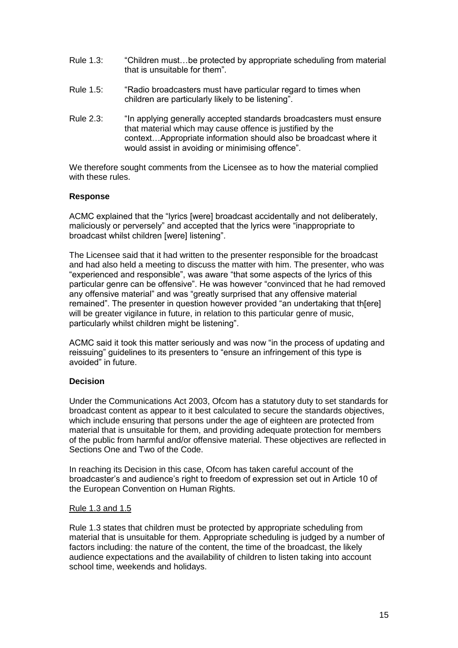- Rule 1.3: "Children must…be protected by appropriate scheduling from material that is unsuitable for them".
- Rule 1.5: "Radio broadcasters must have particular regard to times when children are particularly likely to be listening".
- Rule 2.3: "In applying generally accepted standards broadcasters must ensure that material which may cause offence is justified by the context…Appropriate information should also be broadcast where it would assist in avoiding or minimising offence".

We therefore sought comments from the Licensee as to how the material complied with these rules.

## **Response**

ACMC explained that the "lyrics [were] broadcast accidentally and not deliberately, maliciously or perversely" and accepted that the lyrics were "inappropriate to broadcast whilst children [were] listening".

The Licensee said that it had written to the presenter responsible for the broadcast and had also held a meeting to discuss the matter with him. The presenter, who was "experienced and responsible", was aware "that some aspects of the lyrics of this particular genre can be offensive". He was however "convinced that he had removed any offensive material" and was "greatly surprised that any offensive material remained". The presenter in question however provided "an undertaking that th[ere] will be greater vigilance in future, in relation to this particular genre of music, particularly whilst children might be listening".

ACMC said it took this matter seriously and was now "in the process of updating and reissuing" guidelines to its presenters to "ensure an infringement of this type is avoided" in future.

# **Decision**

Under the Communications Act 2003, Ofcom has a statutory duty to set standards for broadcast content as appear to it best calculated to secure the standards objectives, which include ensuring that persons under the age of eighteen are protected from material that is unsuitable for them, and providing adequate protection for members of the public from harmful and/or offensive material. These objectives are reflected in Sections One and Two of the Code.

In reaching its Decision in this case, Ofcom has taken careful account of the broadcaster's and audience's right to freedom of expression set out in Article 10 of the European Convention on Human Rights.

#### Rule 1.3 and 1.5

Rule 1.3 states that children must be protected by appropriate scheduling from material that is unsuitable for them. Appropriate scheduling is judged by a number of factors including: the nature of the content, the time of the broadcast, the likely audience expectations and the availability of children to listen taking into account school time, weekends and holidays.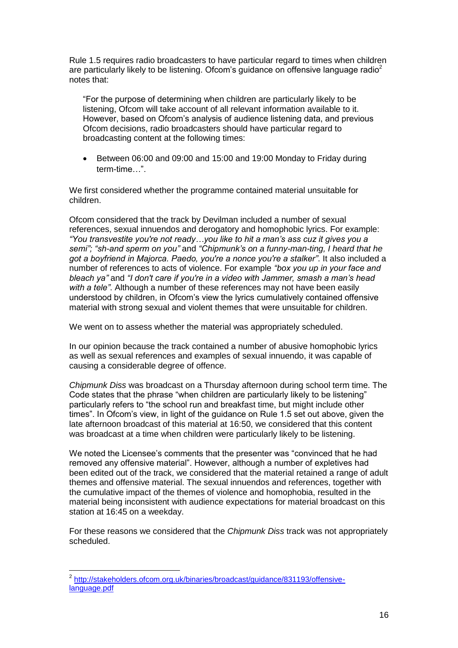Rule 1.5 requires radio broadcasters to have particular regard to times when children are particularly likely to be listening. Of com's guidance on offensive language radio<sup>2</sup> notes that:

"For the purpose of determining when children are particularly likely to be listening, Ofcom will take account of all relevant information available to it. However, based on Ofcom's analysis of audience listening data, and previous Ofcom decisions, radio broadcasters should have particular regard to broadcasting content at the following times:

 Between 06:00 and 09:00 and 15:00 and 19:00 Monday to Friday during term-time…".

We first considered whether the programme contained material unsuitable for children.

Ofcom considered that the track by Devilman included a number of sexual references, sexual innuendos and derogatory and homophobic lyrics. For example: *"You transvestite you're not ready…you like to hit a man's ass cuz it gives you a semi"; "sh-and sperm on you"* and *"Chipmunk's on a funny-man-ting, I heard that he got a boyfriend in Majorca. Paedo, you're a nonce you're a stalker"*. It also included a number of references to acts of violence. For example *"box you up in your face and bleach ya"* and *"I don't care if you're in a video with Jammer, smash a man's head with a tele"*. Although a number of these references may not have been easily understood by children, in Ofcom's view the lyrics cumulatively contained offensive material with strong sexual and violent themes that were unsuitable for children.

We went on to assess whether the material was appropriately scheduled.

In our opinion because the track contained a number of abusive homophobic lyrics as well as sexual references and examples of sexual innuendo, it was capable of causing a considerable degree of offence.

*Chipmunk Diss* was broadcast on a Thursday afternoon during school term time. The Code states that the phrase "when children are particularly likely to be listening" particularly refers to "the school run and breakfast time, but might include other times". In Ofcom's view, in light of the guidance on Rule 1.5 set out above, given the late afternoon broadcast of this material at 16:50, we considered that this content was broadcast at a time when children were particularly likely to be listening.

We noted the Licensee's comments that the presenter was "convinced that he had removed any offensive material". However, although a number of expletives had been edited out of the track, we considered that the material retained a range of adult themes and offensive material. The sexual innuendos and references, together with the cumulative impact of the themes of violence and homophobia, resulted in the material being inconsistent with audience expectations for material broadcast on this station at 16:45 on a weekday.

For these reasons we considered that the *Chipmunk Diss* track was not appropriately scheduled.

1

<sup>&</sup>lt;sup>2</sup> [http://stakeholders.ofcom.org.uk/binaries/broadcast/guidance/831193/offensive](http://stakeholders.ofcom.org.uk/binaries/broadcast/guidance/831193/offensive-language.pdf)[language.pdf](http://stakeholders.ofcom.org.uk/binaries/broadcast/guidance/831193/offensive-language.pdf)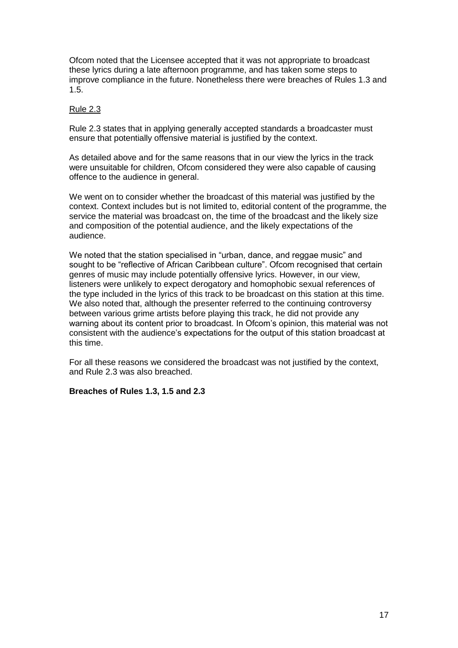Ofcom noted that the Licensee accepted that it was not appropriate to broadcast these lyrics during a late afternoon programme, and has taken some steps to improve compliance in the future. Nonetheless there were breaches of Rules 1.3 and 1.5.

# Rule 2.3

Rule 2.3 states that in applying generally accepted standards a broadcaster must ensure that potentially offensive material is justified by the context.

As detailed above and for the same reasons that in our view the lyrics in the track were unsuitable for children, Ofcom considered they were also capable of causing offence to the audience in general.

We went on to consider whether the broadcast of this material was justified by the context. Context includes but is not limited to, editorial content of the programme, the service the material was broadcast on, the time of the broadcast and the likely size and composition of the potential audience, and the likely expectations of the audience.

We noted that the station specialised in "urban, dance, and reggae music" and sought to be "reflective of African Caribbean culture". Ofcom recognised that certain genres of music may include potentially offensive lyrics. However, in our view, listeners were unlikely to expect derogatory and homophobic sexual references of the type included in the lyrics of this track to be broadcast on this station at this time. We also noted that, although the presenter referred to the continuing controversy between various grime artists before playing this track, he did not provide any warning about its content prior to broadcast. In Ofcom's opinion, this material was not consistent with the audience's expectations for the output of this station broadcast at this time.

For all these reasons we considered the broadcast was not justified by the context, and Rule 2.3 was also breached.

# **Breaches of Rules 1.3, 1.5 and 2.3**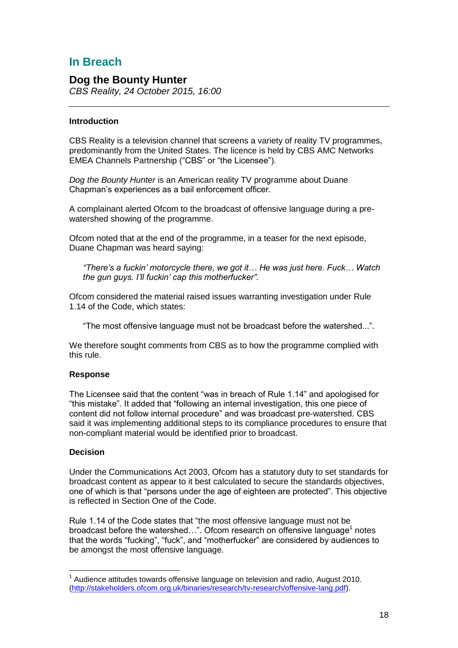# **In Breach**

# **Dog the Bounty Hunter**

*CBS Reality, 24 October 2015, 16:00*

# **Introduction**

CBS Reality is a television channel that screens a variety of reality TV programmes, predominantly from the United States. The licence is held by CBS AMC Networks EMEA Channels Partnership ("CBS" or "the Licensee").

*Dog the Bounty Hunter* is an American reality TV programme about Duane Chapman's experiences as a bail enforcement officer.

A complainant alerted Ofcom to the broadcast of offensive language during a prewatershed showing of the programme.

Ofcom noted that at the end of the programme, in a teaser for the next episode, Duane Chapman was heard saying:

*"There's a fuckin' motorcycle there, we got it… He was just here. Fuck… Watch the gun guys. I'll fuckin' cap this motherfucker".*

Ofcom considered the material raised issues warranting investigation under Rule 1.14 of the Code, which states:

"The most offensive language must not be broadcast before the watershed...".

We therefore sought comments from CBS as to how the programme complied with this rule.

# **Response**

The Licensee said that the content "was in breach of Rule 1.14" and apologised for "this mistake". It added that "following an internal investigation, this one piece of content did not follow internal procedure" and was broadcast pre-watershed. CBS said it was implementing additional steps to its compliance procedures to ensure that non-compliant material would be identified prior to broadcast.

# **Decision**

1

Under the Communications Act 2003, Ofcom has a statutory duty to set standards for broadcast content as appear to it best calculated to secure the standards objectives, one of which is that "persons under the age of eighteen are protected". This objective is reflected in Section One of the Code.

Rule 1.14 of the Code states that "the most offensive language must not be broadcast before the watershed...". Ofcom research on offensive language<sup>1</sup> notes that the words "fucking", "fuck", and "motherfucker" are considered by audiences to be amongst the most offensive language.

 $1$  Audience attitudes towards offensive language on television and radio, August 2010. [\(http://stakeholders.ofcom.org.uk/binaries/research/tv-research/offensive-lang.pdf\)](http://stakeholders.ofcom.org.uk/binaries/research/tv-research/offensive-lang.pdf).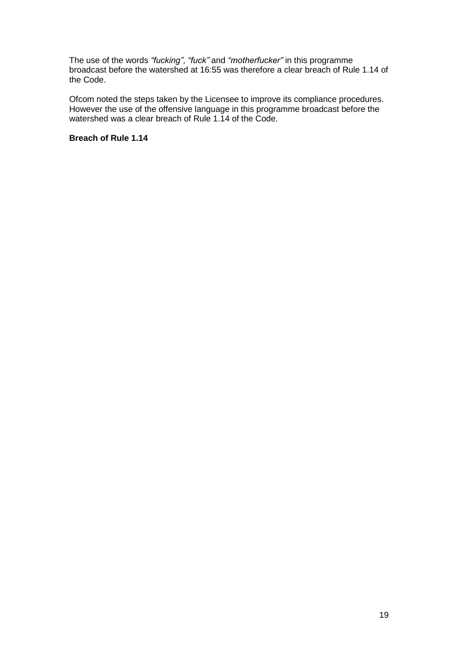The use of the words *"fucking"*, *"fuck"* and *"motherfucker"* in this programme broadcast before the watershed at 16:55 was therefore a clear breach of Rule 1.14 of the Code.

Ofcom noted the steps taken by the Licensee to improve its compliance procedures. However the use of the offensive language in this programme broadcast before the watershed was a clear breach of Rule 1.14 of the Code.

# **Breach of Rule 1.14**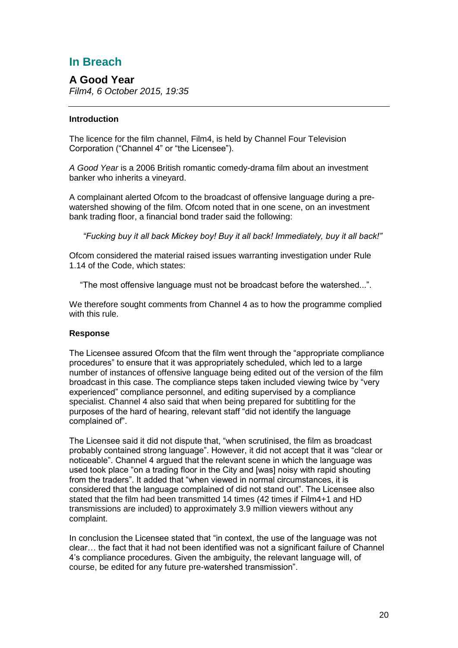# **In Breach**

# **A Good Year** *Film4, 6 October 2015, 19:35*

# **Introduction**

The licence for the film channel, Film4, is held by Channel Four Television Corporation ("Channel 4" or "the Licensee").

*A Good Year* is a 2006 British romantic comedy-drama film about an investment banker who inherits a vineyard.

A complainant alerted Ofcom to the broadcast of offensive language during a prewatershed showing of the film. Ofcom noted that in one scene, on an investment bank trading floor, a financial bond trader said the following:

*"Fucking buy it all back Mickey boy! Buy it all back! Immediately, buy it all back!"*

Ofcom considered the material raised issues warranting investigation under Rule 1.14 of the Code, which states:

"The most offensive language must not be broadcast before the watershed...".

We therefore sought comments from Channel 4 as to how the programme complied with this rule.

# **Response**

The Licensee assured Ofcom that the film went through the "appropriate compliance procedures" to ensure that it was appropriately scheduled, which led to a large number of instances of offensive language being edited out of the version of the film broadcast in this case. The compliance steps taken included viewing twice by "very experienced" compliance personnel, and editing supervised by a compliance specialist. Channel 4 also said that when being prepared for subtitling for the purposes of the hard of hearing, relevant staff "did not identify the language complained of".

The Licensee said it did not dispute that, "when scrutinised, the film as broadcast probably contained strong language". However, it did not accept that it was "clear or noticeable". Channel 4 argued that the relevant scene in which the language was used took place "on a trading floor in the City and [was] noisy with rapid shouting from the traders". It added that "when viewed in normal circumstances, it is considered that the language complained of did not stand out". The Licensee also stated that the film had been transmitted 14 times (42 times if Film4+1 and HD transmissions are included) to approximately 3.9 million viewers without any complaint.

In conclusion the Licensee stated that "in context, the use of the language was not clear… the fact that it had not been identified was not a significant failure of Channel 4's compliance procedures. Given the ambiguity, the relevant language will, of course, be edited for any future pre-watershed transmission".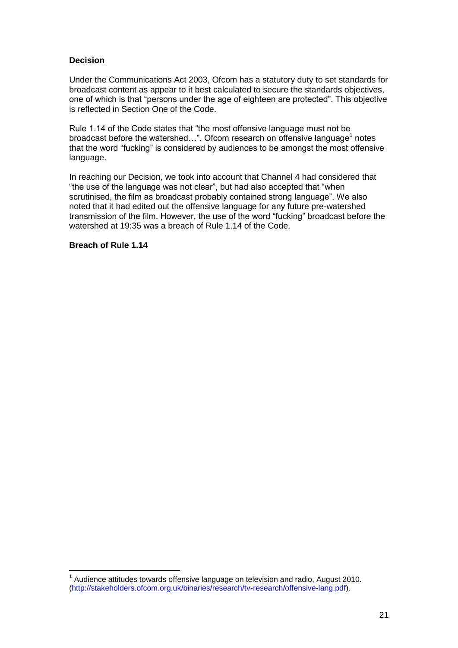# **Decision**

Under the Communications Act 2003, Ofcom has a statutory duty to set standards for broadcast content as appear to it best calculated to secure the standards objectives, one of which is that "persons under the age of eighteen are protected". This objective is reflected in Section One of the Code.

Rule 1.14 of the Code states that "the most offensive language must not be broadcast before the watershed...". Ofcom research on offensive language<sup>1</sup> notes that the word "fucking" is considered by audiences to be amongst the most offensive language.

In reaching our Decision, we took into account that Channel 4 had considered that "the use of the language was not clear", but had also accepted that "when scrutinised, the film as broadcast probably contained strong language". We also noted that it had edited out the offensive language for any future pre-watershed transmission of the film. However, the use of the word "fucking" broadcast before the watershed at 19:35 was a breach of Rule 1.14 of the Code.

**Breach of Rule 1.14**

1

 $1$  Audience attitudes towards offensive language on television and radio, August 2010. [\(http://stakeholders.ofcom.org.uk/binaries/research/tv-research/offensive-lang.pdf\)](http://stakeholders.ofcom.org.uk/binaries/research/tv-research/offensive-lang.pdf).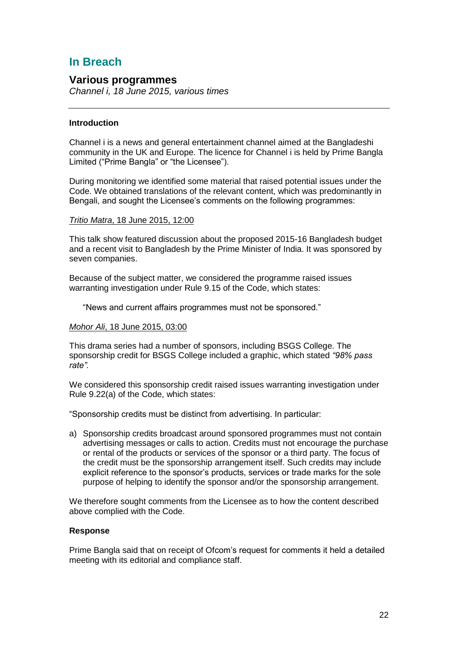# **In Breach**

# **Various programmes**

*Channel i, 18 June 2015, various times* 

# **Introduction**

Channel i is a news and general entertainment channel aimed at the Bangladeshi community in the UK and Europe. The licence for Channel i is held by Prime Bangla Limited ("Prime Bangla" or "the Licensee").

During monitoring we identified some material that raised potential issues under the Code. We obtained translations of the relevant content, which was predominantly in Bengali, and sought the Licensee's comments on the following programmes:

## *Tritio Matra*, 18 June 2015, 12:00

This talk show featured discussion about the proposed 2015-16 Bangladesh budget and a recent visit to Bangladesh by the Prime Minister of India. It was sponsored by seven companies.

Because of the subject matter, we considered the programme raised issues warranting investigation under Rule 9.15 of the Code, which states:

"News and current affairs programmes must not be sponsored."

#### *Mohor Ali*, 18 June 2015, 03:00

This drama series had a number of sponsors, including BSGS College. The sponsorship credit for BSGS College included a graphic, which stated *"98% pass rate".*

We considered this sponsorship credit raised issues warranting investigation under Rule 9.22(a) of the Code, which states:

"Sponsorship credits must be distinct from advertising. In particular:

a) Sponsorship credits broadcast around sponsored programmes must not contain advertising messages or calls to action. Credits must not encourage the purchase or rental of the products or services of the sponsor or a third party. The focus of the credit must be the sponsorship arrangement itself. Such credits may include explicit reference to the sponsor's products, services or trade marks for the sole purpose of helping to identify the sponsor and/or the sponsorship arrangement.

We therefore sought comments from the Licensee as to how the content described above complied with the Code.

# **Response**

Prime Bangla said that on receipt of Ofcom's request for comments it held a detailed meeting with its editorial and compliance staff.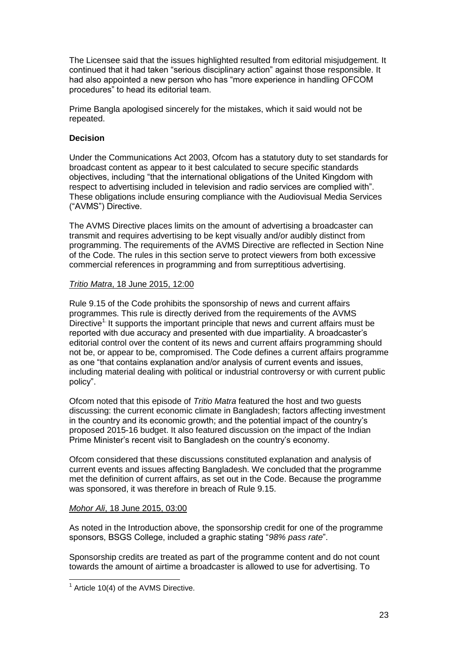The Licensee said that the issues highlighted resulted from editorial misjudgement. It continued that it had taken "serious disciplinary action" against those responsible. It had also appointed a new person who has "more experience in handling OFCOM procedures" to head its editorial team.

Prime Bangla apologised sincerely for the mistakes, which it said would not be repeated.

# **Decision**

Under the Communications Act 2003, Ofcom has a statutory duty to set standards for broadcast content as appear to it best calculated to secure specific standards objectives, including "that the international obligations of the United Kingdom with respect to advertising included in television and radio services are complied with". These obligations include ensuring compliance with the Audiovisual Media Services ("AVMS") Directive.

The AVMS Directive places limits on the amount of advertising a broadcaster can transmit and requires advertising to be kept visually and/or audibly distinct from programming. The requirements of the AVMS Directive are reflected in Section Nine of the Code. The rules in this section serve to protect viewers from both excessive commercial references in programming and from surreptitious advertising.

## *Tritio Matra*, 18 June 2015, 12:00

Rule 9.15 of the Code prohibits the sponsorship of news and current affairs programmes. This rule is directly derived from the requirements of the AVMS Directive<sup>1</sup> It supports the important principle that news and current affairs must be reported with due accuracy and presented with due impartiality. A broadcaster's editorial control over the content of its news and current affairs programming should not be, or appear to be, compromised. The Code defines a current affairs programme as one "that contains explanation and/or analysis of current events and issues, including material dealing with political or industrial controversy or with current public policy".

Ofcom noted that this episode of *Tritio Matra* featured the host and two guests discussing: the current economic climate in Bangladesh; factors affecting investment in the country and its economic growth; and the potential impact of the country's proposed 2015-16 budget. It also featured discussion on the impact of the Indian Prime Minister's recent visit to Bangladesh on the country's economy.

Ofcom considered that these discussions constituted explanation and analysis of current events and issues affecting Bangladesh. We concluded that the programme met the definition of current affairs, as set out in the Code. Because the programme was sponsored, it was therefore in breach of Rule 9.15.

# *Mohor Ali*, 18 June 2015, 03:00

As noted in the Introduction above, the sponsorship credit for one of the programme sponsors, BSGS College, included a graphic stating "*98% pass rate*".

Sponsorship credits are treated as part of the programme content and do not count towards the amount of airtime a broadcaster is allowed to use for advertising. To

1

 $1$  Article 10(4) of the AVMS Directive.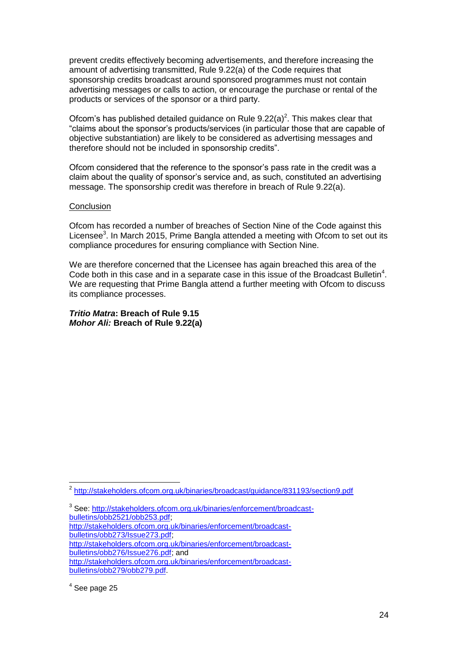prevent credits effectively becoming advertisements, and therefore increasing the amount of advertising transmitted, Rule 9.22(a) of the Code requires that sponsorship credits broadcast around sponsored programmes must not contain advertising messages or calls to action, or encourage the purchase or rental of the products or services of the sponsor or a third party.

Ofcom's has published detailed guidance on Rule  $9.22(a)^2$ . This makes clear that "claims about the sponsor's products/services (in particular those that are capable of objective substantiation) are likely to be considered as advertising messages and therefore should not be included in sponsorship credits".

Ofcom considered that the reference to the sponsor's pass rate in the credit was a claim about the quality of sponsor's service and, as such, constituted an advertising message. The sponsorship credit was therefore in breach of Rule 9.22(a).

#### **Conclusion**

Ofcom has recorded a number of breaches of Section Nine of the Code against this Licensee<sup>3</sup>. In March 2015, Prime Bangla attended a meeting with Ofcom to set out its compliance procedures for ensuring compliance with Section Nine.

We are therefore concerned that the Licensee has again breached this area of the Code both in this case and in a separate case in this issue of the Broadcast Bulletin<sup>4</sup>. We are requesting that Prime Bangla attend a further meeting with Ofcom to discuss its compliance processes.

*Tritio Matra***: Breach of Rule 9.15** *Mohor Ali:* **Breach of Rule 9.22(a)**

<sup>1</sup> <sup>2</sup> <http://stakeholders.ofcom.org.uk/binaries/broadcast/guidance/831193/section9.pdf>

<sup>&</sup>lt;sup>3</sup> See: [http://stakeholders.ofcom.org.uk/binaries/enforcement/broadcast](http://stakeholders.ofcom.org.uk/binaries/enforcement/broadcast-bulletins/obb2521/obb253.pdf)[bulletins/obb2521/obb253.pdf;](http://stakeholders.ofcom.org.uk/binaries/enforcement/broadcast-bulletins/obb2521/obb253.pdf)

[http://stakeholders.ofcom.org.uk/binaries/enforcement/broadcast](http://stakeholders.ofcom.org.uk/binaries/enforcement/broadcast-bulletins/obb273/Issue273.pdf)[bulletins/obb273/Issue273.pdf;](http://stakeholders.ofcom.org.uk/binaries/enforcement/broadcast-bulletins/obb273/Issue273.pdf)

[http://stakeholders.ofcom.org.uk/binaries/enforcement/broadcast-](http://stakeholders.ofcom.org.uk/binaries/enforcement/broadcast-bulletins/obb276/Issue276.pdf)

[bulletins/obb276/Issue276.pdf;](http://stakeholders.ofcom.org.uk/binaries/enforcement/broadcast-bulletins/obb276/Issue276.pdf) and

[http://stakeholders.ofcom.org.uk/binaries/enforcement/broadcast](http://stakeholders.ofcom.org.uk/binaries/enforcement/broadcast-bulletins/obb279/obb279.pdf)[bulletins/obb279/obb279.pdf.](http://stakeholders.ofcom.org.uk/binaries/enforcement/broadcast-bulletins/obb279/obb279.pdf)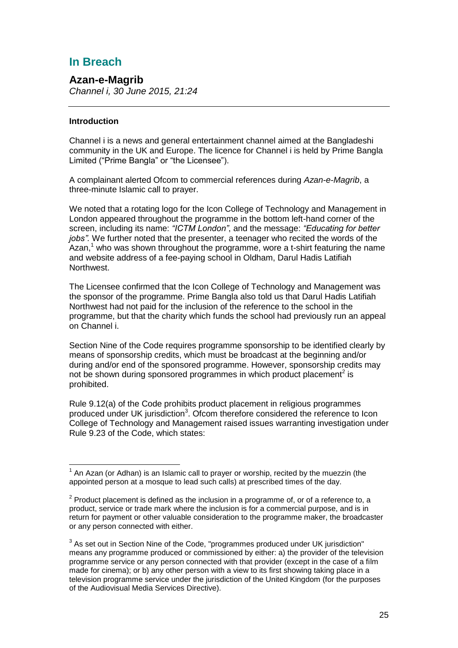# **In Breach**

# **Azan-e-Magrib**

*Channel i, 30 June 2015, 21:24*

# **Introduction**

1

Channel i is a news and general entertainment channel aimed at the Bangladeshi community in the UK and Europe. The licence for Channel i is held by Prime Bangla Limited ("Prime Bangla" or "the Licensee").

A complainant alerted Ofcom to commercial references during *Azan-e-Magrib*, a three-minute Islamic call to prayer.

We noted that a rotating logo for the Icon College of Technology and Management in London appeared throughout the programme in the bottom left-hand corner of the screen, including its name: *"ICTM London"*, and the message: *"Educating for better jobs".* We further noted that the presenter, a teenager who recited the words of the Azan,<sup>1</sup> who was shown throughout the programme, wore a t-shirt featuring the name and website address of a fee-paying school in Oldham, Darul Hadis Latifiah Northwest.

The Licensee confirmed that the Icon College of Technology and Management was the sponsor of the programme. Prime Bangla also told us that Darul Hadis Latifiah Northwest had not paid for the inclusion of the reference to the school in the programme, but that the charity which funds the school had previously run an appeal on Channel i.

Section Nine of the Code requires programme sponsorship to be identified clearly by means of sponsorship credits, which must be broadcast at the beginning and/or during and/or end of the sponsored programme. However, sponsorship credits may not be shown during sponsored programmes in which product placement<sup>2</sup> is prohibited.

Rule 9.12(a) of the Code prohibits product placement in religious programmes produced under UK jurisdiction<sup>3</sup>. Ofcom therefore considered the reference to Icon College of Technology and Management raised issues warranting investigation under Rule 9.23 of the Code, which states:

 $1$  An Azan (or Adhan) is an Islamic call to prayer or worship, recited by the muezzin (the appointed person at a mosque to lead such calls) at prescribed times of the day.

 $2$  Product placement is defined as the inclusion in a programme of, or of a reference to, a product, service or trade mark where the inclusion is for a commercial purpose, and is in return for payment or other valuable consideration to the programme maker, the broadcaster or any person connected with either.

 $3$  As set out in Section Nine of the Code, "programmes produced under UK jurisdiction" means any programme produced or commissioned by either: a) the provider of the television programme service or any person connected with that provider (except in the case of a film made for cinema); or b) any other person with a view to its first showing taking place in a television programme service under the jurisdiction of the United Kingdom (for the purposes of the Audiovisual Media Services Directive).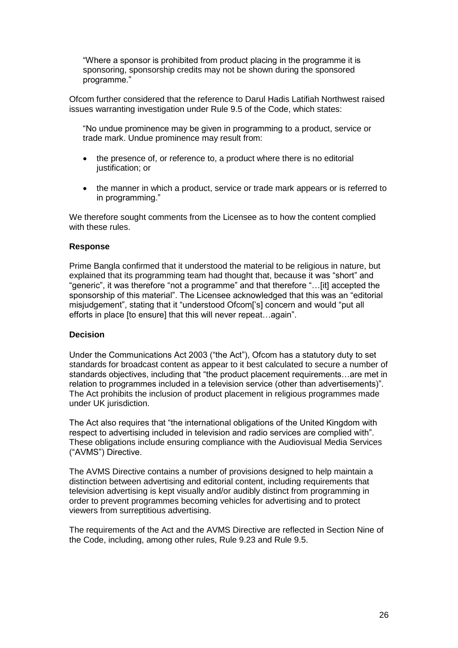"Where a sponsor is prohibited from product placing in the programme it is sponsoring, sponsorship credits may not be shown during the sponsored programme."

Ofcom further considered that the reference to Darul Hadis Latifiah Northwest raised issues warranting investigation under Rule 9.5 of the Code, which states:

"No undue prominence may be given in programming to a product, service or trade mark. Undue prominence may result from:

- the presence of, or reference to, a product where there is no editorial justification; or
- the manner in which a product, service or trade mark appears or is referred to in programming."

We therefore sought comments from the Licensee as to how the content complied with these rules

#### **Response**

Prime Bangla confirmed that it understood the material to be religious in nature, but explained that its programming team had thought that, because it was "short" and "generic", it was therefore "not a programme" and that therefore "…[it] accepted the sponsorship of this material". The Licensee acknowledged that this was an "editorial misjudgement", stating that it "understood Ofcom['s] concern and would "put all efforts in place [to ensure] that this will never repeat…again".

#### **Decision**

Under the Communications Act 2003 ("the Act"), Ofcom has a statutory duty to set standards for broadcast content as appear to it best calculated to secure a number of standards objectives, including that "the product placement requirements…are met in relation to programmes included in a television service (other than advertisements)". The Act prohibits the inclusion of product placement in religious programmes made under UK jurisdiction.

The Act also requires that "the international obligations of the United Kingdom with respect to advertising included in television and radio services are complied with". These obligations include ensuring compliance with the Audiovisual Media Services ("AVMS") Directive.

The AVMS Directive contains a number of provisions designed to help maintain a distinction between advertising and editorial content, including requirements that television advertising is kept visually and/or audibly distinct from programming in order to prevent programmes becoming vehicles for advertising and to protect viewers from surreptitious advertising.

The requirements of the Act and the AVMS Directive are reflected in Section Nine of the Code, including, among other rules, Rule 9.23 and Rule 9.5.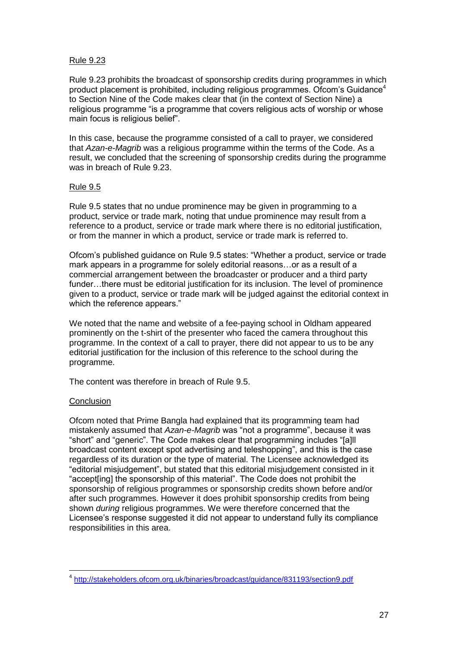# Rule 9.23

Rule 9.23 prohibits the broadcast of sponsorship credits during programmes in which product placement is prohibited, including religious programmes. Of com's Guidance<sup>4</sup> to Section Nine of the Code makes clear that (in the context of Section Nine) a religious programme "is a programme that covers religious acts of worship or whose main focus is religious belief".

In this case, because the programme consisted of a call to prayer, we considered that *Azan-e-Magrib* was a religious programme within the terms of the Code. As a result, we concluded that the screening of sponsorship credits during the programme was in breach of Rule 9.23.

# Rule 9.5

Rule 9.5 states that no undue prominence may be given in programming to a product, service or trade mark, noting that undue prominence may result from a reference to a product, service or trade mark where there is no editorial justification, or from the manner in which a product, service or trade mark is referred to.

Ofcom's published guidance on Rule 9.5 states: "Whether a product, service or trade mark appears in a programme for solely editorial reasons…or as a result of a commercial arrangement between the broadcaster or producer and a third party funder…there must be editorial justification for its inclusion. The level of prominence given to a product, service or trade mark will be judged against the editorial context in which the reference appears."

We noted that the name and website of a fee-paying school in Oldham appeared prominently on the t-shirt of the presenter who faced the camera throughout this programme. In the context of a call to prayer, there did not appear to us to be any editorial justification for the inclusion of this reference to the school during the programme.

The content was therefore in breach of Rule 9.5.

# **Conclusion**

1

Ofcom noted that Prime Bangla had explained that its programming team had mistakenly assumed that *Azan-e-Magrib* was "not a programme", because it was "short" and "generic". The Code makes clear that programming includes "[a]ll broadcast content except spot advertising and teleshopping", and this is the case regardless of its duration or the type of material. The Licensee acknowledged its "editorial misjudgement", but stated that this editorial misjudgement consisted in it "accept[ing] the sponsorship of this material". The Code does not prohibit the sponsorship of religious programmes or sponsorship credits shown before and/or after such programmes. However it does prohibit sponsorship credits from being shown *during* religious programmes. We were therefore concerned that the Licensee's response suggested it did not appear to understand fully its compliance responsibilities in this area.

<sup>4</sup> <http://stakeholders.ofcom.org.uk/binaries/broadcast/guidance/831193/section9.pdf>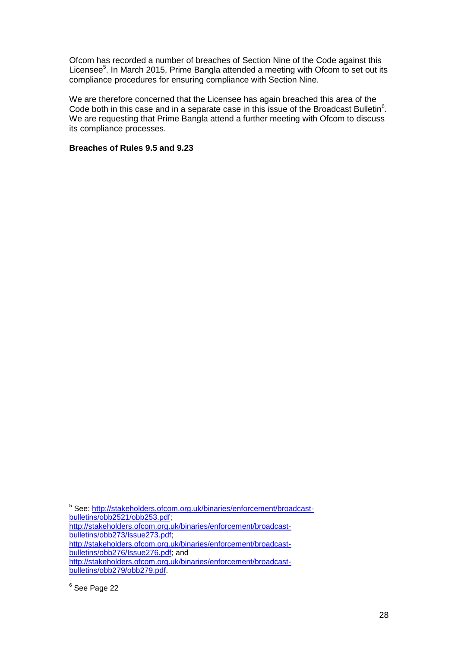Ofcom has recorded a number of breaches of Section Nine of the Code against this Licensee<sup>5</sup>. In March 2015, Prime Bangla attended a meeting with Ofcom to set out its compliance procedures for ensuring compliance with Section Nine.

We are therefore concerned that the Licensee has again breached this area of the Code both in this case and in a separate case in this issue of the Broadcast Bulletin $6$ . We are requesting that Prime Bangla attend a further meeting with Ofcom to discuss its compliance processes.

# **Breaches of Rules 9.5 and 9.23**

1

<sup>&</sup>lt;sup>5</sup> See: [http://stakeholders.ofcom.org.uk/binaries/enforcement/broadcast](http://stakeholders.ofcom.org.uk/binaries/enforcement/broadcast-bulletins/obb2521/obb253.pdf)[bulletins/obb2521/obb253.pdf;](http://stakeholders.ofcom.org.uk/binaries/enforcement/broadcast-bulletins/obb2521/obb253.pdf)

[http://stakeholders.ofcom.org.uk/binaries/enforcement/broadcast](http://stakeholders.ofcom.org.uk/binaries/enforcement/broadcast-bulletins/obb273/Issue273.pdf)[bulletins/obb273/Issue273.pdf;](http://stakeholders.ofcom.org.uk/binaries/enforcement/broadcast-bulletins/obb273/Issue273.pdf)

[http://stakeholders.ofcom.org.uk/binaries/enforcement/broadcast](http://stakeholders.ofcom.org.uk/binaries/enforcement/broadcast-bulletins/obb276/Issue276.pdf)[bulletins/obb276/Issue276.pdf;](http://stakeholders.ofcom.org.uk/binaries/enforcement/broadcast-bulletins/obb276/Issue276.pdf) and

[http://stakeholders.ofcom.org.uk/binaries/enforcement/broadcast](http://stakeholders.ofcom.org.uk/binaries/enforcement/broadcast-bulletins/obb279/obb279.pdf)[bulletins/obb279/obb279.pdf.](http://stakeholders.ofcom.org.uk/binaries/enforcement/broadcast-bulletins/obb279/obb279.pdf)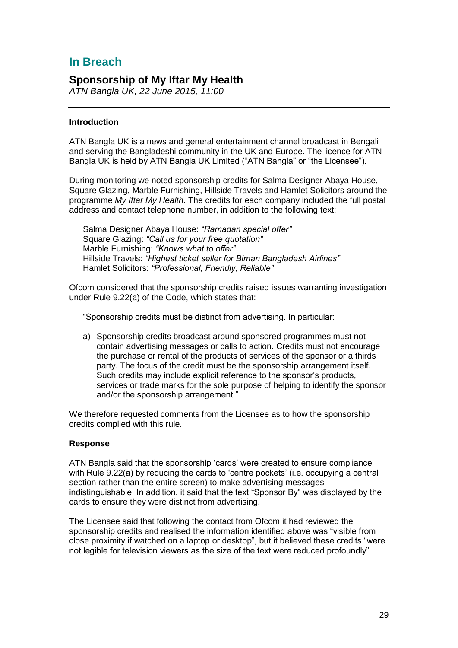# **In Breach**

# **Sponsorship of My Iftar My Health**

*ATN Bangla UK, 22 June 2015, 11:00*

# **Introduction**

ATN Bangla UK is a news and general entertainment channel broadcast in Bengali and serving the Bangladeshi community in the UK and Europe. The licence for ATN Bangla UK is held by ATN Bangla UK Limited ("ATN Bangla" or "the Licensee").

During monitoring we noted sponsorship credits for Salma Designer Abaya House, Square Glazing, Marble Furnishing, Hillside Travels and Hamlet Solicitors around the programme *My Iftar My Health*. The credits for each company included the full postal address and contact telephone number, in addition to the following text:

Salma Designer Abaya House: *"Ramadan special offer"* Square Glazing: *"Call us for your free quotation"* Marble Furnishing: *"Knows what to offer"* Hillside Travels: *"Highest ticket seller for Biman Bangladesh Airlines"* Hamlet Solicitors: *"Professional, Friendly, Reliable"*

Ofcom considered that the sponsorship credits raised issues warranting investigation under Rule 9.22(a) of the Code, which states that:

"Sponsorship credits must be distinct from advertising. In particular:

a) Sponsorship credits broadcast around sponsored programmes must not contain advertising messages or calls to action. Credits must not encourage the purchase or rental of the products of services of the sponsor or a thirds party. The focus of the credit must be the sponsorship arrangement itself. Such credits may include explicit reference to the sponsor's products, services or trade marks for the sole purpose of helping to identify the sponsor and/or the sponsorship arrangement."

We therefore requested comments from the Licensee as to how the sponsorship credits complied with this rule.

#### **Response**

ATN Bangla said that the sponsorship 'cards' were created to ensure compliance with Rule 9.22(a) by reducing the cards to 'centre pockets' (i.e. occupying a central section rather than the entire screen) to make advertising messages indistinguishable. In addition, it said that the text "Sponsor By" was displayed by the cards to ensure they were distinct from advertising.

The Licensee said that following the contact from Ofcom it had reviewed the sponsorship credits and realised the information identified above was "visible from close proximity if watched on a laptop or desktop", but it believed these credits "were not legible for television viewers as the size of the text were reduced profoundly".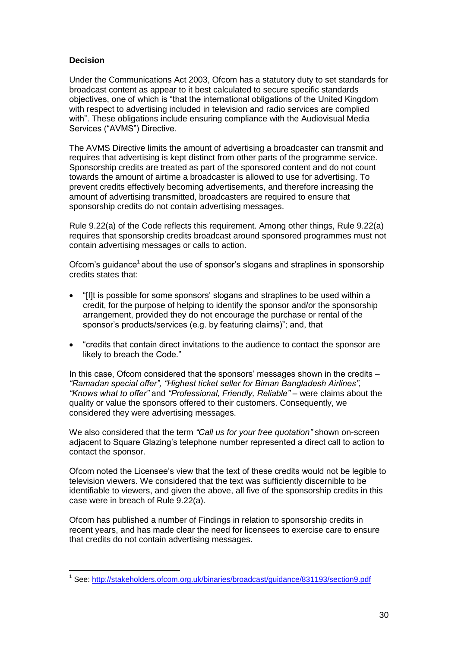# **Decision**

Under the Communications Act 2003, Ofcom has a statutory duty to set standards for broadcast content as appear to it best calculated to secure specific standards objectives, one of which is "that the international obligations of the United Kingdom with respect to advertising included in television and radio services are complied with". These obligations include ensuring compliance with the Audiovisual Media Services ("AVMS") Directive.

The AVMS Directive limits the amount of advertising a broadcaster can transmit and requires that advertising is kept distinct from other parts of the programme service. Sponsorship credits are treated as part of the sponsored content and do not count towards the amount of airtime a broadcaster is allowed to use for advertising. To prevent credits effectively becoming advertisements, and therefore increasing the amount of advertising transmitted, broadcasters are required to ensure that sponsorship credits do not contain advertising messages.

Rule 9.22(a) of the Code reflects this requirement. Among other things, Rule 9.22(a) requires that sponsorship credits broadcast around sponsored programmes must not contain advertising messages or calls to action.

Ofcom's guidance<sup>1</sup> about the use of sponsor's slogans and straplines in sponsorship credits states that:

- "[I]t is possible for some sponsors' slogans and straplines to be used within a credit, for the purpose of helping to identify the sponsor and/or the sponsorship arrangement, provided they do not encourage the purchase or rental of the sponsor's products/services (e.g. by featuring claims)"; and, that
- "credits that contain direct invitations to the audience to contact the sponsor are likely to breach the Code."

In this case, Ofcom considered that the sponsors' messages shown in the credits – *"Ramadan special offer", "Highest ticket seller for Biman Bangladesh Airlines", "Knows what to offer"* and *"Professional, Friendly, Reliable" –* were claims about the quality or value the sponsors offered to their customers. Consequently, we considered they were advertising messages.

We also considered that the term *"Call us for your free quotation"* shown on-screen adjacent to Square Glazing's telephone number represented a direct call to action to contact the sponsor.

Ofcom noted the Licensee's view that the text of these credits would not be legible to television viewers. We considered that the text was sufficiently discernible to be identifiable to viewers, and given the above, all five of the sponsorship credits in this case were in breach of Rule 9.22(a).

Ofcom has published a number of Findings in relation to sponsorship credits in recent years, and has made clear the need for licensees to exercise care to ensure that credits do not contain advertising messages.

 1 See:<http://stakeholders.ofcom.org.uk/binaries/broadcast/guidance/831193/section9.pdf>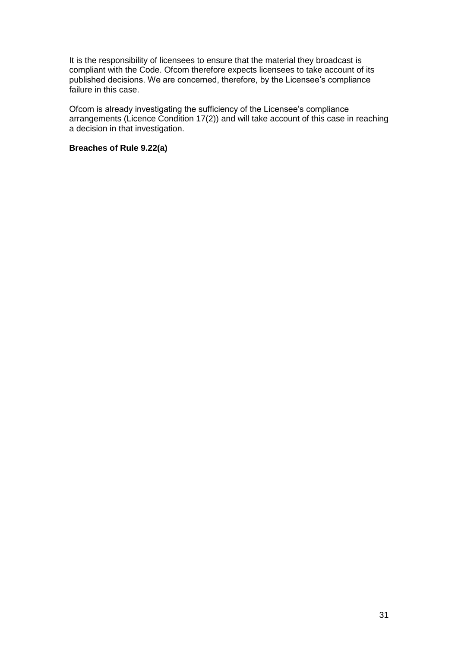It is the responsibility of licensees to ensure that the material they broadcast is compliant with the Code. Ofcom therefore expects licensees to take account of its published decisions. We are concerned, therefore, by the Licensee's compliance failure in this case.

Ofcom is already investigating the sufficiency of the Licensee's compliance arrangements (Licence Condition 17(2)) and will take account of this case in reaching a decision in that investigation.

# **Breaches of Rule 9.22(a)**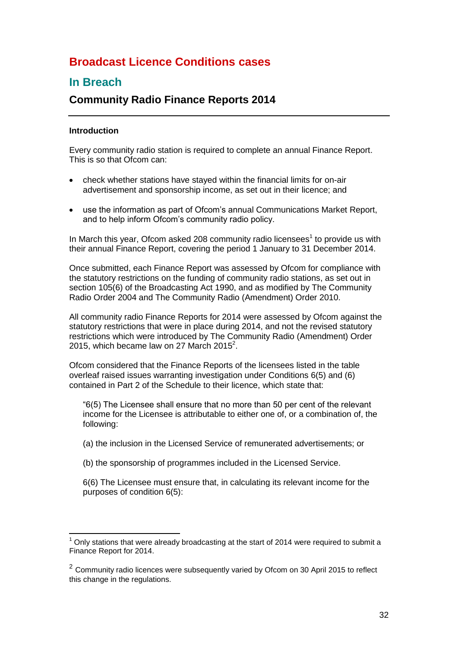# **Broadcast Licence Conditions cases**

# **In Breach**

# **Community Radio Finance Reports 2014**

# **Introduction**

1

Every community radio station is required to complete an annual Finance Report. This is so that Ofcom can:

- check whether stations have stayed within the financial limits for on-air advertisement and sponsorship income, as set out in their licence; and
- use the information as part of Ofcom's annual Communications Market Report, and to help inform Ofcom's community radio policy.

In March this year, Ofcom asked 208 community radio licensees<sup>1</sup> to provide us with their annual Finance Report, covering the period 1 January to 31 December 2014.

Once submitted, each Finance Report was assessed by Ofcom for compliance with the statutory restrictions on the funding of community radio stations, as set out in section 105(6) of the Broadcasting Act 1990, and as modified by The Community Radio Order 2004 and The Community Radio (Amendment) Order 2010.

All community radio Finance Reports for 2014 were assessed by Ofcom against the statutory restrictions that were in place during 2014, and not the revised statutory restrictions which were introduced by The Community Radio (Amendment) Order 2015, which became law on 27 March 2015 $^2$ .

Ofcom considered that the Finance Reports of the licensees listed in the table overleaf raised issues warranting investigation under Conditions 6(5) and (6) contained in Part 2 of the Schedule to their licence, which state that:

"6(5) The Licensee shall ensure that no more than 50 per cent of the relevant income for the Licensee is attributable to either one of, or a combination of, the following:

(a) the inclusion in the Licensed Service of remunerated advertisements; or

(b) the sponsorship of programmes included in the Licensed Service.

6(6) The Licensee must ensure that, in calculating its relevant income for the purposes of condition 6(5):

 $<sup>1</sup>$  Only stations that were already broadcasting at the start of 2014 were required to submit a</sup> Finance Report for 2014.

 $2$  Community radio licences were subsequently varied by Ofcom on 30 April 2015 to reflect this change in the regulations.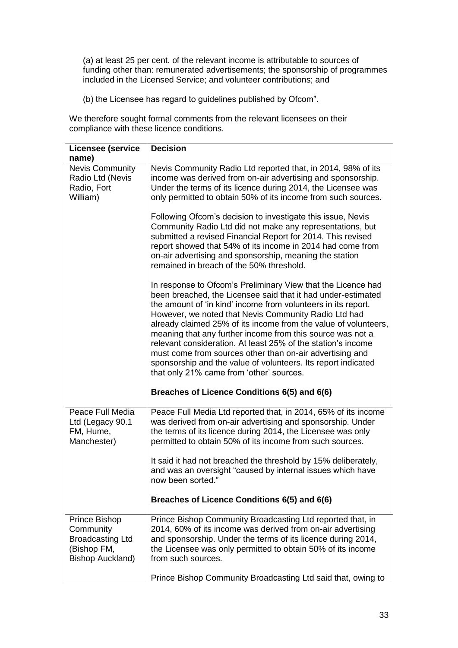(a) at least 25 per cent. of the relevant income is attributable to sources of funding other than: remunerated advertisements; the sponsorship of programmes included in the Licensed Service; and volunteer contributions; and

(b) the Licensee has regard to guidelines published by Ofcom".

We therefore sought formal comments from the relevant licensees on their compliance with these licence conditions.

| <b>Licensee (service</b>                                                                        | <b>Decision</b>                                                                                                                                                                                                                                                                                                                                                                                                                                                                                                                                                                                                                 |
|-------------------------------------------------------------------------------------------------|---------------------------------------------------------------------------------------------------------------------------------------------------------------------------------------------------------------------------------------------------------------------------------------------------------------------------------------------------------------------------------------------------------------------------------------------------------------------------------------------------------------------------------------------------------------------------------------------------------------------------------|
| name)                                                                                           |                                                                                                                                                                                                                                                                                                                                                                                                                                                                                                                                                                                                                                 |
| <b>Nevis Community</b><br>Radio Ltd (Nevis<br>Radio, Fort<br>William)                           | Nevis Community Radio Ltd reported that, in 2014, 98% of its<br>income was derived from on-air advertising and sponsorship.<br>Under the terms of its licence during 2014, the Licensee was<br>only permitted to obtain 50% of its income from such sources.                                                                                                                                                                                                                                                                                                                                                                    |
|                                                                                                 | Following Ofcom's decision to investigate this issue, Nevis<br>Community Radio Ltd did not make any representations, but<br>submitted a revised Financial Report for 2014. This revised<br>report showed that 54% of its income in 2014 had come from<br>on-air advertising and sponsorship, meaning the station<br>remained in breach of the 50% threshold.                                                                                                                                                                                                                                                                    |
|                                                                                                 | In response to Ofcom's Preliminary View that the Licence had<br>been breached, the Licensee said that it had under-estimated<br>the amount of 'in kind' income from volunteers in its report.<br>However, we noted that Nevis Community Radio Ltd had<br>already claimed 25% of its income from the value of volunteers,<br>meaning that any further income from this source was not a<br>relevant consideration. At least 25% of the station's income<br>must come from sources other than on-air advertising and<br>sponsorship and the value of volunteers. Its report indicated<br>that only 21% came from 'other' sources. |
|                                                                                                 | Breaches of Licence Conditions 6(5) and 6(6)                                                                                                                                                                                                                                                                                                                                                                                                                                                                                                                                                                                    |
| Peace Full Media<br>Ltd (Legacy 90.1<br>FM, Hume,<br>Manchester)                                | Peace Full Media Ltd reported that, in 2014, 65% of its income<br>was derived from on-air advertising and sponsorship. Under<br>the terms of its licence during 2014, the Licensee was only<br>permitted to obtain 50% of its income from such sources.<br>It said it had not breached the threshold by 15% deliberately,                                                                                                                                                                                                                                                                                                       |
|                                                                                                 | and was an oversight "caused by internal issues which have<br>now been sorted."                                                                                                                                                                                                                                                                                                                                                                                                                                                                                                                                                 |
|                                                                                                 | Breaches of Licence Conditions 6(5) and 6(6)                                                                                                                                                                                                                                                                                                                                                                                                                                                                                                                                                                                    |
| Prince Bishop<br>Community<br><b>Broadcasting Ltd</b><br>(Bishop FM,<br><b>Bishop Auckland)</b> | Prince Bishop Community Broadcasting Ltd reported that, in<br>2014, 60% of its income was derived from on-air advertising<br>and sponsorship. Under the terms of its licence during 2014,<br>the Licensee was only permitted to obtain 50% of its income<br>from such sources.                                                                                                                                                                                                                                                                                                                                                  |
|                                                                                                 | Prince Bishop Community Broadcasting Ltd said that, owing to                                                                                                                                                                                                                                                                                                                                                                                                                                                                                                                                                                    |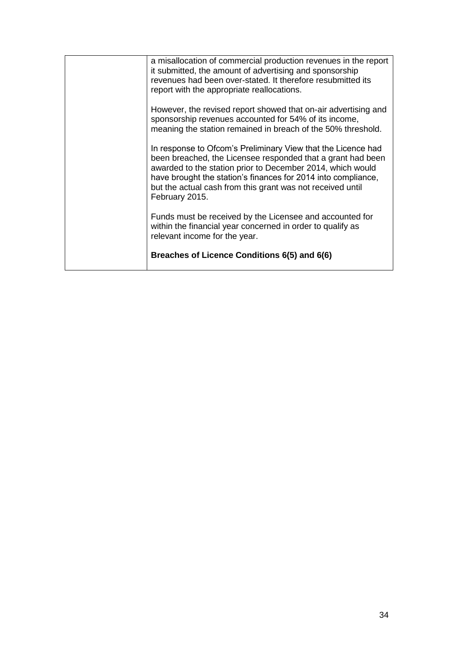| Breaches of Licence Conditions 6(5) and 6(6)                                                                                                                                                                                                                                                                                               |
|--------------------------------------------------------------------------------------------------------------------------------------------------------------------------------------------------------------------------------------------------------------------------------------------------------------------------------------------|
| Funds must be received by the Licensee and accounted for<br>within the financial year concerned in order to qualify as<br>relevant income for the year.                                                                                                                                                                                    |
| In response to Ofcom's Preliminary View that the Licence had<br>been breached, the Licensee responded that a grant had been<br>awarded to the station prior to December 2014, which would<br>have brought the station's finances for 2014 into compliance,<br>but the actual cash from this grant was not received until<br>February 2015. |
| However, the revised report showed that on-air advertising and<br>sponsorship revenues accounted for 54% of its income,<br>meaning the station remained in breach of the 50% threshold.                                                                                                                                                    |
| a misallocation of commercial production revenues in the report<br>it submitted, the amount of advertising and sponsorship<br>revenues had been over-stated. It therefore resubmitted its<br>report with the appropriate reallocations.                                                                                                    |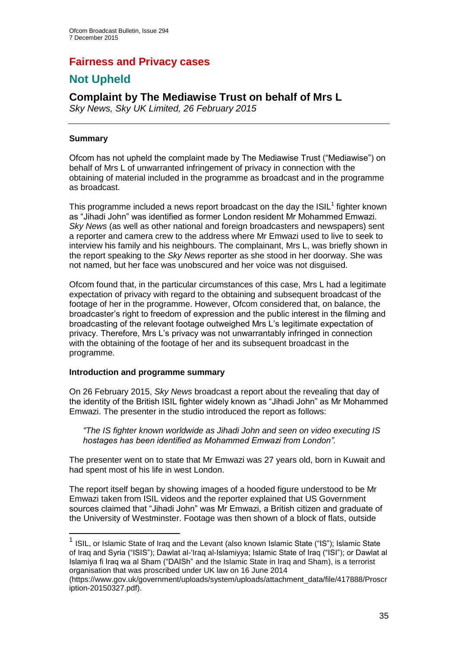# **Fairness and Privacy cases**

# **Not Upheld**

# **Complaint by The Mediawise Trust on behalf of Mrs L**

*Sky News, Sky UK Limited, 26 February 2015*

# **Summary**

Ofcom has not upheld the complaint made by The Mediawise Trust ("Mediawise") on behalf of Mrs L of unwarranted infringement of privacy in connection with the obtaining of material included in the programme as broadcast and in the programme as broadcast.

This programme included a news report broadcast on the day the  $ISIL<sup>1</sup>$  fighter known as "Jihadi John" was identified as former London resident Mr Mohammed Emwazi. *Sky News* (as well as other national and foreign broadcasters and newspapers) sent a reporter and camera crew to the address where Mr Emwazi used to live to seek to interview his family and his neighbours. The complainant, Mrs L, was briefly shown in the report speaking to the *Sky News* reporter as she stood in her doorway. She was not named, but her face was unobscured and her voice was not disguised.

Ofcom found that, in the particular circumstances of this case, Mrs L had a legitimate expectation of privacy with regard to the obtaining and subsequent broadcast of the footage of her in the programme. However, Ofcom considered that, on balance, the broadcaster's right to freedom of expression and the public interest in the filming and broadcasting of the relevant footage outweighed Mrs L's legitimate expectation of privacy. Therefore, Mrs L's privacy was not unwarrantably infringed in connection with the obtaining of the footage of her and its subsequent broadcast in the programme.

# **Introduction and programme summary**

On 26 February 2015, *Sky News* broadcast a report about the revealing that day of the identity of the British ISIL fighter widely known as "Jihadi John" as Mr Mohammed Emwazi. The presenter in the studio introduced the report as follows:

*"The IS fighter known worldwide as Jihadi John and seen on video executing IS hostages has been identified as Mohammed Emwazi from London".*

The presenter went on to state that Mr Emwazi was 27 years old, born in Kuwait and had spent most of his life in west London.

The report itself began by showing images of a hooded figure understood to be Mr Emwazi taken from ISIL videos and the reporter explained that US Government sources claimed that "Jihadi John" was Mr Emwazi, a British citizen and graduate of the University of Westminster. Footage was then shown of a block of flats, outside

 1 ISIL, or Islamic State of Iraq and the Levant (also known Islamic State ("IS"); Islamic State of Iraq and Syria ("ISIS"); Dawlat al-'Iraq al-Islamiyya; Islamic State of Iraq ("ISI"); or Dawlat al Islamiya fi Iraq wa al Sham ("DAISh" and the Islamic State in Iraq and Sham), is a terrorist organisation that was proscribed under UK law on 16 June 2014

<sup>(</sup>https://www.gov.uk/government/uploads/system/uploads/attachment\_data/file/417888/Proscr iption-20150327.pdf).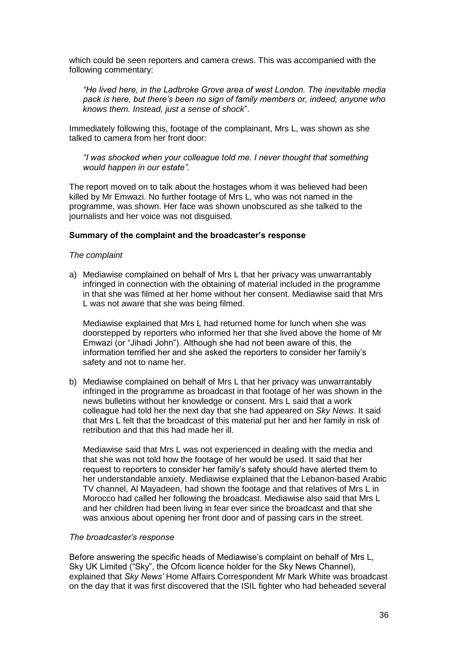which could be seen reporters and camera crews. This was accompanied with the following commentary:

*"He lived here, in the Ladbroke Grove area of west London. The inevitable media pack is here, but there's been no sign of family members or, indeed, anyone who knows them. Instead, just a sense of shock*".

Immediately following this, footage of the complainant, Mrs L, was shown as she talked to camera from her front door:

*"I was shocked when your colleague told me. I never thought that something would happen in our estate".*

The report moved on to talk about the hostages whom it was believed had been killed by Mr Emwazi. No further footage of Mrs L, who was not named in the programme, was shown. Her face was shown unobscured as she talked to the journalists and her voice was not disguised.

#### **Summary of the complaint and the broadcaster's response**

#### *The complaint*

a) Mediawise complained on behalf of Mrs L that her privacy was unwarrantably infringed in connection with the obtaining of material included in the programme in that she was filmed at her home without her consent. Mediawise said that Mrs L was not aware that she was being filmed.

Mediawise explained that Mrs L had returned home for lunch when she was doorstepped by reporters who informed her that she lived above the home of Mr Emwazi (or "Jihadi John"). Although she had not been aware of this, the information terrified her and she asked the reporters to consider her family's safety and not to name her.

b) Mediawise complained on behalf of Mrs L that her privacy was unwarrantably infringed in the programme as broadcast in that footage of her was shown in the news bulletins without her knowledge or consent. Mrs L said that a work colleague had told her the next day that she had appeared on *Sky News*. It said that Mrs L felt that the broadcast of this material put her and her family in risk of retribution and that this had made her ill.

Mediawise said that Mrs L was not experienced in dealing with the media and that she was not told how the footage of her would be used. It said that her request to reporters to consider her family's safety should have alerted them to her understandable anxiety. Mediawise explained that the Lebanon-based Arabic TV channel, Al Mayadeen, had shown the footage and that relatives of Mrs L in Morocco had called her following the broadcast. Mediawise also said that Mrs L and her children had been living in fear ever since the broadcast and that she was anxious about opening her front door and of passing cars in the street.

#### *The broadcaster's response*

Before answering the specific heads of Mediawise's complaint on behalf of Mrs L, Sky UK Limited ("Sky", the Ofcom licence holder for the Sky News Channel), explained that *Sky News'* Home Affairs Correspondent Mr Mark White was broadcast on the day that it was first discovered that the ISIL fighter who had beheaded several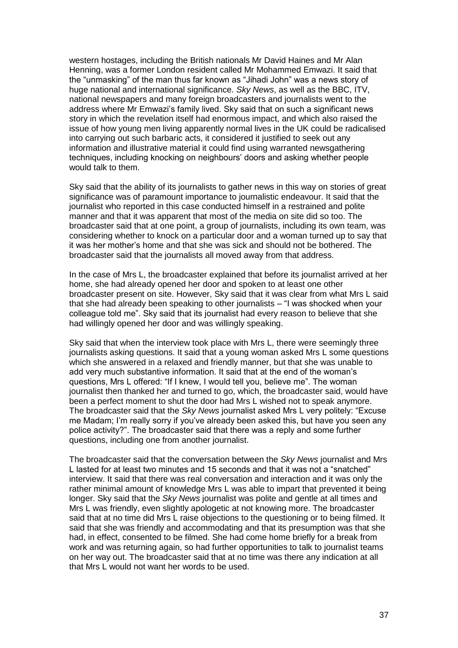western hostages, including the British nationals Mr David Haines and Mr Alan Henning, was a former London resident called Mr Mohammed Emwazi. It said that the "unmasking" of the man thus far known as "Jihadi John" was a news story of huge national and international significance. *Sky News*, as well as the BBC, ITV, national newspapers and many foreign broadcasters and journalists went to the address where Mr Emwazi's family lived. Sky said that on such a significant news story in which the revelation itself had enormous impact, and which also raised the issue of how young men living apparently normal lives in the UK could be radicalised into carrying out such barbaric acts, it considered it justified to seek out any information and illustrative material it could find using warranted newsgathering techniques, including knocking on neighbours' doors and asking whether people would talk to them.

Sky said that the ability of its journalists to gather news in this way on stories of great significance was of paramount importance to journalistic endeavour. It said that the journalist who reported in this case conducted himself in a restrained and polite manner and that it was apparent that most of the media on site did so too. The broadcaster said that at one point, a group of journalists, including its own team, was considering whether to knock on a particular door and a woman turned up to say that it was her mother's home and that she was sick and should not be bothered. The broadcaster said that the journalists all moved away from that address.

In the case of Mrs L, the broadcaster explained that before its journalist arrived at her home, she had already opened her door and spoken to at least one other broadcaster present on site. However, Sky said that it was clear from what Mrs L said that she had already been speaking to other journalists – "I was shocked when your colleague told me". Sky said that its journalist had every reason to believe that she had willingly opened her door and was willingly speaking.

Sky said that when the interview took place with Mrs L, there were seemingly three journalists asking questions. It said that a young woman asked Mrs L some questions which she answered in a relaxed and friendly manner, but that she was unable to add very much substantive information. It said that at the end of the woman's questions, Mrs L offered: "If I knew, I would tell you, believe me". The woman journalist then thanked her and turned to go, which, the broadcaster said, would have been a perfect moment to shut the door had Mrs L wished not to speak anymore. The broadcaster said that the *Sky News* journalist asked Mrs L very politely: "Excuse me Madam; I'm really sorry if you've already been asked this, but have you seen any police activity?". The broadcaster said that there was a reply and some further questions, including one from another journalist.

The broadcaster said that the conversation between the *Sky News* journalist and Mrs L lasted for at least two minutes and 15 seconds and that it was not a "snatched" interview. It said that there was real conversation and interaction and it was only the rather minimal amount of knowledge Mrs L was able to impart that prevented it being longer. Sky said that the *Sky News* journalist was polite and gentle at all times and Mrs L was friendly, even slightly apologetic at not knowing more. The broadcaster said that at no time did Mrs L raise objections to the questioning or to being filmed. It said that she was friendly and accommodating and that its presumption was that she had, in effect, consented to be filmed. She had come home briefly for a break from work and was returning again, so had further opportunities to talk to journalist teams on her way out. The broadcaster said that at no time was there any indication at all that Mrs L would not want her words to be used.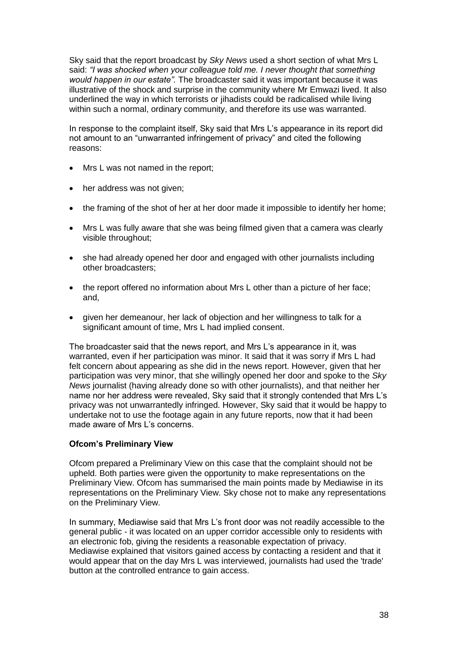Sky said that the report broadcast by *Sky News* used a short section of what Mrs L said: *"I was shocked when your colleague told me. I never thought that something would happen in our estate".* The broadcaster said it was important because it was illustrative of the shock and surprise in the community where Mr Emwazi lived. It also underlined the way in which terrorists or jihadists could be radicalised while living within such a normal, ordinary community, and therefore its use was warranted.

In response to the complaint itself, Sky said that Mrs L's appearance in its report did not amount to an "unwarranted infringement of privacy" and cited the following reasons:

- Mrs L was not named in the report;
- her address was not given;
- the framing of the shot of her at her door made it impossible to identify her home;
- Mrs L was fully aware that she was being filmed given that a camera was clearly visible throughout;
- she had already opened her door and engaged with other journalists including other broadcasters;
- the report offered no information about Mrs L other than a picture of her face; and,
- given her demeanour, her lack of objection and her willingness to talk for a significant amount of time, Mrs L had implied consent.

The broadcaster said that the news report, and Mrs L's appearance in it, was warranted, even if her participation was minor. It said that it was sorry if Mrs L had felt concern about appearing as she did in the news report. However, given that her participation was very minor, that she willingly opened her door and spoke to the *Sky News* journalist (having already done so with other journalists), and that neither her name nor her address were revealed, Sky said that it strongly contended that Mrs L's privacy was not unwarrantedly infringed. However, Sky said that it would be happy to undertake not to use the footage again in any future reports, now that it had been made aware of Mrs L's concerns.

# **Ofcom's Preliminary View**

Ofcom prepared a Preliminary View on this case that the complaint should not be upheld. Both parties were given the opportunity to make representations on the Preliminary View. Ofcom has summarised the main points made by Mediawise in its representations on the Preliminary View. Sky chose not to make any representations on the Preliminary View.

In summary, Mediawise said that Mrs L's front door was not readily accessible to the general public - it was located on an upper corridor accessible only to residents with an electronic fob, giving the residents a reasonable expectation of privacy. Mediawise explained that visitors gained access by contacting a resident and that it would appear that on the day Mrs L was interviewed, journalists had used the 'trade' button at the controlled entrance to gain access.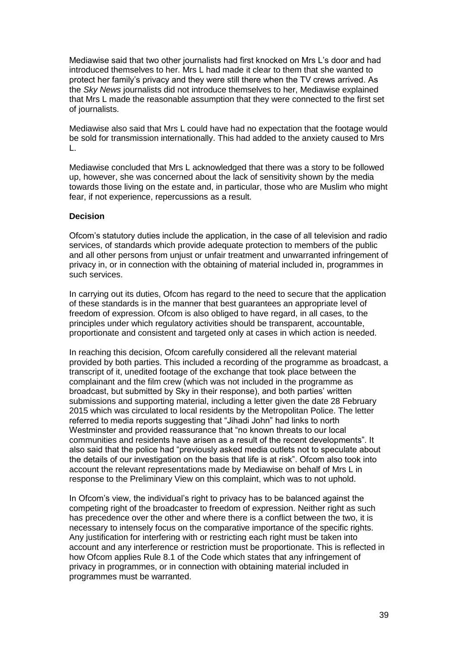Mediawise said that two other journalists had first knocked on Mrs L's door and had introduced themselves to her. Mrs L had made it clear to them that she wanted to protect her family's privacy and they were still there when the TV crews arrived. As the *Sky News* journalists did not introduce themselves to her, Mediawise explained that Mrs L made the reasonable assumption that they were connected to the first set of journalists.

Mediawise also said that Mrs L could have had no expectation that the footage would be sold for transmission internationally. This had added to the anxiety caused to Mrs L.

Mediawise concluded that Mrs L acknowledged that there was a story to be followed up, however, she was concerned about the lack of sensitivity shown by the media towards those living on the estate and, in particular, those who are Muslim who might fear, if not experience, repercussions as a result.

### **Decision**

Ofcom's statutory duties include the application, in the case of all television and radio services, of standards which provide adequate protection to members of the public and all other persons from unjust or unfair treatment and unwarranted infringement of privacy in, or in connection with the obtaining of material included in, programmes in such services.

In carrying out its duties, Ofcom has regard to the need to secure that the application of these standards is in the manner that best guarantees an appropriate level of freedom of expression. Ofcom is also obliged to have regard, in all cases, to the principles under which regulatory activities should be transparent, accountable, proportionate and consistent and targeted only at cases in which action is needed.

In reaching this decision, Ofcom carefully considered all the relevant material provided by both parties. This included a recording of the programme as broadcast, a transcript of it, unedited footage of the exchange that took place between the complainant and the film crew (which was not included in the programme as broadcast, but submitted by Sky in their response), and both parties' written submissions and supporting material, including a letter given the date 28 February 2015 which was circulated to local residents by the Metropolitan Police. The letter referred to media reports suggesting that "Jihadi John" had links to north Westminster and provided reassurance that "no known threats to our local communities and residents have arisen as a result of the recent developments". It also said that the police had "previously asked media outlets not to speculate about the details of our investigation on the basis that life is at risk". Ofcom also took into account the relevant representations made by Mediawise on behalf of Mrs L in response to the Preliminary View on this complaint, which was to not uphold.

In Ofcom's view, the individual's right to privacy has to be balanced against the competing right of the broadcaster to freedom of expression. Neither right as such has precedence over the other and where there is a conflict between the two, it is necessary to intensely focus on the comparative importance of the specific rights. Any justification for interfering with or restricting each right must be taken into account and any interference or restriction must be proportionate. This is reflected in how Ofcom applies Rule 8.1 of the Code which states that any infringement of privacy in programmes, or in connection with obtaining material included in programmes must be warranted.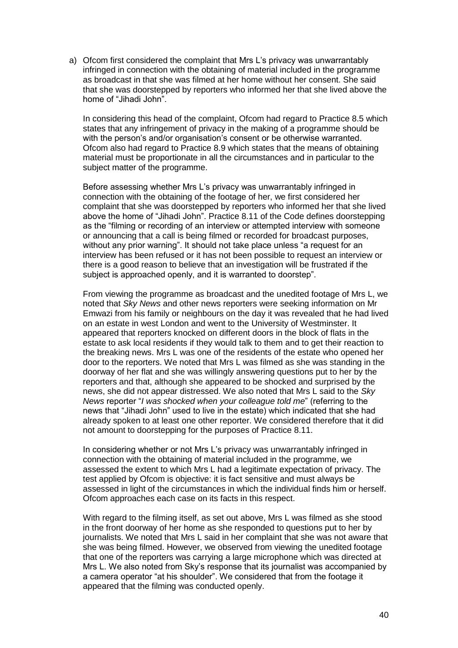a) Ofcom first considered the complaint that Mrs L's privacy was unwarrantably infringed in connection with the obtaining of material included in the programme as broadcast in that she was filmed at her home without her consent. She said that she was doorstepped by reporters who informed her that she lived above the home of "Jihadi John".

In considering this head of the complaint, Ofcom had regard to Practice 8.5 which states that any infringement of privacy in the making of a programme should be with the person's and/or organisation's consent or be otherwise warranted. Ofcom also had regard to Practice 8.9 which states that the means of obtaining material must be proportionate in all the circumstances and in particular to the subject matter of the programme.

Before assessing whether Mrs L's privacy was unwarrantably infringed in connection with the obtaining of the footage of her, we first considered her complaint that she was doorstepped by reporters who informed her that she lived above the home of "Jihadi John". Practice 8.11 of the Code defines doorstepping as the "filming or recording of an interview or attempted interview with someone or announcing that a call is being filmed or recorded for broadcast purposes, without any prior warning". It should not take place unless "a request for an interview has been refused or it has not been possible to request an interview or there is a good reason to believe that an investigation will be frustrated if the subject is approached openly, and it is warranted to doorstep".

From viewing the programme as broadcast and the unedited footage of Mrs L, we noted that *Sky News* and other news reporters were seeking information on Mr Emwazi from his family or neighbours on the day it was revealed that he had lived on an estate in west London and went to the University of Westminster. It appeared that reporters knocked on different doors in the block of flats in the estate to ask local residents if they would talk to them and to get their reaction to the breaking news. Mrs L was one of the residents of the estate who opened her door to the reporters. We noted that Mrs L was filmed as she was standing in the doorway of her flat and she was willingly answering questions put to her by the reporters and that, although she appeared to be shocked and surprised by the news, she did not appear distressed. We also noted that Mrs L said to the *Sky News* reporter "*I was shocked when your colleague told me*" (referring to the news that "Jihadi John" used to live in the estate) which indicated that she had already spoken to at least one other reporter. We considered therefore that it did not amount to doorstepping for the purposes of Practice 8.11.

In considering whether or not Mrs L's privacy was unwarrantably infringed in connection with the obtaining of material included in the programme, we assessed the extent to which Mrs L had a legitimate expectation of privacy. The test applied by Ofcom is objective: it is fact sensitive and must always be assessed in light of the circumstances in which the individual finds him or herself. Ofcom approaches each case on its facts in this respect.

With regard to the filming itself, as set out above, Mrs L was filmed as she stood in the front doorway of her home as she responded to questions put to her by journalists. We noted that Mrs L said in her complaint that she was not aware that she was being filmed. However, we observed from viewing the unedited footage that one of the reporters was carrying a large microphone which was directed at Mrs L. We also noted from Sky's response that its journalist was accompanied by a camera operator "at his shoulder". We considered that from the footage it appeared that the filming was conducted openly.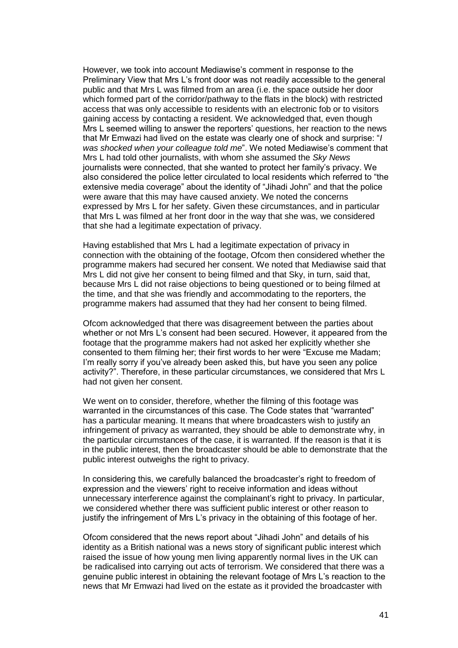However, we took into account Mediawise's comment in response to the Preliminary View that Mrs L's front door was not readily accessible to the general public and that Mrs L was filmed from an area (i.e. the space outside her door which formed part of the corridor/pathway to the flats in the block) with restricted access that was only accessible to residents with an electronic fob or to visitors gaining access by contacting a resident. We acknowledged that, even though Mrs L seemed willing to answer the reporters' questions, her reaction to the news that Mr Emwazi had lived on the estate was clearly one of shock and surprise: "*I was shocked when your colleague told me*". We noted Mediawise's comment that Mrs L had told other journalists, with whom she assumed the *Sky News*  journalists were connected, that she wanted to protect her family's privacy. We also considered the police letter circulated to local residents which referred to "the extensive media coverage" about the identity of "Jihadi John" and that the police were aware that this may have caused anxiety. We noted the concerns expressed by Mrs L for her safety. Given these circumstances, and in particular that Mrs L was filmed at her front door in the way that she was, we considered that she had a legitimate expectation of privacy.

Having established that Mrs L had a legitimate expectation of privacy in connection with the obtaining of the footage, Ofcom then considered whether the programme makers had secured her consent. We noted that Mediawise said that Mrs L did not give her consent to being filmed and that Sky, in turn, said that, because Mrs L did not raise objections to being questioned or to being filmed at the time, and that she was friendly and accommodating to the reporters, the programme makers had assumed that they had her consent to being filmed.

Ofcom acknowledged that there was disagreement between the parties about whether or not Mrs L's consent had been secured. However, it appeared from the footage that the programme makers had not asked her explicitly whether she consented to them filming her; their first words to her were "Excuse me Madam; I'm really sorry if you've already been asked this, but have you seen any police activity?". Therefore, in these particular circumstances, we considered that Mrs L had not given her consent.

We went on to consider, therefore, whether the filming of this footage was warranted in the circumstances of this case. The Code states that "warranted" has a particular meaning. It means that where broadcasters wish to justify an infringement of privacy as warranted, they should be able to demonstrate why, in the particular circumstances of the case, it is warranted. If the reason is that it is in the public interest, then the broadcaster should be able to demonstrate that the public interest outweighs the right to privacy.

In considering this, we carefully balanced the broadcaster's right to freedom of expression and the viewers' right to receive information and ideas without unnecessary interference against the complainant's right to privacy. In particular, we considered whether there was sufficient public interest or other reason to justify the infringement of Mrs L's privacy in the obtaining of this footage of her.

Ofcom considered that the news report about "Jihadi John" and details of his identity as a British national was a news story of significant public interest which raised the issue of how young men living apparently normal lives in the UK can be radicalised into carrying out acts of terrorism. We considered that there was a genuine public interest in obtaining the relevant footage of Mrs L's reaction to the news that Mr Emwazi had lived on the estate as it provided the broadcaster with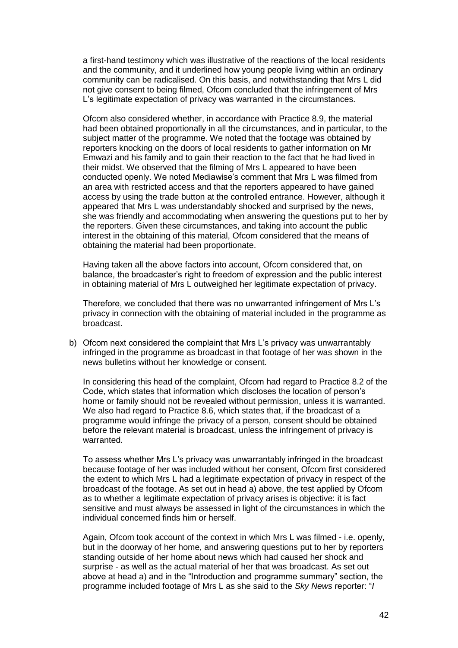a first-hand testimony which was illustrative of the reactions of the local residents and the community, and it underlined how young people living within an ordinary community can be radicalised. On this basis, and notwithstanding that Mrs L did not give consent to being filmed, Ofcom concluded that the infringement of Mrs L's legitimate expectation of privacy was warranted in the circumstances.

Ofcom also considered whether, in accordance with Practice 8.9, the material had been obtained proportionally in all the circumstances, and in particular, to the subject matter of the programme. We noted that the footage was obtained by reporters knocking on the doors of local residents to gather information on Mr Emwazi and his family and to gain their reaction to the fact that he had lived in their midst. We observed that the filming of Mrs L appeared to have been conducted openly. We noted Mediawise's comment that Mrs L was filmed from an area with restricted access and that the reporters appeared to have gained access by using the trade button at the controlled entrance. However, although it appeared that Mrs L was understandably shocked and surprised by the news, she was friendly and accommodating when answering the questions put to her by the reporters. Given these circumstances, and taking into account the public interest in the obtaining of this material, Ofcom considered that the means of obtaining the material had been proportionate.

Having taken all the above factors into account, Ofcom considered that, on balance, the broadcaster's right to freedom of expression and the public interest in obtaining material of Mrs L outweighed her legitimate expectation of privacy.

Therefore, we concluded that there was no unwarranted infringement of Mrs L's privacy in connection with the obtaining of material included in the programme as broadcast.

b) Ofcom next considered the complaint that Mrs L's privacy was unwarrantably infringed in the programme as broadcast in that footage of her was shown in the news bulletins without her knowledge or consent.

In considering this head of the complaint, Ofcom had regard to Practice 8.2 of the Code, which states that information which discloses the location of person's home or family should not be revealed without permission, unless it is warranted. We also had regard to Practice 8.6, which states that, if the broadcast of a programme would infringe the privacy of a person, consent should be obtained before the relevant material is broadcast, unless the infringement of privacy is warranted.

To assess whether Mrs L's privacy was unwarrantably infringed in the broadcast because footage of her was included without her consent, Ofcom first considered the extent to which Mrs L had a legitimate expectation of privacy in respect of the broadcast of the footage. As set out in head a) above, the test applied by Ofcom as to whether a legitimate expectation of privacy arises is objective: it is fact sensitive and must always be assessed in light of the circumstances in which the individual concerned finds him or herself.

Again, Ofcom took account of the context in which Mrs L was filmed - i.e. openly, but in the doorway of her home, and answering questions put to her by reporters standing outside of her home about news which had caused her shock and surprise - as well as the actual material of her that was broadcast. As set out above at head a) and in the "Introduction and programme summary" section, the programme included footage of Mrs L as she said to the *Sky News* reporter: "*I*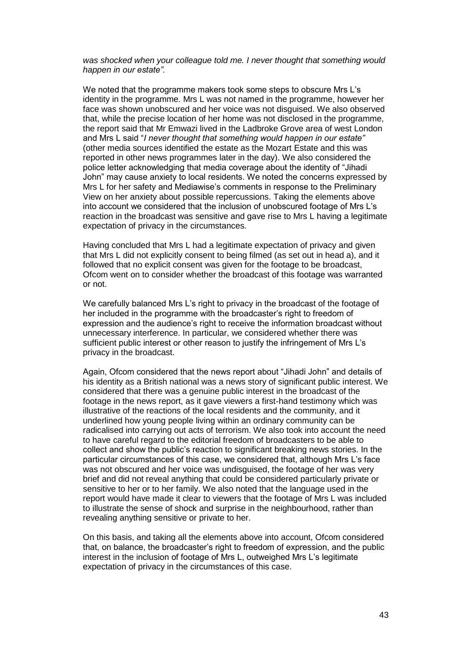*was shocked when your colleague told me. I never thought that something would happen in our estate".* 

We noted that the programme makers took some steps to obscure Mrs L's identity in the programme. Mrs L was not named in the programme, however her face was shown unobscured and her voice was not disguised. We also observed that, while the precise location of her home was not disclosed in the programme, the report said that Mr Emwazi lived in the Ladbroke Grove area of west London and Mrs L said "*I never thought that something would happen in our estate"* (other media sources identified the estate as the Mozart Estate and this was reported in other news programmes later in the day). We also considered the police letter acknowledging that media coverage about the identity of "Jihadi John" may cause anxiety to local residents. We noted the concerns expressed by Mrs L for her safety and Mediawise's comments in response to the Preliminary View on her anxiety about possible repercussions. Taking the elements above into account we considered that the inclusion of unobscured footage of Mrs L's reaction in the broadcast was sensitive and gave rise to Mrs L having a legitimate expectation of privacy in the circumstances.

Having concluded that Mrs L had a legitimate expectation of privacy and given that Mrs L did not explicitly consent to being filmed (as set out in head a), and it followed that no explicit consent was given for the footage to be broadcast, Ofcom went on to consider whether the broadcast of this footage was warranted or not.

We carefully balanced Mrs L's right to privacy in the broadcast of the footage of her included in the programme with the broadcaster's right to freedom of expression and the audience's right to receive the information broadcast without unnecessary interference. In particular, we considered whether there was sufficient public interest or other reason to justify the infringement of Mrs L's privacy in the broadcast.

Again, Ofcom considered that the news report about "Jihadi John" and details of his identity as a British national was a news story of significant public interest. We considered that there was a genuine public interest in the broadcast of the footage in the news report, as it gave viewers a first-hand testimony which was illustrative of the reactions of the local residents and the community, and it underlined how young people living within an ordinary community can be radicalised into carrying out acts of terrorism. We also took into account the need to have careful regard to the editorial freedom of broadcasters to be able to collect and show the public's reaction to significant breaking news stories. In the particular circumstances of this case, we considered that, although Mrs L's face was not obscured and her voice was undisguised, the footage of her was very brief and did not reveal anything that could be considered particularly private or sensitive to her or to her family. We also noted that the language used in the report would have made it clear to viewers that the footage of Mrs L was included to illustrate the sense of shock and surprise in the neighbourhood, rather than revealing anything sensitive or private to her.

On this basis, and taking all the elements above into account, Ofcom considered that, on balance, the broadcaster's right to freedom of expression, and the public interest in the inclusion of footage of Mrs L, outweighed Mrs L's legitimate expectation of privacy in the circumstances of this case.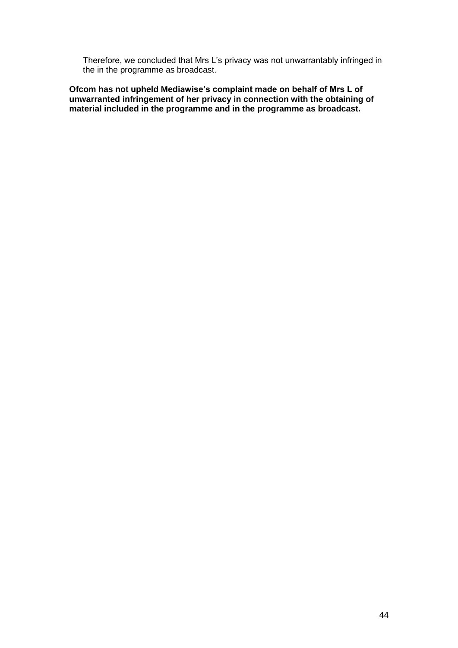Therefore, we concluded that Mrs L's privacy was not unwarrantably infringed in the in the programme as broadcast.

**Ofcom has not upheld Mediawise's complaint made on behalf of Mrs L of unwarranted infringement of her privacy in connection with the obtaining of material included in the programme and in the programme as broadcast.**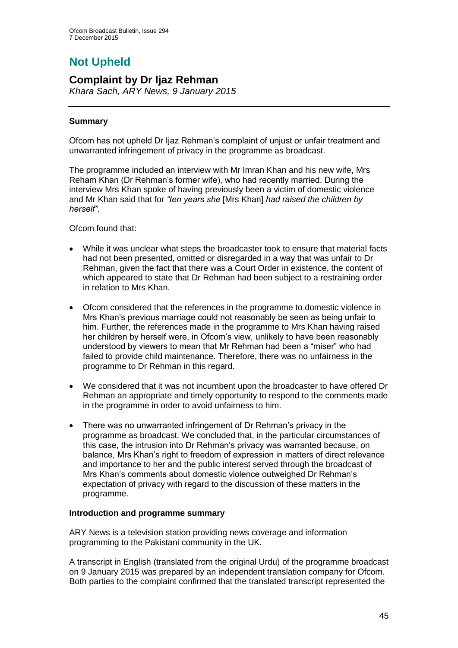# **Not Upheld**

# **Complaint by Dr Ijaz Rehman**

*Khara Sach, ARY News, 9 January 2015*

# **Summary**

Ofcom has not upheld Dr Ijaz Rehman's complaint of unjust or unfair treatment and unwarranted infringement of privacy in the programme as broadcast.

The programme included an interview with Mr Imran Khan and his new wife, Mrs Reham Khan (Dr Rehman's former wife), who had recently married. During the interview Mrs Khan spoke of having previously been a victim of domestic violence and Mr Khan said that for *"ten years she* [Mrs Khan] *had raised the children by herself"*.

Ofcom found that:

- While it was unclear what steps the broadcaster took to ensure that material facts had not been presented, omitted or disregarded in a way that was unfair to Dr Rehman, given the fact that there was a Court Order in existence, the content of which appeared to state that Dr Rehman had been subject to a restraining order in relation to Mrs Khan.
- Ofcom considered that the references in the programme to domestic violence in Mrs Khan's previous marriage could not reasonably be seen as being unfair to him. Further, the references made in the programme to Mrs Khan having raised her children by herself were, in Ofcom's view, unlikely to have been reasonably understood by viewers to mean that Mr Rehman had been a "miser" who had failed to provide child maintenance. Therefore, there was no unfairness in the programme to Dr Rehman in this regard.
- We considered that it was not incumbent upon the broadcaster to have offered Dr Rehman an appropriate and timely opportunity to respond to the comments made in the programme in order to avoid unfairness to him.
- There was no unwarranted infringement of Dr Rehman's privacy in the programme as broadcast. We concluded that, in the particular circumstances of this case, the intrusion into Dr Rehman's privacy was warranted because, on balance, Mrs Khan's right to freedom of expression in matters of direct relevance and importance to her and the public interest served through the broadcast of Mrs Khan's comments about domestic violence outweighed Dr Rehman's expectation of privacy with regard to the discussion of these matters in the programme.

# **Introduction and programme summary**

ARY News is a television station providing news coverage and information programming to the Pakistani community in the UK.

A transcript in English (translated from the original Urdu) of the programme broadcast on 9 January 2015 was prepared by an independent translation company for Ofcom. Both parties to the complaint confirmed that the translated transcript represented the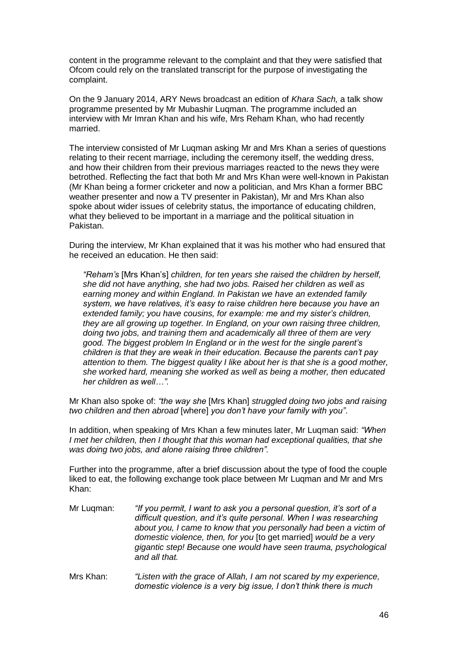content in the programme relevant to the complaint and that they were satisfied that Ofcom could rely on the translated transcript for the purpose of investigating the complaint.

On the 9 January 2014, ARY News broadcast an edition of *Khara Sach,* a talk show programme presented by Mr Mubashir Luqman. The programme included an interview with Mr Imran Khan and his wife, Mrs Reham Khan, who had recently married.

The interview consisted of Mr Luqman asking Mr and Mrs Khan a series of questions relating to their recent marriage, including the ceremony itself, the wedding dress, and how their children from their previous marriages reacted to the news they were betrothed. Reflecting the fact that both Mr and Mrs Khan were well-known in Pakistan (Mr Khan being a former cricketer and now a politician, and Mrs Khan a former BBC weather presenter and now a TV presenter in Pakistan), Mr and Mrs Khan also spoke about wider issues of celebrity status, the importance of educating children, what they believed to be important in a marriage and the political situation in Pakistan.

During the interview, Mr Khan explained that it was his mother who had ensured that he received an education. He then said:

*"Reham's* [Mrs Khan's] *children, for ten years she raised the children by herself, she did not have anything, she had two jobs. Raised her children as well as earning money and within England. In Pakistan we have an extended family system, we have relatives, it's easy to raise children here because you have an extended family; you have cousins, for example: me and my sister's children, they are all growing up together. In England, on your own raising three children, doing two jobs, and training them and academically all three of them are very good. The biggest problem In England or in the west for the single parent's children is that they are weak in their education. Because the parents can't pay attention to them. The biggest quality I like about her is that she is a good mother, she worked hard, meaning she worked as well as being a mother, then educated her children as well…".*

Mr Khan also spoke of: *"the way she* [Mrs Khan] *struggled doing two jobs and raising two children and then abroad* [where] *you don't have your family with you"*.

In addition, when speaking of Mrs Khan a few minutes later, Mr Luqman said: *"When I met her children, then I thought that this woman had exceptional qualities, that she was doing two jobs, and alone raising three children".*

Further into the programme, after a brief discussion about the type of food the couple liked to eat, the following exchange took place between Mr Luqman and Mr and Mrs Khan:

- Mr Luqman: *"If you permit, I want to ask you a personal question, it's sort of a difficult question, and it's quite personal. When I was researching about you, I came to know that you personally had been a victim of domestic violence, then, for you* [to get married] *would be a very gigantic step! Because one would have seen trauma, psychological and all that.*
- Mrs Khan: *"Listen with the grace of Allah, I am not scared by my experience, domestic violence is a very big issue, I don't think there is much*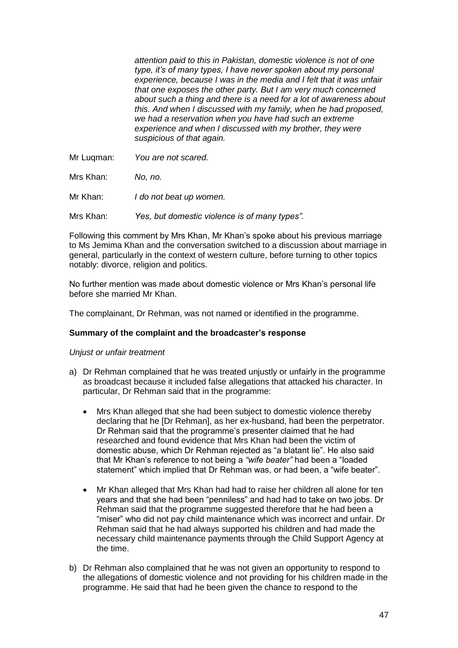*attention paid to this in Pakistan, domestic violence is not of one type, it's of many types, I have never spoken about my personal experience, because I was in the media and I felt that it was unfair that one exposes the other party. But I am very much concerned about such a thing and there is a need for a lot of awareness about this. And when I discussed with my family, when he had proposed, we had a reservation when you have had such an extreme experience and when I discussed with my brother, they were suspicious of that again.*

Mr Luqman: *You are not scared.*

Mrs Khan: *No, no.*

Mr Khan: *I do not beat up women.*

Mrs Khan: *Yes, but domestic violence is of many types".*

Following this comment by Mrs Khan, Mr Khan's spoke about his previous marriage to Ms Jemima Khan and the conversation switched to a discussion about marriage in general, particularly in the context of western culture, before turning to other topics notably: divorce, religion and politics.

No further mention was made about domestic violence or Mrs Khan's personal life before she married Mr Khan.

The complainant, Dr Rehman, was not named or identified in the programme.

### **Summary of the complaint and the broadcaster's response**

### *Unjust or unfair treatment*

- a) Dr Rehman complained that he was treated unjustly or unfairly in the programme as broadcast because it included false allegations that attacked his character. In particular, Dr Rehman said that in the programme:
	- Mrs Khan alleged that she had been subject to domestic violence thereby declaring that he [Dr Rehman], as her ex-husband, had been the perpetrator. Dr Rehman said that the programme's presenter claimed that he had researched and found evidence that Mrs Khan had been the victim of domestic abuse, which Dr Rehman rejected as "a blatant lie". He also said that Mr Khan's reference to not being a *"wife beater"* had been a "loaded statement" which implied that Dr Rehman was, or had been, a "wife beater".
	- Mr Khan alleged that Mrs Khan had had to raise her children all alone for ten years and that she had been "penniless" and had had to take on two jobs. Dr Rehman said that the programme suggested therefore that he had been a "miser" who did not pay child maintenance which was incorrect and unfair. Dr Rehman said that he had always supported his children and had made the necessary child maintenance payments through the Child Support Agency at the time.
- b) Dr Rehman also complained that he was not given an opportunity to respond to the allegations of domestic violence and not providing for his children made in the programme. He said that had he been given the chance to respond to the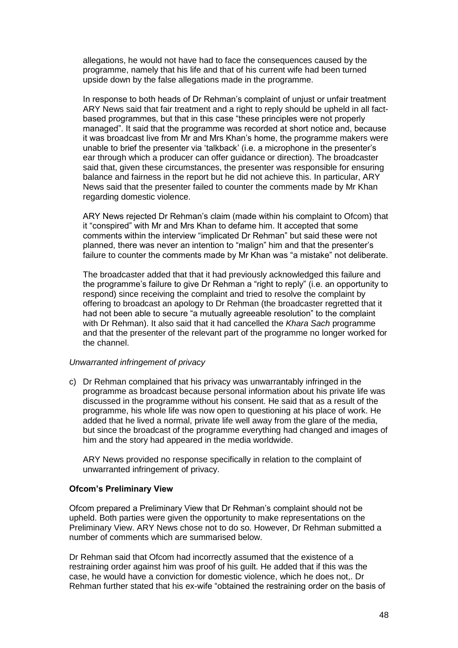allegations, he would not have had to face the consequences caused by the programme, namely that his life and that of his current wife had been turned upside down by the false allegations made in the programme.

In response to both heads of Dr Rehman's complaint of unjust or unfair treatment ARY News said that fair treatment and a right to reply should be upheld in all factbased programmes, but that in this case "these principles were not properly managed". It said that the programme was recorded at short notice and, because it was broadcast live from Mr and Mrs Khan's home, the programme makers were unable to brief the presenter via 'talkback' (i.e. a microphone in the presenter's ear through which a producer can offer guidance or direction). The broadcaster said that, given these circumstances, the presenter was responsible for ensuring balance and fairness in the report but he did not achieve this. In particular, ARY News said that the presenter failed to counter the comments made by Mr Khan regarding domestic violence.

ARY News rejected Dr Rehman's claim (made within his complaint to Ofcom) that it "conspired" with Mr and Mrs Khan to defame him. It accepted that some comments within the interview "implicated Dr Rehman" but said these were not planned, there was never an intention to "malign" him and that the presenter's failure to counter the comments made by Mr Khan was "a mistake" not deliberate.

The broadcaster added that that it had previously acknowledged this failure and the programme's failure to give Dr Rehman a "right to reply" (i.e. an opportunity to respond) since receiving the complaint and tried to resolve the complaint by offering to broadcast an apology to Dr Rehman (the broadcaster regretted that it had not been able to secure "a mutually agreeable resolution" to the complaint with Dr Rehman). It also said that it had cancelled the *Khara Sach* programme and that the presenter of the relevant part of the programme no longer worked for the channel.

# *Unwarranted infringement of privacy*

c) Dr Rehman complained that his privacy was unwarrantably infringed in the programme as broadcast because personal information about his private life was discussed in the programme without his consent. He said that as a result of the programme, his whole life was now open to questioning at his place of work. He added that he lived a normal, private life well away from the glare of the media, but since the broadcast of the programme everything had changed and images of him and the story had appeared in the media worldwide.

ARY News provided no response specifically in relation to the complaint of unwarranted infringement of privacy.

# **Ofcom's Preliminary View**

Ofcom prepared a Preliminary View that Dr Rehman's complaint should not be upheld. Both parties were given the opportunity to make representations on the Preliminary View. ARY News chose not to do so. However, Dr Rehman submitted a number of comments which are summarised below.

Dr Rehman said that Ofcom had incorrectly assumed that the existence of a restraining order against him was proof of his guilt. He added that if this was the case, he would have a conviction for domestic violence, which he does not,. Dr Rehman further stated that his ex-wife "obtained the restraining order on the basis of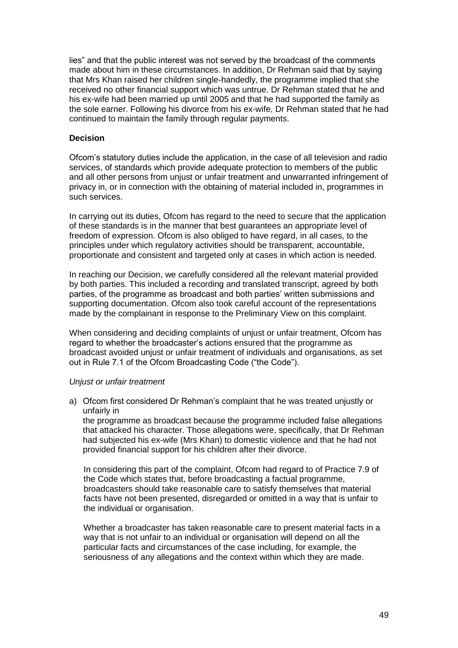lies" and that the public interest was not served by the broadcast of the comments made about him in these circumstances. In addition, Dr Rehman said that by saying that Mrs Khan raised her children single-handedly, the programme implied that she received no other financial support which was untrue. Dr Rehman stated that he and his ex-wife had been married up until 2005 and that he had supported the family as the sole earner. Following his divorce from his ex-wife, Dr Rehman stated that he had continued to maintain the family through regular payments.

### **Decision**

Ofcom's statutory duties include the application, in the case of all television and radio services, of standards which provide adequate protection to members of the public and all other persons from unjust or unfair treatment and unwarranted infringement of privacy in, or in connection with the obtaining of material included in, programmes in such services.

In carrying out its duties, Ofcom has regard to the need to secure that the application of these standards is in the manner that best guarantees an appropriate level of freedom of expression. Ofcom is also obliged to have regard, in all cases, to the principles under which regulatory activities should be transparent, accountable, proportionate and consistent and targeted only at cases in which action is needed.

In reaching our Decision, we carefully considered all the relevant material provided by both parties. This included a recording and translated transcript, agreed by both parties, of the programme as broadcast and both parties' written submissions and supporting documentation. Ofcom also took careful account of the representations made by the complainant in response to the Preliminary View on this complaint.

When considering and deciding complaints of unjust or unfair treatment, Ofcom has regard to whether the broadcaster's actions ensured that the programme as broadcast avoided unjust or unfair treatment of individuals and organisations, as set out in Rule 7.1 of the Ofcom Broadcasting Code ("the Code").

### *Unjust or unfair treatment*

a) Ofcom first considered Dr Rehman's complaint that he was treated unjustly or unfairly in

the programme as broadcast because the programme included false allegations that attacked his character. Those allegations were, specifically, that Dr Rehman had subjected his ex-wife (Mrs Khan) to domestic violence and that he had not provided financial support for his children after their divorce.

In considering this part of the complaint, Ofcom had regard to of Practice 7.9 of the Code which states that, before broadcasting a factual programme, broadcasters should take reasonable care to satisfy themselves that material facts have not been presented, disregarded or omitted in a way that is unfair to the individual or organisation.

Whether a broadcaster has taken reasonable care to present material facts in a way that is not unfair to an individual or organisation will depend on all the particular facts and circumstances of the case including, for example, the seriousness of any allegations and the context within which they are made.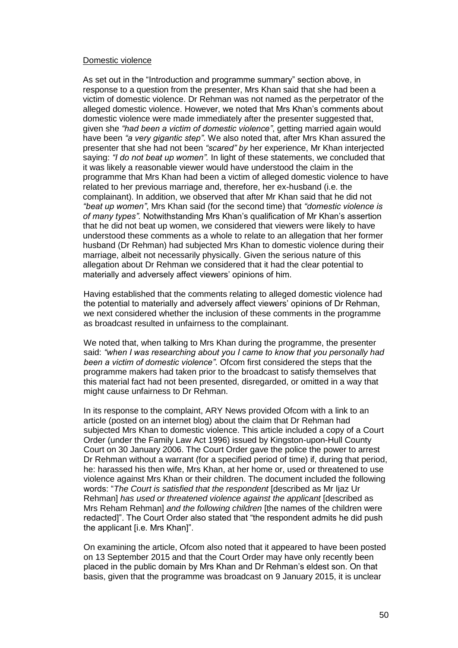### Domestic violence

As set out in the "Introduction and programme summary" section above, in response to a question from the presenter, Mrs Khan said that she had been a victim of domestic violence. Dr Rehman was not named as the perpetrator of the alleged domestic violence. However, we noted that Mrs Khan's comments about domestic violence were made immediately after the presenter suggested that, given she *"had been a victim of domestic violence"*, getting married again would have been *"a very gigantic step"*. We also noted that, after Mrs Khan assured the presenter that she had not been *"scared" by* her experience, Mr Khan interjected saying: *"I do not beat up women".* In light of these statements, we concluded that it was likely a reasonable viewer would have understood the claim in the programme that Mrs Khan had been a victim of alleged domestic violence to have related to her previous marriage and, therefore, her ex-husband (i.e. the complainant). In addition, we observed that after Mr Khan said that he did not *"beat up women"*, Mrs Khan said (for the second time) that *"domestic violence is of many types".* Notwithstanding Mrs Khan's qualification of Mr Khan's assertion that he did not beat up women, we considered that viewers were likely to have understood these comments as a whole to relate to an allegation that her former husband (Dr Rehman) had subjected Mrs Khan to domestic violence during their marriage, albeit not necessarily physically. Given the serious nature of this allegation about Dr Rehman we considered that it had the clear potential to materially and adversely affect viewers' opinions of him.

Having established that the comments relating to alleged domestic violence had the potential to materially and adversely affect viewers' opinions of Dr Rehman, we next considered whether the inclusion of these comments in the programme as broadcast resulted in unfairness to the complainant.

We noted that, when talking to Mrs Khan during the programme, the presenter said: *"when I was researching about you I came to know that you personally had been a victim of domestic violence"*. Ofcom first considered the steps that the programme makers had taken prior to the broadcast to satisfy themselves that this material fact had not been presented, disregarded, or omitted in a way that might cause unfairness to Dr Rehman.

In its response to the complaint, ARY News provided Ofcom with a link to an article (posted on an internet blog) about the claim that Dr Rehman had subjected Mrs Khan to domestic violence. This article included a copy of a Court Order (under the Family Law Act 1996) issued by Kingston-upon-Hull County Court on 30 January 2006. The Court Order gave the police the power to arrest Dr Rehman without a warrant (for a specified period of time) if, during that period, he: harassed his then wife, Mrs Khan, at her home or, used or threatened to use violence against Mrs Khan or their children. The document included the following words: "*The Court is satisfied that the respondent* [described as Mr Ijaz Ur Rehman] *has used or threatened violence against the applicant* [described as Mrs Reham Rehman] *and the following children* [the names of the children were redacted]". The Court Order also stated that "the respondent admits he did push the applicant [i.e. Mrs Khan]".

On examining the article, Ofcom also noted that it appeared to have been posted on 13 September 2015 and that the Court Order may have only recently been placed in the public domain by Mrs Khan and Dr Rehman's eldest son. On that basis, given that the programme was broadcast on 9 January 2015, it is unclear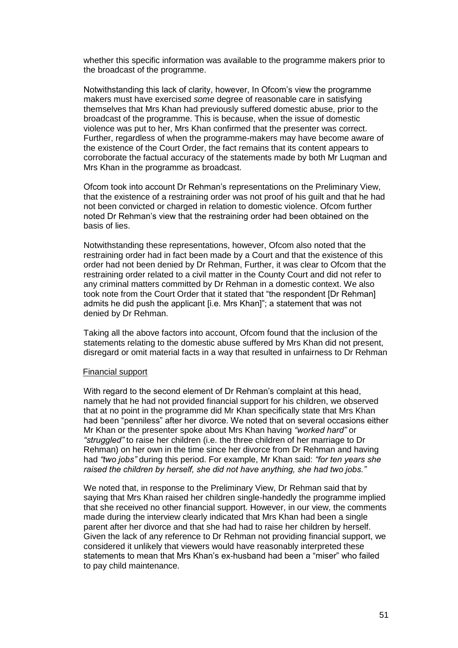whether this specific information was available to the programme makers prior to the broadcast of the programme.

Notwithstanding this lack of clarity, however, In Ofcom's view the programme makers must have exercised *some* degree of reasonable care in satisfying themselves that Mrs Khan had previously suffered domestic abuse, prior to the broadcast of the programme. This is because, when the issue of domestic violence was put to her, Mrs Khan confirmed that the presenter was correct. Further, regardless of when the programme-makers may have become aware of the existence of the Court Order, the fact remains that its content appears to corroborate the factual accuracy of the statements made by both Mr Luqman and Mrs Khan in the programme as broadcast.

Ofcom took into account Dr Rehman's representations on the Preliminary View, that the existence of a restraining order was not proof of his guilt and that he had not been convicted or charged in relation to domestic violence. Ofcom further noted Dr Rehman's view that the restraining order had been obtained on the basis of lies.

Notwithstanding these representations, however, Ofcom also noted that the restraining order had in fact been made by a Court and that the existence of this order had not been denied by Dr Rehman, Further, it was clear to Ofcom that the restraining order related to a civil matter in the County Court and did not refer to any criminal matters committed by Dr Rehman in a domestic context. We also took note from the Court Order that it stated that "the respondent [Dr Rehman] admits he did push the applicant [i.e. Mrs Khan]"; a statement that was not denied by Dr Rehman.

Taking all the above factors into account, Ofcom found that the inclusion of the statements relating to the domestic abuse suffered by Mrs Khan did not present, disregard or omit material facts in a way that resulted in unfairness to Dr Rehman

### Financial support

With regard to the second element of Dr Rehman's complaint at this head, namely that he had not provided financial support for his children, we observed that at no point in the programme did Mr Khan specifically state that Mrs Khan had been "penniless" after her divorce. We noted that on several occasions either Mr Khan or the presenter spoke about Mrs Khan having *"worked hard"* or *"struggled"* to raise her children (i.e. the three children of her marriage to Dr Rehman) on her own in the time since her divorce from Dr Rehman and having had *"two jobs"* during this period. For example, Mr Khan said: *"for ten years she raised the children by herself, she did not have anything, she had two jobs."*

We noted that, in response to the Preliminary View, Dr Rehman said that by saying that Mrs Khan raised her children single-handedly the programme implied that she received no other financial support. However, in our view, the comments made during the interview clearly indicated that Mrs Khan had been a single parent after her divorce and that she had had to raise her children by herself. Given the lack of any reference to Dr Rehman not providing financial support, we considered it unlikely that viewers would have reasonably interpreted these statements to mean that Mrs Khan's ex-husband had been a "miser" who failed to pay child maintenance.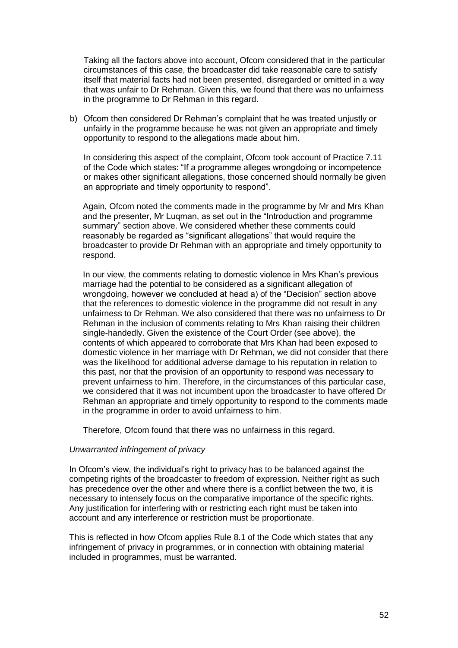Taking all the factors above into account, Ofcom considered that in the particular circumstances of this case, the broadcaster did take reasonable care to satisfy itself that material facts had not been presented, disregarded or omitted in a way that was unfair to Dr Rehman. Given this, we found that there was no unfairness in the programme to Dr Rehman in this regard.

b) Ofcom then considered Dr Rehman's complaint that he was treated unjustly or unfairly in the programme because he was not given an appropriate and timely opportunity to respond to the allegations made about him.

In considering this aspect of the complaint, Ofcom took account of Practice 7.11 of the Code which states: "If a programme alleges wrongdoing or incompetence or makes other significant allegations, those concerned should normally be given an appropriate and timely opportunity to respond".

Again, Ofcom noted the comments made in the programme by Mr and Mrs Khan and the presenter, Mr Luqman, as set out in the "Introduction and programme summary" section above. We considered whether these comments could reasonably be regarded as "significant allegations" that would require the broadcaster to provide Dr Rehman with an appropriate and timely opportunity to respond.

In our view, the comments relating to domestic violence in Mrs Khan's previous marriage had the potential to be considered as a significant allegation of wrongdoing, however we concluded at head a) of the "Decision" section above that the references to domestic violence in the programme did not result in any unfairness to Dr Rehman. We also considered that there was no unfairness to Dr Rehman in the inclusion of comments relating to Mrs Khan raising their children single-handedly. Given the existence of the Court Order (see above), the contents of which appeared to corroborate that Mrs Khan had been exposed to domestic violence in her marriage with Dr Rehman, we did not consider that there was the likelihood for additional adverse damage to his reputation in relation to this past, nor that the provision of an opportunity to respond was necessary to prevent unfairness to him. Therefore, in the circumstances of this particular case, we considered that it was not incumbent upon the broadcaster to have offered Dr Rehman an appropriate and timely opportunity to respond to the comments made in the programme in order to avoid unfairness to him.

Therefore, Ofcom found that there was no unfairness in this regard.

### *Unwarranted infringement of privacy*

In Ofcom's view, the individual's right to privacy has to be balanced against the competing rights of the broadcaster to freedom of expression. Neither right as such has precedence over the other and where there is a conflict between the two, it is necessary to intensely focus on the comparative importance of the specific rights. Any justification for interfering with or restricting each right must be taken into account and any interference or restriction must be proportionate.

This is reflected in how Ofcom applies Rule 8.1 of the Code which states that any infringement of privacy in programmes, or in connection with obtaining material included in programmes, must be warranted.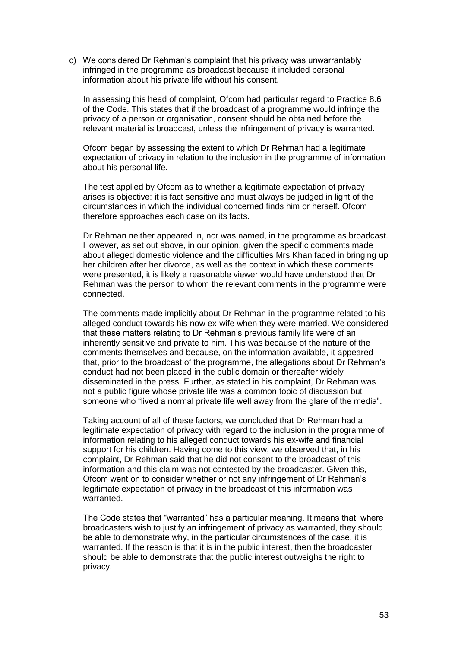c) We considered Dr Rehman's complaint that his privacy was unwarrantably infringed in the programme as broadcast because it included personal information about his private life without his consent.

In assessing this head of complaint, Ofcom had particular regard to Practice 8.6 of the Code. This states that if the broadcast of a programme would infringe the privacy of a person or organisation, consent should be obtained before the relevant material is broadcast, unless the infringement of privacy is warranted.

Ofcom began by assessing the extent to which Dr Rehman had a legitimate expectation of privacy in relation to the inclusion in the programme of information about his personal life.

The test applied by Ofcom as to whether a legitimate expectation of privacy arises is objective: it is fact sensitive and must always be judged in light of the circumstances in which the individual concerned finds him or herself. Ofcom therefore approaches each case on its facts.

Dr Rehman neither appeared in, nor was named, in the programme as broadcast. However, as set out above, in our opinion, given the specific comments made about alleged domestic violence and the difficulties Mrs Khan faced in bringing up her children after her divorce, as well as the context in which these comments were presented, it is likely a reasonable viewer would have understood that Dr Rehman was the person to whom the relevant comments in the programme were connected.

The comments made implicitly about Dr Rehman in the programme related to his alleged conduct towards his now ex-wife when they were married. We considered that these matters relating to Dr Rehman's previous family life were of an inherently sensitive and private to him. This was because of the nature of the comments themselves and because, on the information available, it appeared that, prior to the broadcast of the programme, the allegations about Dr Rehman's conduct had not been placed in the public domain or thereafter widely disseminated in the press. Further, as stated in his complaint, Dr Rehman was not a public figure whose private life was a common topic of discussion but someone who "lived a normal private life well away from the glare of the media".

Taking account of all of these factors, we concluded that Dr Rehman had a legitimate expectation of privacy with regard to the inclusion in the programme of information relating to his alleged conduct towards his ex-wife and financial support for his children. Having come to this view, we observed that, in his complaint, Dr Rehman said that he did not consent to the broadcast of this information and this claim was not contested by the broadcaster. Given this, Ofcom went on to consider whether or not any infringement of Dr Rehman's legitimate expectation of privacy in the broadcast of this information was warranted.

The Code states that "warranted" has a particular meaning. It means that, where broadcasters wish to justify an infringement of privacy as warranted, they should be able to demonstrate why, in the particular circumstances of the case, it is warranted. If the reason is that it is in the public interest, then the broadcaster should be able to demonstrate that the public interest outweighs the right to privacy.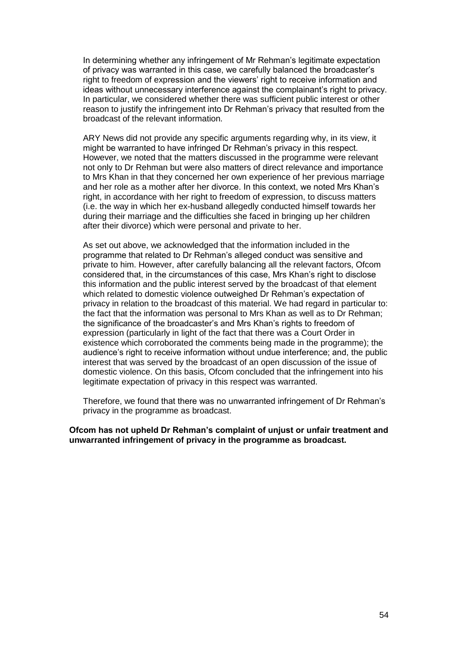In determining whether any infringement of Mr Rehman's legitimate expectation of privacy was warranted in this case, we carefully balanced the broadcaster's right to freedom of expression and the viewers' right to receive information and ideas without unnecessary interference against the complainant's right to privacy. In particular, we considered whether there was sufficient public interest or other reason to justify the infringement into Dr Rehman's privacy that resulted from the broadcast of the relevant information.

ARY News did not provide any specific arguments regarding why, in its view, it might be warranted to have infringed Dr Rehman's privacy in this respect. However, we noted that the matters discussed in the programme were relevant not only to Dr Rehman but were also matters of direct relevance and importance to Mrs Khan in that they concerned her own experience of her previous marriage and her role as a mother after her divorce. In this context, we noted Mrs Khan's right, in accordance with her right to freedom of expression, to discuss matters (i.e. the way in which her ex-husband allegedly conducted himself towards her during their marriage and the difficulties she faced in bringing up her children after their divorce) which were personal and private to her.

As set out above, we acknowledged that the information included in the programme that related to Dr Rehman's alleged conduct was sensitive and private to him. However, after carefully balancing all the relevant factors, Ofcom considered that, in the circumstances of this case, Mrs Khan's right to disclose this information and the public interest served by the broadcast of that element which related to domestic violence outweighed Dr Rehman's expectation of privacy in relation to the broadcast of this material. We had regard in particular to: the fact that the information was personal to Mrs Khan as well as to Dr Rehman; the significance of the broadcaster's and Mrs Khan's rights to freedom of expression (particularly in light of the fact that there was a Court Order in existence which corroborated the comments being made in the programme); the audience's right to receive information without undue interference; and, the public interest that was served by the broadcast of an open discussion of the issue of domestic violence. On this basis, Ofcom concluded that the infringement into his legitimate expectation of privacy in this respect was warranted.

Therefore, we found that there was no unwarranted infringement of Dr Rehman's privacy in the programme as broadcast.

**Ofcom has not upheld Dr Rehman's complaint of unjust or unfair treatment and unwarranted infringement of privacy in the programme as broadcast.**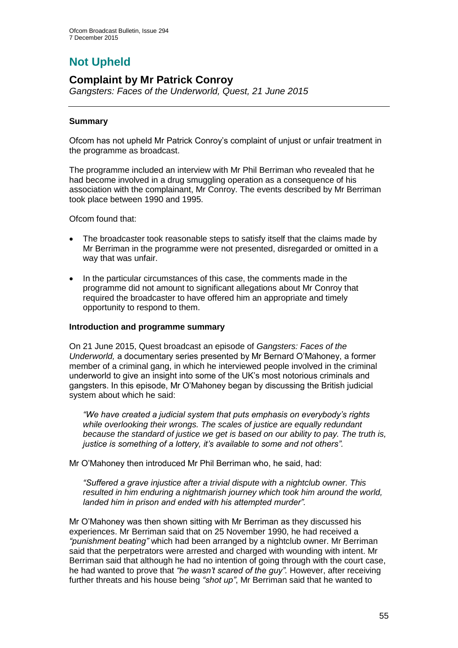# **Not Upheld**

# **Complaint by Mr Patrick Conroy**

*Gangsters: Faces of the Underworld, Quest, 21 June 2015*

# **Summary**

Ofcom has not upheld Mr Patrick Conroy's complaint of unjust or unfair treatment in the programme as broadcast.

The programme included an interview with Mr Phil Berriman who revealed that he had become involved in a drug smuggling operation as a consequence of his association with the complainant, Mr Conroy. The events described by Mr Berriman took place between 1990 and 1995.

Ofcom found that:

- The broadcaster took reasonable steps to satisfy itself that the claims made by Mr Berriman in the programme were not presented, disregarded or omitted in a way that was unfair.
- In the particular circumstances of this case, the comments made in the programme did not amount to significant allegations about Mr Conroy that required the broadcaster to have offered him an appropriate and timely opportunity to respond to them.

### **Introduction and programme summary**

On 21 June 2015, Quest broadcast an episode of *Gangsters: Faces of the Underworld,* a documentary series presented by Mr Bernard O'Mahoney, a former member of a criminal gang, in which he interviewed people involved in the criminal underworld to give an insight into some of the UK's most notorious criminals and gangsters. In this episode, Mr O'Mahoney began by discussing the British judicial system about which he said:

*"We have created a judicial system that puts emphasis on everybody's rights while overlooking their wrongs. The scales of justice are equally redundant because the standard of justice we get is based on our ability to pay. The truth is, justice is something of a lottery, it's available to some and not others".*

Mr O'Mahoney then introduced Mr Phil Berriman who, he said, had:

*"Suffered a grave injustice after a trivial dispute with a nightclub owner. This resulted in him enduring a nightmarish journey which took him around the world, landed him in prison and ended with his attempted murder".* 

Mr O'Mahoney was then shown sitting with Mr Berriman as they discussed his experiences. Mr Berriman said that on 25 November 1990, he had received a *"punishment beating"* which had been arranged by a nightclub owner. Mr Berriman said that the perpetrators were arrested and charged with wounding with intent. Mr Berriman said that although he had no intention of going through with the court case, he had wanted to prove that *"he wasn't scared of the guy".* However, after receiving further threats and his house being *"shot up"*, Mr Berriman said that he wanted to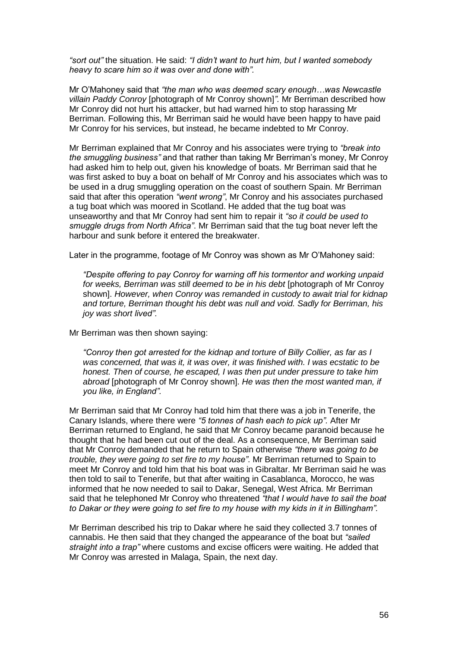*"sort out"* the situation. He said: *"I didn't want to hurt him, but I wanted somebody heavy to scare him so it was over and done with".* 

Mr O'Mahoney said that *"the man who was deemed scary enough…was Newcastle villain Paddy Conroy* [photograph of Mr Conroy shown]*".* Mr Berriman described how Mr Conroy did not hurt his attacker, but had warned him to stop harassing Mr Berriman. Following this, Mr Berriman said he would have been happy to have paid Mr Conroy for his services, but instead, he became indebted to Mr Conroy.

Mr Berriman explained that Mr Conroy and his associates were trying to *"break into the smuggling business"* and that rather than taking Mr Berriman's money, Mr Conroy had asked him to help out, given his knowledge of boats*.* Mr Berriman said that he was first asked to buy a boat on behalf of Mr Conroy and his associates which was to be used in a drug smuggling operation on the coast of southern Spain. Mr Berriman said that after this operation *"went wrong"*, Mr Conroy and his associates purchased a tug boat which was moored in Scotland. He added that the tug boat was unseaworthy and that Mr Conroy had sent him to repair it *"so it could be used to smuggle drugs from North Africa"*. Mr Berriman said that the tug boat never left the harbour and sunk before it entered the breakwater.

Later in the programme, footage of Mr Conroy was shown as Mr O'Mahoney said:

*"Despite offering to pay Conroy for warning off his tormentor and working unpaid for weeks, Berriman was still deemed to be in his debt* [photograph of Mr Conroy shown]. *However, when Conroy was remanded in custody to await trial for kidnap and torture, Berriman thought his debt was null and void. Sadly for Berriman, his joy was short lived".* 

Mr Berriman was then shown saying:

*"Conroy then got arrested for the kidnap and torture of Billy Collier, as far as I was concerned, that was it, it was over, it was finished with. I was ecstatic to be honest. Then of course, he escaped, I was then put under pressure to take him abroad* [photograph of Mr Conroy shown]. *He was then the most wanted man, if you like, in England".*

Mr Berriman said that Mr Conroy had told him that there was a job in Tenerife, the Canary Islands, where there were *"5 tonnes of hash each to pick up".* After Mr Berriman returned to England, he said that Mr Conroy became paranoid because he thought that he had been cut out of the deal. As a consequence, Mr Berriman said that Mr Conroy demanded that he return to Spain otherwise *"there was going to be trouble, they were going to set fire to my house"*. Mr Berriman returned to Spain to meet Mr Conroy and told him that his boat was in Gibraltar. Mr Berriman said he was then told to sail to Tenerife, but that after waiting in Casablanca, Morocco, he was informed that he now needed to sail to Dakar, Senegal, West Africa. Mr Berriman said that he telephoned Mr Conroy who threatened *"that I would have to sail the boat to Dakar or they were going to set fire to my house with my kids in it in Billingham".* 

Mr Berriman described his trip to Dakar where he said they collected 3.7 tonnes of cannabis. He then said that they changed the appearance of the boat but *"sailed straight into a trap"* where customs and excise officers were waiting. He added that Mr Conroy was arrested in Malaga, Spain, the next day.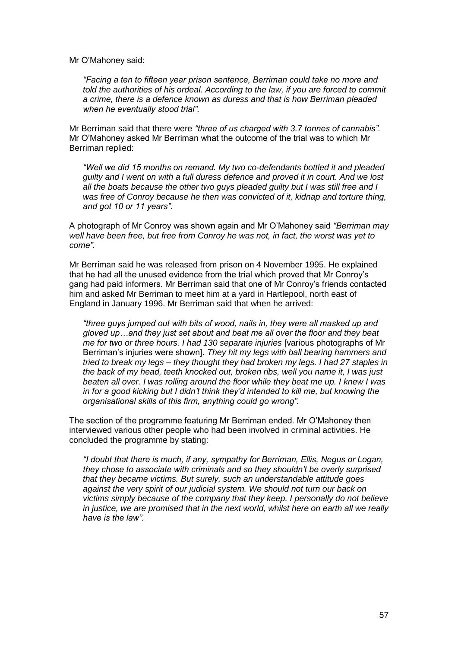#### Mr O'Mahoney said:

*"Facing a ten to fifteen year prison sentence, Berriman could take no more and told the authorities of his ordeal. According to the law, if you are forced to commit a crime, there is a defence known as duress and that is how Berriman pleaded when he eventually stood trial".*

Mr Berriman said that there were *"three of us charged with 3.7 tonnes of cannabis".*  Mr O'Mahoney asked Mr Berriman what the outcome of the trial was to which Mr Berriman replied:

*"Well we did 15 months on remand. My two co-defendants bottled it and pleaded guilty and I went on with a full duress defence and proved it in court. And we lost all the boats because the other two guys pleaded guilty but I was still free and I was free of Conroy because he then was convicted of it, kidnap and torture thing, and got 10 or 11 years".* 

A photograph of Mr Conroy was shown again and Mr O'Mahoney said *"Berriman may well have been free, but free from Conroy he was not, in fact, the worst was yet to come".* 

Mr Berriman said he was released from prison on 4 November 1995. He explained that he had all the unused evidence from the trial which proved that Mr Conroy's gang had paid informers. Mr Berriman said that one of Mr Conroy's friends contacted him and asked Mr Berriman to meet him at a yard in Hartlepool, north east of England in January 1996. Mr Berriman said that when he arrived:

*"three guys jumped out with bits of wood, nails in, they were all masked up and gloved up…and they just set about and beat me all over the floor and they beat me for two or three hours. I had 130 separate injuries* [various photographs of Mr Berriman's injuries were shown]. *They hit my legs with ball bearing hammers and tried to break my legs – they thought they had broken my legs. I had 27 staples in the back of my head, teeth knocked out, broken ribs, well you name it, I was just beaten all over. I was rolling around the floor while they beat me up. I knew I was in for a good kicking but I didn't think they'd intended to kill me, but knowing the organisational skills of this firm, anything could go wrong".* 

The section of the programme featuring Mr Berriman ended. Mr O'Mahoney then interviewed various other people who had been involved in criminal activities. He concluded the programme by stating:

*"I doubt that there is much, if any, sympathy for Berriman, Ellis, Negus or Logan, they chose to associate with criminals and so they shouldn't be overly surprised that they became victims. But surely, such an understandable attitude goes against the very spirit of our judicial system. We should not turn our back on victims simply because of the company that they keep. I personally do not believe in justice, we are promised that in the next world, whilst here on earth all we really have is the law".*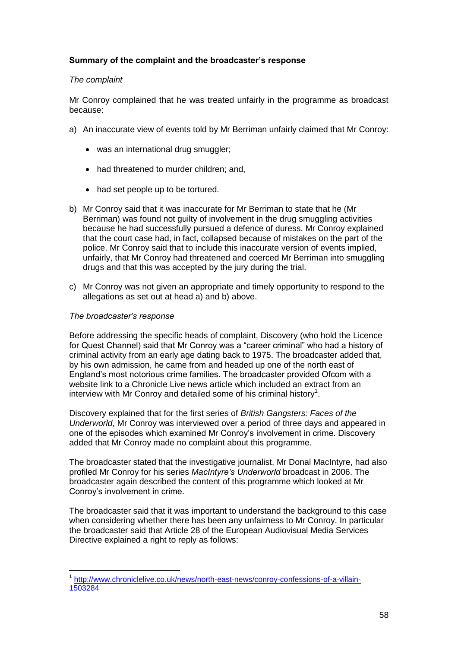# **Summary of the complaint and the broadcaster's response**

# *The complaint*

Mr Conroy complained that he was treated unfairly in the programme as broadcast because:

- a) An inaccurate view of events told by Mr Berriman unfairly claimed that Mr Conroy:
	- was an international drug smuggler;
	- had threatened to murder children; and,
	- had set people up to be tortured.
- b) Mr Conroy said that it was inaccurate for Mr Berriman to state that he (Mr Berriman) was found not guilty of involvement in the drug smuggling activities because he had successfully pursued a defence of duress. Mr Conroy explained that the court case had, in fact, collapsed because of mistakes on the part of the police. Mr Conroy said that to include this inaccurate version of events implied, unfairly, that Mr Conroy had threatened and coerced Mr Berriman into smuggling drugs and that this was accepted by the jury during the trial.
- c) Mr Conroy was not given an appropriate and timely opportunity to respond to the allegations as set out at head a) and b) above.

### *The broadcaster's response*

1

Before addressing the specific heads of complaint, Discovery (who hold the Licence for Quest Channel) said that Mr Conroy was a "career criminal" who had a history of criminal activity from an early age dating back to 1975. The broadcaster added that, by his own admission, he came from and headed up one of the north east of England's most notorious crime families. The broadcaster provided Ofcom with a website link to a Chronicle Live news article which included an extract from an interview with Mr Conroy and detailed some of his criminal history<sup>1</sup>.

Discovery explained that for the first series of *British Gangsters: Faces of the Underworld*, Mr Conroy was interviewed over a period of three days and appeared in one of the episodes which examined Mr Conroy's involvement in crime. Discovery added that Mr Conroy made no complaint about this programme.

The broadcaster stated that the investigative journalist, Mr Donal MacIntyre, had also profiled Mr Conroy for his series *MacIntyre's Underworld* broadcast in 2006. The broadcaster again described the content of this programme which looked at Mr Conroy's involvement in crime.

The broadcaster said that it was important to understand the background to this case when considering whether there has been any unfairness to Mr Conroy. In particular the broadcaster said that Article 28 of the European Audiovisual Media Services Directive explained a right to reply as follows:

<sup>&</sup>lt;sup>1</sup> [http://www.chroniclelive.co.uk/news/north-east-news/conroy-confessions-of-a-villain-](http://www.chroniclelive.co.uk/news/north-east-news/conroy-confessions-of-a-villain-1503284)[1503284](http://www.chroniclelive.co.uk/news/north-east-news/conroy-confessions-of-a-villain-1503284)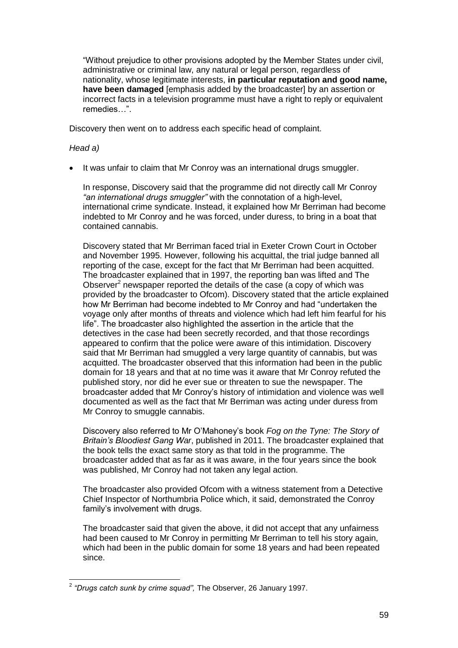"Without prejudice to other provisions adopted by the Member States under civil, administrative or criminal law, any natural or legal person, regardless of nationality, whose legitimate interests, **in particular reputation and good name, have been damaged** [emphasis added by the broadcaster] by an assertion or incorrect facts in a television programme must have a right to reply or equivalent remedies…".

Discovery then went on to address each specific head of complaint.

# *Head a)*

It was unfair to claim that Mr Conroy was an international drugs smuggler.

In response, Discovery said that the programme did not directly call Mr Conroy *"an international drugs smuggler"* with the connotation of a high-level, international crime syndicate. Instead, it explained how Mr Berriman had become indebted to Mr Conroy and he was forced, under duress, to bring in a boat that contained cannabis.

Discovery stated that Mr Berriman faced trial in Exeter Crown Court in October and November 1995. However, following his acquittal, the trial judge banned all reporting of the case, except for the fact that Mr Berriman had been acquitted. The broadcaster explained that in 1997, the reporting ban was lifted and The Observer<sup>2</sup> newspaper reported the details of the case (a copy of which was provided by the broadcaster to Ofcom). Discovery stated that the article explained how Mr Berriman had become indebted to Mr Conroy and had "undertaken the voyage only after months of threats and violence which had left him fearful for his life". The broadcaster also highlighted the assertion in the article that the detectives in the case had been secretly recorded, and that those recordings appeared to confirm that the police were aware of this intimidation. Discovery said that Mr Berriman had smuggled a very large quantity of cannabis, but was acquitted. The broadcaster observed that this information had been in the public domain for 18 years and that at no time was it aware that Mr Conroy refuted the published story, nor did he ever sue or threaten to sue the newspaper. The broadcaster added that Mr Conroy's history of intimidation and violence was well documented as well as the fact that Mr Berriman was acting under duress from Mr Conroy to smuggle cannabis.

Discovery also referred to Mr O'Mahoney's book *Fog on the Tyne: The Story of Britain's Bloodiest Gang War*, published in 2011. The broadcaster explained that the book tells the exact same story as that told in the programme. The broadcaster added that as far as it was aware, in the four years since the book was published, Mr Conroy had not taken any legal action.

The broadcaster also provided Ofcom with a witness statement from a Detective Chief Inspector of Northumbria Police which, it said, demonstrated the Conroy family's involvement with drugs.

The broadcaster said that given the above, it did not accept that any unfairness had been caused to Mr Conroy in permitting Mr Berriman to tell his story again, which had been in the public domain for some 18 years and had been repeated since.

 2 *"Drugs catch sunk by crime squad",* The Observer, 26 January 1997.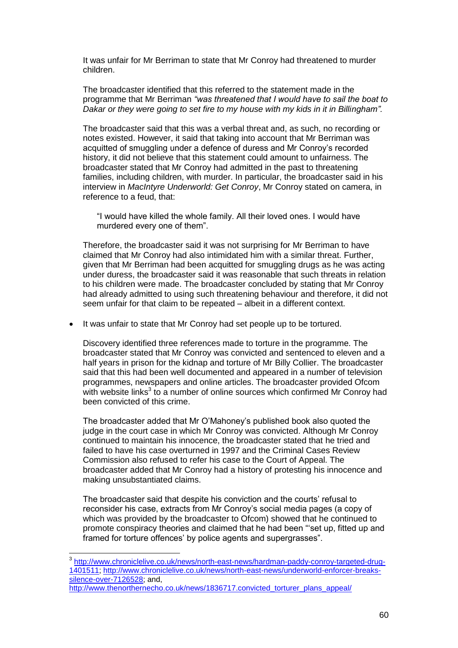It was unfair for Mr Berriman to state that Mr Conroy had threatened to murder children.

The broadcaster identified that this referred to the statement made in the programme that Mr Berriman *"was threatened that I would have to sail the boat to Dakar or they were going to set fire to my house with my kids in it in Billingham".* 

The broadcaster said that this was a verbal threat and, as such, no recording or notes existed. However, it said that taking into account that Mr Berriman was acquitted of smuggling under a defence of duress and Mr Conroy's recorded history, it did not believe that this statement could amount to unfairness. The broadcaster stated that Mr Conroy had admitted in the past to threatening families, including children, with murder. In particular, the broadcaster said in his interview in *MacIntyre Underworld: Get Conroy*, Mr Conroy stated on camera, in reference to a feud, that:

"I would have killed the whole family. All their loved ones. I would have murdered every one of them".

Therefore, the broadcaster said it was not surprising for Mr Berriman to have claimed that Mr Conroy had also intimidated him with a similar threat. Further, given that Mr Berriman had been acquitted for smuggling drugs as he was acting under duress, the broadcaster said it was reasonable that such threats in relation to his children were made. The broadcaster concluded by stating that Mr Conroy had already admitted to using such threatening behaviour and therefore, it did not seem unfair for that claim to be repeated – albeit in a different context.

• It was unfair to state that Mr Conroy had set people up to be tortured.

Discovery identified three references made to torture in the programme. The broadcaster stated that Mr Conroy was convicted and sentenced to eleven and a half years in prison for the kidnap and torture of Mr Billy Collier. The broadcaster said that this had been well documented and appeared in a number of television programmes, newspapers and online articles. The broadcaster provided Ofcom with website links<sup>3</sup> to a number of online sources which confirmed Mr Conroy had been convicted of this crime.

The broadcaster added that Mr O'Mahoney's published book also quoted the judge in the court case in which Mr Conroy was convicted. Although Mr Conroy continued to maintain his innocence, the broadcaster stated that he tried and failed to have his case overturned in 1997 and the Criminal Cases Review Commission also refused to refer his case to the Court of Appeal. The broadcaster added that Mr Conroy had a history of protesting his innocence and making unsubstantiated claims.

The broadcaster said that despite his conviction and the courts' refusal to reconsider his case, extracts from Mr Conroy's social media pages (a copy of which was provided by the broadcaster to Ofcom) showed that he continued to promote conspiracy theories and claimed that he had been "'set up, fitted up and framed for torture offences' by police agents and supergrasses".

 3 [http://www.chroniclelive.co.uk/news/north-east-news/hardman-paddy-conroy-targeted-drug-](http://www.chroniclelive.co.uk/news/north-east-news/hardman-paddy-conroy-targeted-drug-1401511)[1401511;](http://www.chroniclelive.co.uk/news/north-east-news/hardman-paddy-conroy-targeted-drug-1401511) [http://www.chroniclelive.co.uk/news/north-east-news/underworld-enforcer-breaks](http://www.chroniclelive.co.uk/news/north-east-news/underworld-enforcer-breaks-silence-over-7126528)[silence-over-7126528;](http://www.chroniclelive.co.uk/news/north-east-news/underworld-enforcer-breaks-silence-over-7126528) and,

[http://www.thenorthernecho.co.uk/news/1836717.convicted\\_torturer\\_plans\\_appeal/](http://www.thenorthernecho.co.uk/news/1836717.convicted_torturer_plans_appeal/)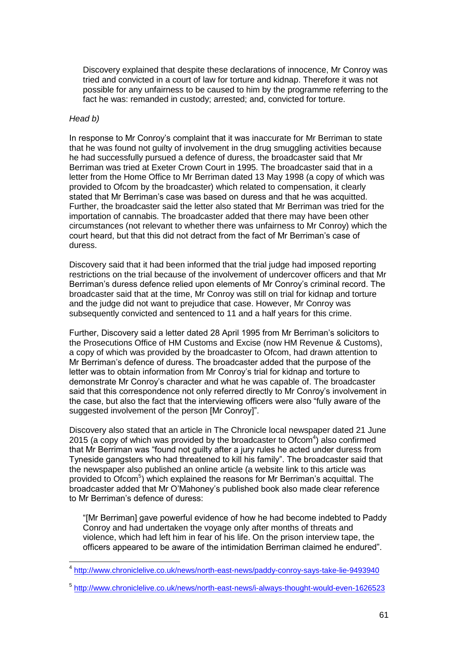Discovery explained that despite these declarations of innocence, Mr Conroy was tried and convicted in a court of law for torture and kidnap. Therefore it was not possible for any unfairness to be caused to him by the programme referring to the fact he was: remanded in custody; arrested; and, convicted for torture.

### *Head b)*

1

In response to Mr Conroy's complaint that it was inaccurate for Mr Berriman to state that he was found not guilty of involvement in the drug smuggling activities because he had successfully pursued a defence of duress, the broadcaster said that Mr Berriman was tried at Exeter Crown Court in 1995. The broadcaster said that in a letter from the Home Office to Mr Berriman dated 13 May 1998 (a copy of which was provided to Ofcom by the broadcaster) which related to compensation, it clearly stated that Mr Berriman's case was based on duress and that he was acquitted. Further, the broadcaster said the letter also stated that Mr Berriman was tried for the importation of cannabis. The broadcaster added that there may have been other circumstances (not relevant to whether there was unfairness to Mr Conroy) which the court heard, but that this did not detract from the fact of Mr Berriman's case of duress.

Discovery said that it had been informed that the trial judge had imposed reporting restrictions on the trial because of the involvement of undercover officers and that Mr Berriman's duress defence relied upon elements of Mr Conroy's criminal record. The broadcaster said that at the time, Mr Conroy was still on trial for kidnap and torture and the judge did not want to prejudice that case. However, Mr Conroy was subsequently convicted and sentenced to 11 and a half years for this crime.

Further, Discovery said a letter dated 28 April 1995 from Mr Berriman's solicitors to the Prosecutions Office of HM Customs and Excise (now HM Revenue & Customs), a copy of which was provided by the broadcaster to Ofcom, had drawn attention to Mr Berriman's defence of duress. The broadcaster added that the purpose of the letter was to obtain information from Mr Conroy's trial for kidnap and torture to demonstrate Mr Conroy's character and what he was capable of. The broadcaster said that this correspondence not only referred directly to Mr Conroy's involvement in the case, but also the fact that the interviewing officers were also "fully aware of the suggested involvement of the person [Mr Conroy]".

Discovery also stated that an article in The Chronicle local newspaper dated 21 June 2015 (a copy of which was provided by the broadcaster to Ofcom $4$ ) also confirmed that Mr Berriman was "found not guilty after a jury rules he acted under duress from Tyneside gangsters who had threatened to kill his family". The broadcaster said that the newspaper also published an online article (a website link to this article was provided to Ofcom<sup>5</sup>) which explained the reasons for Mr Berriman's acquittal. The broadcaster added that Mr O'Mahoney's published book also made clear reference to Mr Berriman's defence of duress:

"[Mr Berriman] gave powerful evidence of how he had become indebted to Paddy Conroy and had undertaken the voyage only after months of threats and violence, which had left him in fear of his life. On the prison interview tape, the officers appeared to be aware of the intimidation Berriman claimed he endured".

<sup>4</sup> <http://www.chroniclelive.co.uk/news/north-east-news/paddy-conroy-says-take-lie-9493940>

<sup>5</sup> <http://www.chroniclelive.co.uk/news/north-east-news/i-always-thought-would-even-1626523>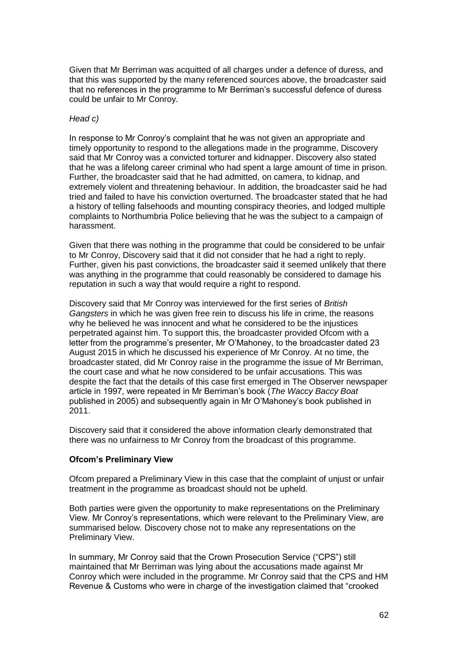Given that Mr Berriman was acquitted of all charges under a defence of duress, and that this was supported by the many referenced sources above, the broadcaster said that no references in the programme to Mr Berriman's successful defence of duress could be unfair to Mr Conroy.

### *Head c)*

In response to Mr Conroy's complaint that he was not given an appropriate and timely opportunity to respond to the allegations made in the programme, Discovery said that Mr Conroy was a convicted torturer and kidnapper. Discovery also stated that he was a lifelong career criminal who had spent a large amount of time in prison. Further, the broadcaster said that he had admitted, on camera, to kidnap, and extremely violent and threatening behaviour. In addition, the broadcaster said he had tried and failed to have his conviction overturned. The broadcaster stated that he had a history of telling falsehoods and mounting conspiracy theories, and lodged multiple complaints to Northumbria Police believing that he was the subject to a campaign of harassment.

Given that there was nothing in the programme that could be considered to be unfair to Mr Conroy, Discovery said that it did not consider that he had a right to reply. Further, given his past convictions, the broadcaster said it seemed unlikely that there was anything in the programme that could reasonably be considered to damage his reputation in such a way that would require a right to respond.

Discovery said that Mr Conroy was interviewed for the first series of *British Gangsters* in which he was given free rein to discuss his life in crime, the reasons why he believed he was innocent and what he considered to be the injustices perpetrated against him. To support this, the broadcaster provided Ofcom with a letter from the programme's presenter, Mr O'Mahoney, to the broadcaster dated 23 August 2015 in which he discussed his experience of Mr Conroy. At no time, the broadcaster stated, did Mr Conroy raise in the programme the issue of Mr Berriman, the court case and what he now considered to be unfair accusations. This was despite the fact that the details of this case first emerged in The Observer newspaper article in 1997, were repeated in Mr Berriman's book (*The Waccy Baccy Boat*  published in 2005) and subsequently again in Mr O'Mahoney's book published in 2011.

Discovery said that it considered the above information clearly demonstrated that there was no unfairness to Mr Conroy from the broadcast of this programme.

# **Ofcom's Preliminary View**

Ofcom prepared a Preliminary View in this case that the complaint of unjust or unfair treatment in the programme as broadcast should not be upheld.

Both parties were given the opportunity to make representations on the Preliminary View. Mr Conroy's representations, which were relevant to the Preliminary View, are summarised below. Discovery chose not to make any representations on the Preliminary View.

In summary, Mr Conroy said that the Crown Prosecution Service ("CPS") still maintained that Mr Berriman was lying about the accusations made against Mr Conroy which were included in the programme. Mr Conroy said that the CPS and HM Revenue & Customs who were in charge of the investigation claimed that "crooked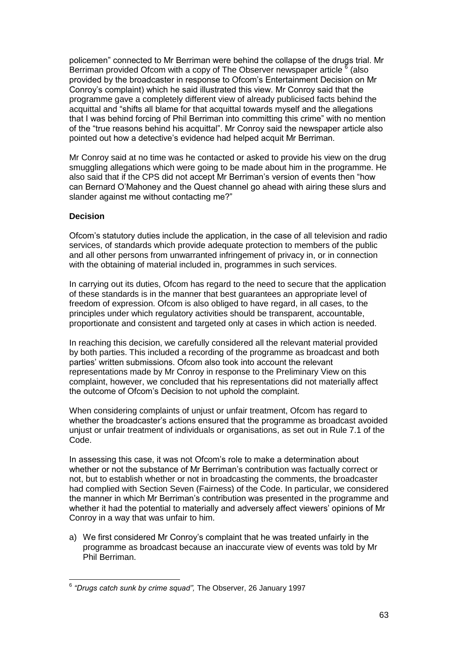policemen" connected to Mr Berriman were behind the collapse of the drugs trial. Mr Berriman provided Ofcom with a copy of The Observer newspaper article  $\frac{8}{6}$  (also provided by the broadcaster in response to Ofcom's Entertainment Decision on Mr Conroy's complaint) which he said illustrated this view. Mr Conroy said that the programme gave a completely different view of already publicised facts behind the acquittal and "shifts all blame for that acquittal towards myself and the allegations that I was behind forcing of Phil Berriman into committing this crime" with no mention of the "true reasons behind his acquittal". Mr Conroy said the newspaper article also pointed out how a detective's evidence had helped acquit Mr Berriman.

Mr Conroy said at no time was he contacted or asked to provide his view on the drug smuggling allegations which were going to be made about him in the programme. He also said that if the CPS did not accept Mr Berriman's version of events then "how can Bernard O'Mahoney and the Quest channel go ahead with airing these slurs and slander against me without contacting me?"

# **Decision**

Ofcom's statutory duties include the application, in the case of all television and radio services, of standards which provide adequate protection to members of the public and all other persons from unwarranted infringement of privacy in, or in connection with the obtaining of material included in, programmes in such services.

In carrying out its duties, Ofcom has regard to the need to secure that the application of these standards is in the manner that best guarantees an appropriate level of freedom of expression. Ofcom is also obliged to have regard, in all cases, to the principles under which regulatory activities should be transparent, accountable, proportionate and consistent and targeted only at cases in which action is needed.

In reaching this decision, we carefully considered all the relevant material provided by both parties. This included a recording of the programme as broadcast and both parties' written submissions. Ofcom also took into account the relevant representations made by Mr Conroy in response to the Preliminary View on this complaint, however, we concluded that his representations did not materially affect the outcome of Ofcom's Decision to not uphold the complaint.

When considering complaints of unjust or unfair treatment, Ofcom has regard to whether the broadcaster's actions ensured that the programme as broadcast avoided unjust or unfair treatment of individuals or organisations, as set out in Rule 7.1 of the Code.

In assessing this case, it was not Ofcom's role to make a determination about whether or not the substance of Mr Berriman's contribution was factually correct or not, but to establish whether or not in broadcasting the comments, the broadcaster had complied with Section Seven (Fairness) of the Code. In particular, we considered the manner in which Mr Berriman's contribution was presented in the programme and whether it had the potential to materially and adversely affect viewers' opinions of Mr Conroy in a way that was unfair to him.

a) We first considered Mr Conroy's complaint that he was treated unfairly in the programme as broadcast because an inaccurate view of events was told by Mr Phil Berriman.

 6 *"Drugs catch sunk by crime squad",* The Observer, 26 January 1997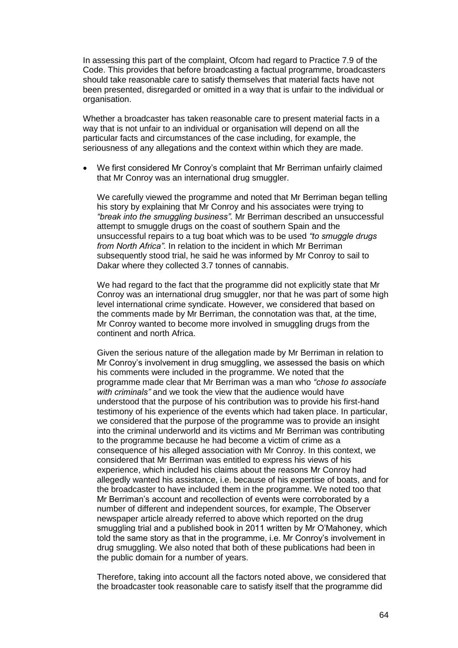In assessing this part of the complaint, Ofcom had regard to Practice 7.9 of the Code. This provides that before broadcasting a factual programme, broadcasters should take reasonable care to satisfy themselves that material facts have not been presented, disregarded or omitted in a way that is unfair to the individual or organisation.

Whether a broadcaster has taken reasonable care to present material facts in a way that is not unfair to an individual or organisation will depend on all the particular facts and circumstances of the case including, for example, the seriousness of any allegations and the context within which they are made.

 We first considered Mr Conroy's complaint that Mr Berriman unfairly claimed that Mr Conroy was an international drug smuggler.

We carefully viewed the programme and noted that Mr Berriman began telling his story by explaining that Mr Conroy and his associates were trying to *"break into the smuggling business".* Mr Berriman described an unsuccessful attempt to smuggle drugs on the coast of southern Spain and the unsuccessful repairs to a tug boat which was to be used *"to smuggle drugs from North Africa"*. In relation to the incident in which Mr Berriman subsequently stood trial, he said he was informed by Mr Conroy to sail to Dakar where they collected 3.7 tonnes of cannabis.

We had regard to the fact that the programme did not explicitly state that Mr Conroy was an international drug smuggler, nor that he was part of some high level international crime syndicate. However, we considered that based on the comments made by Mr Berriman, the connotation was that, at the time, Mr Conroy wanted to become more involved in smuggling drugs from the continent and north Africa.

Given the serious nature of the allegation made by Mr Berriman in relation to Mr Conroy's involvement in drug smuggling, we assessed the basis on which his comments were included in the programme. We noted that the programme made clear that Mr Berriman was a man who *"chose to associate with criminals"* and we took the view that the audience would have understood that the purpose of his contribution was to provide his first-hand testimony of his experience of the events which had taken place. In particular, we considered that the purpose of the programme was to provide an insight into the criminal underworld and its victims and Mr Berriman was contributing to the programme because he had become a victim of crime as a consequence of his alleged association with Mr Conroy. In this context, we considered that Mr Berriman was entitled to express his views of his experience, which included his claims about the reasons Mr Conroy had allegedly wanted his assistance, i.e. because of his expertise of boats, and for the broadcaster to have included them in the programme. We noted too that Mr Berriman's account and recollection of events were corroborated by a number of different and independent sources, for example, The Observer newspaper article already referred to above which reported on the drug smuggling trial and a published book in 2011 written by Mr O'Mahoney, which told the same story as that in the programme, i.e. Mr Conroy's involvement in drug smuggling. We also noted that both of these publications had been in the public domain for a number of years.

Therefore, taking into account all the factors noted above, we considered that the broadcaster took reasonable care to satisfy itself that the programme did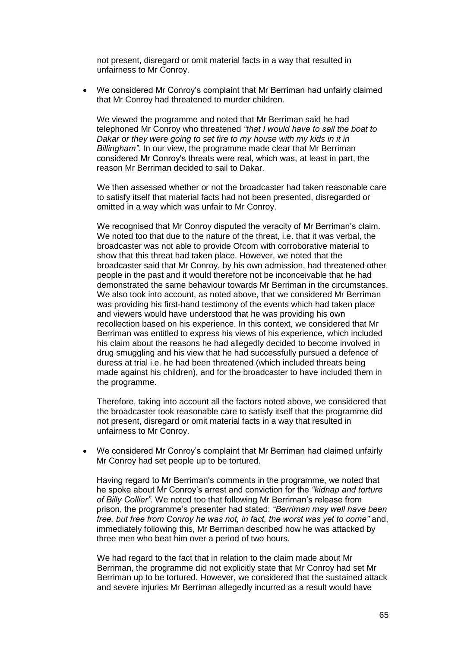not present, disregard or omit material facts in a way that resulted in unfairness to Mr Conroy.

 We considered Mr Conroy's complaint that Mr Berriman had unfairly claimed that Mr Conroy had threatened to murder children.

We viewed the programme and noted that Mr Berriman said he had telephoned Mr Conroy who threatened *"that I would have to sail the boat to Dakar or they were going to set fire to my house with my kids in it in Billingham".* In our view, the programme made clear that Mr Berriman considered Mr Conroy's threats were real, which was, at least in part, the reason Mr Berriman decided to sail to Dakar.

We then assessed whether or not the broadcaster had taken reasonable care to satisfy itself that material facts had not been presented, disregarded or omitted in a way which was unfair to Mr Conroy.

We recognised that Mr Conroy disputed the veracity of Mr Berriman's claim. We noted too that due to the nature of the threat, i.e. that it was verbal, the broadcaster was not able to provide Ofcom with corroborative material to show that this threat had taken place. However, we noted that the broadcaster said that Mr Conroy, by his own admission, had threatened other people in the past and it would therefore not be inconceivable that he had demonstrated the same behaviour towards Mr Berriman in the circumstances. We also took into account, as noted above, that we considered Mr Berriman was providing his first-hand testimony of the events which had taken place and viewers would have understood that he was providing his own recollection based on his experience. In this context, we considered that Mr Berriman was entitled to express his views of his experience, which included his claim about the reasons he had allegedly decided to become involved in drug smuggling and his view that he had successfully pursued a defence of duress at trial i.e. he had been threatened (which included threats being made against his children), and for the broadcaster to have included them in the programme.

Therefore, taking into account all the factors noted above, we considered that the broadcaster took reasonable care to satisfy itself that the programme did not present, disregard or omit material facts in a way that resulted in unfairness to Mr Conroy.

 We considered Mr Conroy's complaint that Mr Berriman had claimed unfairly Mr Conroy had set people up to be tortured.

Having regard to Mr Berriman's comments in the programme, we noted that he spoke about Mr Conroy's arrest and conviction for the *"kidnap and torture of Billy Collier".* We noted too that following Mr Berriman's release from prison, the programme's presenter had stated: *"Berriman may well have been free, but free from Conroy he was not, in fact, the worst was yet to come"* and, immediately following this, Mr Berriman described how he was attacked by three men who beat him over a period of two hours.

We had regard to the fact that in relation to the claim made about Mr Berriman, the programme did not explicitly state that Mr Conroy had set Mr Berriman up to be tortured. However, we considered that the sustained attack and severe injuries Mr Berriman allegedly incurred as a result would have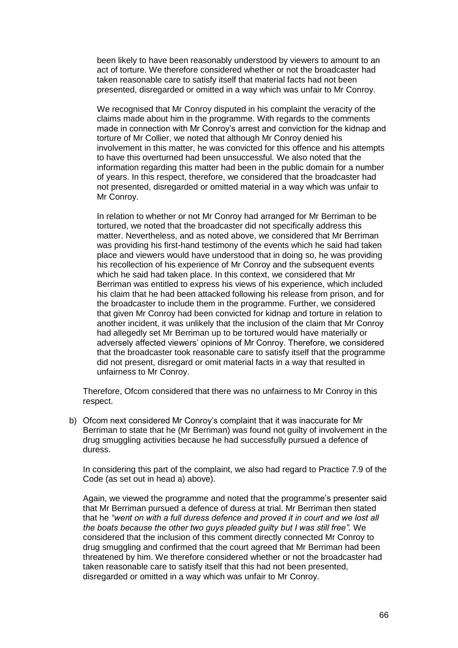been likely to have been reasonably understood by viewers to amount to an act of torture. We therefore considered whether or not the broadcaster had taken reasonable care to satisfy itself that material facts had not been presented, disregarded or omitted in a way which was unfair to Mr Conroy.

We recognised that Mr Conroy disputed in his complaint the veracity of the claims made about him in the programme. With regards to the comments made in connection with Mr Conroy's arrest and conviction for the kidnap and torture of Mr Collier, we noted that although Mr Conroy denied his involvement in this matter, he was convicted for this offence and his attempts to have this overturned had been unsuccessful. We also noted that the information regarding this matter had been in the public domain for a number of years. In this respect, therefore, we considered that the broadcaster had not presented, disregarded or omitted material in a way which was unfair to Mr Conroy.

In relation to whether or not Mr Conroy had arranged for Mr Berriman to be tortured, we noted that the broadcaster did not specifically address this matter. Nevertheless, and as noted above, we considered that Mr Berriman was providing his first-hand testimony of the events which he said had taken place and viewers would have understood that in doing so, he was providing his recollection of his experience of Mr Conroy and the subsequent events which he said had taken place. In this context, we considered that Mr Berriman was entitled to express his views of his experience, which included his claim that he had been attacked following his release from prison, and for the broadcaster to include them in the programme. Further, we considered that given Mr Conroy had been convicted for kidnap and torture in relation to another incident, it was unlikely that the inclusion of the claim that Mr Conroy had allegedly set Mr Berriman up to be tortured would have materially or adversely affected viewers' opinions of Mr Conroy. Therefore, we considered that the broadcaster took reasonable care to satisfy itself that the programme did not present, disregard or omit material facts in a way that resulted in unfairness to Mr Conroy.

Therefore, Ofcom considered that there was no unfairness to Mr Conroy in this respect.

b) Ofcom next considered Mr Conroy's complaint that it was inaccurate for Mr Berriman to state that he (Mr Berriman) was found not guilty of involvement in the drug smuggling activities because he had successfully pursued a defence of duress.

In considering this part of the complaint, we also had regard to Practice 7.9 of the Code (as set out in head a) above).

Again, we viewed the programme and noted that the programme's presenter said that Mr Berriman pursued a defence of duress at trial. Mr Berriman then stated that he *"went on with a full duress defence and proved it in court and we lost all the boats because the other two guys pleaded guilty but I was still free".* We considered that the inclusion of this comment directly connected Mr Conroy to drug smuggling and confirmed that the court agreed that Mr Berriman had been threatened by him. We therefore considered whether or not the broadcaster had taken reasonable care to satisfy itself that this had not been presented, disregarded or omitted in a way which was unfair to Mr Conroy.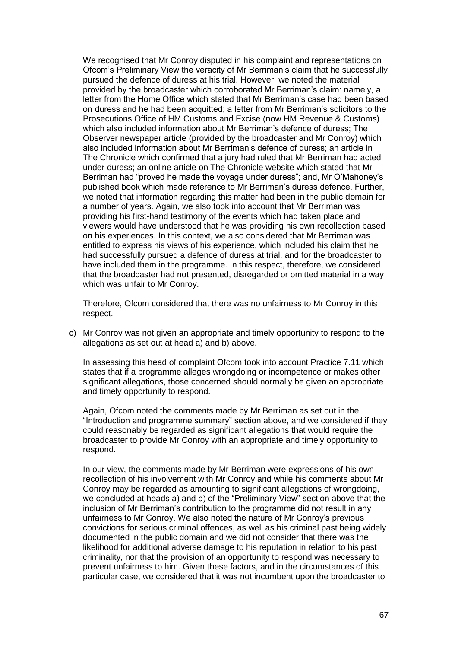We recognised that Mr Conroy disputed in his complaint and representations on Ofcom's Preliminary View the veracity of Mr Berriman's claim that he successfully pursued the defence of duress at his trial. However, we noted the material provided by the broadcaster which corroborated Mr Berriman's claim: namely, a letter from the Home Office which stated that Mr Berriman's case had been based on duress and he had been acquitted; a letter from Mr Berriman's solicitors to the Prosecutions Office of HM Customs and Excise (now HM Revenue & Customs) which also included information about Mr Berriman's defence of duress; The Observer newspaper article (provided by the broadcaster and Mr Conroy) which also included information about Mr Berriman's defence of duress; an article in The Chronicle which confirmed that a jury had ruled that Mr Berriman had acted under duress; an online article on The Chronicle website which stated that Mr Berriman had "proved he made the voyage under duress"; and, Mr O'Mahoney's published book which made reference to Mr Berriman's duress defence. Further, we noted that information regarding this matter had been in the public domain for a number of years. Again, we also took into account that Mr Berriman was providing his first-hand testimony of the events which had taken place and viewers would have understood that he was providing his own recollection based on his experiences. In this context, we also considered that Mr Berriman was entitled to express his views of his experience, which included his claim that he had successfully pursued a defence of duress at trial, and for the broadcaster to have included them in the programme. In this respect, therefore, we considered that the broadcaster had not presented, disregarded or omitted material in a way which was unfair to Mr Conroy.

Therefore, Ofcom considered that there was no unfairness to Mr Conroy in this respect.

c) Mr Conroy was not given an appropriate and timely opportunity to respond to the allegations as set out at head a) and b) above.

In assessing this head of complaint Ofcom took into account Practice 7.11 which states that if a programme alleges wrongdoing or incompetence or makes other significant allegations, those concerned should normally be given an appropriate and timely opportunity to respond.

Again, Ofcom noted the comments made by Mr Berriman as set out in the "Introduction and programme summary" section above, and we considered if they could reasonably be regarded as significant allegations that would require the broadcaster to provide Mr Conroy with an appropriate and timely opportunity to respond.

In our view, the comments made by Mr Berriman were expressions of his own recollection of his involvement with Mr Conroy and while his comments about Mr Conroy may be regarded as amounting to significant allegations of wrongdoing, we concluded at heads a) and b) of the "Preliminary View" section above that the inclusion of Mr Berriman's contribution to the programme did not result in any unfairness to Mr Conroy. We also noted the nature of Mr Conroy's previous convictions for serious criminal offences, as well as his criminal past being widely documented in the public domain and we did not consider that there was the likelihood for additional adverse damage to his reputation in relation to his past criminality, nor that the provision of an opportunity to respond was necessary to prevent unfairness to him. Given these factors, and in the circumstances of this particular case, we considered that it was not incumbent upon the broadcaster to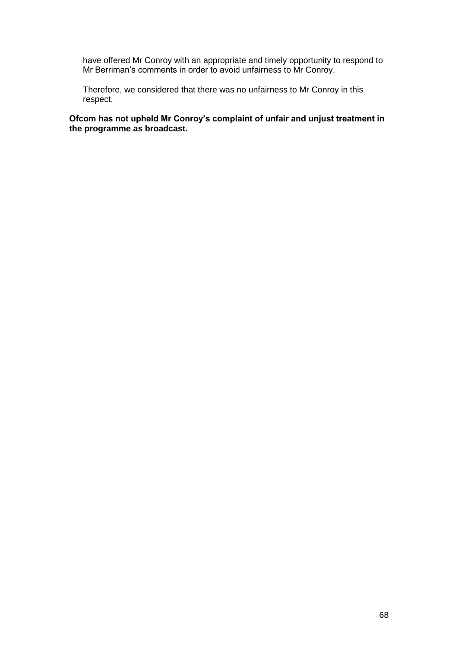have offered Mr Conroy with an appropriate and timely opportunity to respond to Mr Berriman's comments in order to avoid unfairness to Mr Conroy.

Therefore, we considered that there was no unfairness to Mr Conroy in this respect.

**Ofcom has not upheld Mr Conroy's complaint of unfair and unjust treatment in the programme as broadcast.**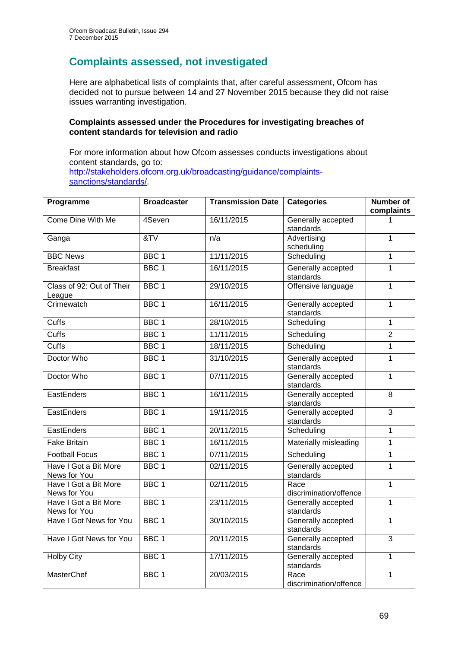# **Complaints assessed, not investigated**

Here are alphabetical lists of complaints that, after careful assessment, Ofcom has decided not to pursue between 14 and 27 November 2015 because they did not raise issues warranting investigation.

### **Complaints assessed under the Procedures for investigating breaches of content standards for television and radio**

For more information about how Ofcom assesses conducts investigations about content standards, go to: [http://stakeholders.ofcom.org.uk/broadcasting/guidance/complaints](http://stakeholders.ofcom.org.uk/broadcasting/guidance/complaints-sanctions/standards/)[sanctions/standards/.](http://stakeholders.ofcom.org.uk/broadcasting/guidance/complaints-sanctions/standards/)

| Programme                             | <b>Broadcaster</b> | <b>Transmission Date</b> | <b>Categories</b>               | <b>Number of</b><br>complaints |
|---------------------------------------|--------------------|--------------------------|---------------------------------|--------------------------------|
| Come Dine With Me                     | 4Seven             | 16/11/2015               | Generally accepted<br>standards |                                |
| Ganga                                 | &V                 | n/a                      | Advertising<br>scheduling       | $\overline{1}$                 |
| <b>BBC News</b>                       | BBC <sub>1</sub>   | 11/11/2015               | Scheduling                      | $\mathbf{1}$                   |
| <b>Breakfast</b>                      | BBC <sub>1</sub>   | 16/11/2015               | Generally accepted<br>standards | $\mathbf{1}$                   |
| Class of 92: Out of Their<br>League   | BBC <sub>1</sub>   | 29/10/2015               | Offensive language              | $\mathbf{1}$                   |
| Crimewatch                            | BBC <sub>1</sub>   | 16/11/2015               | Generally accepted<br>standards | $\mathbf{1}$                   |
| Cuffs                                 | BBC <sub>1</sub>   | 28/10/2015               | Scheduling                      | $\mathbf{1}$                   |
| Cuffs                                 | BBC <sub>1</sub>   | 11/11/2015               | Scheduling                      | $\overline{2}$                 |
| Cuffs                                 | BBC <sub>1</sub>   | 18/11/2015               | Scheduling                      | $\mathbf{1}$                   |
| Doctor Who                            | BBC <sub>1</sub>   | 31/10/2015               | Generally accepted<br>standards | 1                              |
| Doctor Who                            | BBC <sub>1</sub>   | 07/11/2015               | Generally accepted<br>standards | $\overline{1}$                 |
| EastEnders                            | BBC <sub>1</sub>   | 16/11/2015               | Generally accepted<br>standards | 8                              |
| EastEnders                            | BBC <sub>1</sub>   | 19/11/2015               | Generally accepted<br>standards | $\overline{3}$                 |
| <b>EastEnders</b>                     | BBC <sub>1</sub>   | 20/11/2015               | Scheduling                      | $\mathbf{1}$                   |
| <b>Fake Britain</b>                   | BBC <sub>1</sub>   | 16/11/2015               | Materially misleading           | $\mathbf{1}$                   |
| <b>Football Focus</b>                 | BBC <sub>1</sub>   | 07/11/2015               | Scheduling                      | $\mathbf{1}$                   |
| Have I Got a Bit More<br>News for You | BBC <sub>1</sub>   | 02/11/2015               | Generally accepted<br>standards | $\mathbf{1}$                   |
| Have I Got a Bit More<br>News for You | BBC <sub>1</sub>   | 02/11/2015               | Race<br>discrimination/offence  | 1                              |
| Have I Got a Bit More<br>News for You | BBC <sub>1</sub>   | 23/11/2015               | Generally accepted<br>standards | $\mathbf{1}$                   |
| Have I Got News for You               | BBC <sub>1</sub>   | 30/10/2015               | Generally accepted<br>standards | 1                              |
| Have I Got News for You               | BBC <sub>1</sub>   | 20/11/2015               | Generally accepted<br>standards | $\overline{3}$                 |
| <b>Holby City</b>                     | BBC <sub>1</sub>   | 17/11/2015               | Generally accepted<br>standards | 1                              |
| MasterChef                            | BBC <sub>1</sub>   | 20/03/2015               | Race<br>discrimination/offence  | 1                              |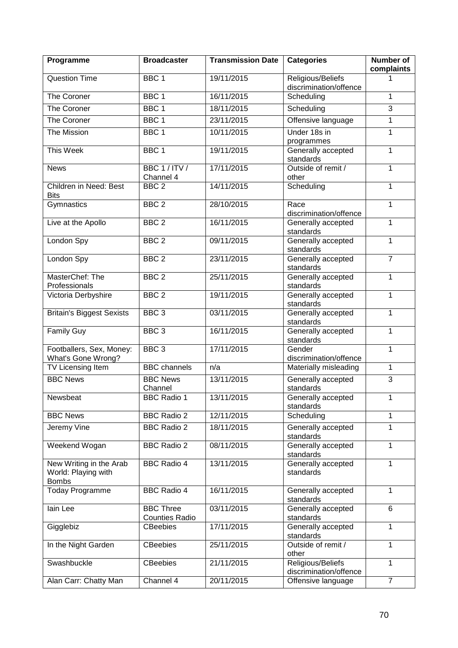| Programme                                                      | <b>Broadcaster</b>                        | <b>Transmission Date</b> | <b>Categories</b>                           | Number of<br>complaints |
|----------------------------------------------------------------|-------------------------------------------|--------------------------|---------------------------------------------|-------------------------|
| <b>Question Time</b>                                           | BBC <sub>1</sub>                          | 19/11/2015               | Religious/Beliefs<br>discrimination/offence |                         |
| The Coroner                                                    | BBC <sub>1</sub>                          | 16/11/2015               | Scheduling                                  | 1                       |
| The Coroner                                                    | BBC <sub>1</sub>                          | 18/11/2015               | Scheduling                                  | $\overline{3}$          |
| The Coroner                                                    | BBC <sub>1</sub>                          | 23/11/2015               | Offensive language                          | $\overline{1}$          |
| The Mission                                                    | BBC <sub>1</sub>                          | 10/11/2015               | Under 18s in<br>programmes                  | 1                       |
| <b>This Week</b>                                               | BBC <sub>1</sub>                          | 19/11/2015               | Generally accepted<br>standards             | 1                       |
| <b>News</b>                                                    | BBC 1 / ITV /<br>Channel 4                | 17/11/2015               | Outside of remit /<br>other                 | 1                       |
| Children in Need: Best<br><b>Bits</b>                          | BBC <sub>2</sub>                          | 14/11/2015               | Scheduling                                  | 1                       |
| Gymnastics                                                     | BBC <sub>2</sub>                          | 28/10/2015               | Race<br>discrimination/offence              | $\mathbf{1}$            |
| Live at the Apollo                                             | BBC <sub>2</sub>                          | 16/11/2015               | Generally accepted<br>standards             | 1                       |
| London Spy                                                     | BBC <sub>2</sub>                          | 09/11/2015               | Generally accepted<br>standards             | $\mathbf{1}$            |
| London Spy                                                     | BBC <sub>2</sub>                          | 23/11/2015               | Generally accepted<br>standards             | $\overline{7}$          |
| MasterChef: The<br>Professionals                               | BBC <sub>2</sub>                          | 25/11/2015               | Generally accepted<br>standards             | $\mathbf{1}$            |
| Victoria Derbyshire                                            | BBC <sub>2</sub>                          | 19/11/2015               | Generally accepted<br>standards             | 1                       |
| <b>Britain's Biggest Sexists</b>                               | BBC <sub>3</sub>                          | 03/11/2015               | Generally accepted<br>standards             | $\mathbf{1}$            |
| <b>Family Guy</b>                                              | BBC <sub>3</sub>                          | 16/11/2015               | Generally accepted<br>standards             | $\mathbf{1}$            |
| Footballers, Sex, Money:<br>What's Gone Wrong?                 | BBC <sub>3</sub>                          | 17/11/2015               | Gender<br>discrimination/offence            | $\mathbf{1}$            |
| TV Licensing Item                                              | <b>BBC</b> channels                       | n/a                      | Materially misleading                       | $\mathbf{1}$            |
| <b>BBC News</b>                                                | <b>BBC News</b><br>Channel                | 13/11/2015               | Generally accepted<br>standards             | 3                       |
| Newsbeat                                                       | <b>BBC Radio 1</b>                        | 13/11/2015               | Generally accepted<br>standards             | $\mathbf{1}$            |
| <b>BBC News</b>                                                | <b>BBC Radio 2</b>                        | 12/11/2015               | Scheduling                                  | 1                       |
| Jeremy Vine                                                    | <b>BBC Radio 2</b>                        | 18/11/2015               | Generally accepted<br>standards             | 1                       |
| Weekend Wogan                                                  | <b>BBC Radio 2</b>                        | 08/11/2015               | Generally accepted<br>standards             | 1                       |
| New Writing in the Arab<br>World: Playing with<br><b>Bombs</b> | <b>BBC Radio 4</b>                        | 13/11/2015               | Generally accepted<br>standards             | 1                       |
| <b>Today Programme</b>                                         | <b>BBC Radio 4</b>                        | 16/11/2015               | Generally accepted<br>standards             | $\mathbf{1}$            |
| lain Lee                                                       | <b>BBC Three</b><br><b>Counties Radio</b> | 03/11/2015               | Generally accepted<br>standards             | 6                       |
| Gigglebiz                                                      | <b>CBeebies</b>                           | 17/11/2015               | Generally accepted<br>standards             | 1                       |
| In the Night Garden                                            | <b>CBeebies</b>                           | 25/11/2015               | Outside of remit /<br>other                 | 1                       |
| Swashbuckle                                                    | <b>CBeebies</b>                           | 21/11/2015               | Religious/Beliefs<br>discrimination/offence | 1                       |
| Alan Carr: Chatty Man                                          | Channel 4                                 | 20/11/2015               | Offensive language                          | 7                       |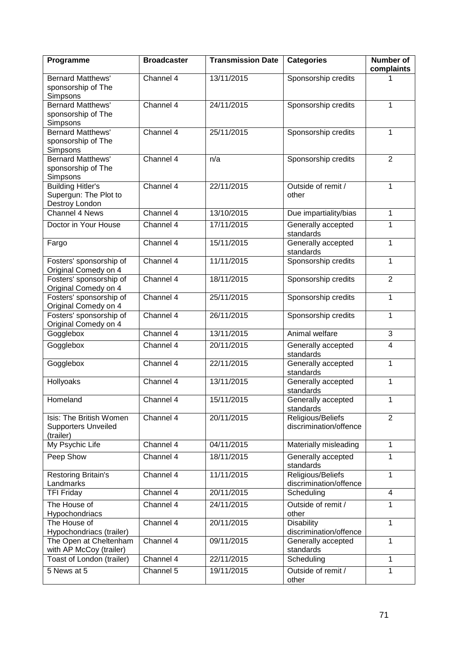| Programme                                                           | <b>Broadcaster</b> | <b>Transmission Date</b> | <b>Categories</b>                           | <b>Number of</b><br>complaints |
|---------------------------------------------------------------------|--------------------|--------------------------|---------------------------------------------|--------------------------------|
| <b>Bernard Matthews'</b><br>sponsorship of The<br>Simpsons          | Channel 4          | 13/11/2015               | Sponsorship credits                         |                                |
| <b>Bernard Matthews'</b><br>sponsorship of The<br>Simpsons          | Channel 4          | 24/11/2015               | Sponsorship credits                         | 1                              |
| <b>Bernard Matthews'</b><br>sponsorship of The<br>Simpsons          | Channel 4          | 25/11/2015               | Sponsorship credits                         | 1                              |
| <b>Bernard Matthews'</b><br>sponsorship of The<br>Simpsons          | Channel 4          | n/a                      | Sponsorship credits                         | $\overline{2}$                 |
| <b>Building Hitler's</b><br>Supergun: The Plot to<br>Destroy London | Channel 4          | 22/11/2015               | Outside of remit /<br>other                 | $\mathbf{1}$                   |
| <b>Channel 4 News</b>                                               | Channel 4          | 13/10/2015               | Due impartiality/bias                       | $\mathbf{1}$                   |
| Doctor in Your House                                                | Channel 4          | 17/11/2015               | Generally accepted<br>standards             | 1                              |
| Fargo                                                               | Channel 4          | 15/11/2015               | Generally accepted<br>standards             | 1                              |
| Fosters' sponsorship of<br>Original Comedy on 4                     | Channel 4          | 11/11/2015               | Sponsorship credits                         | 1                              |
| Fosters' sponsorship of<br>Original Comedy on 4                     | Channel 4          | 18/11/2015               | Sponsorship credits                         | $\overline{2}$                 |
| Fosters' sponsorship of<br>Original Comedy on 4                     | Channel 4          | 25/11/2015               | Sponsorship credits                         | 1                              |
| Fosters' sponsorship of<br>Original Comedy on 4                     | Channel 4          | 26/11/2015               | Sponsorship credits                         | $\mathbf{1}$                   |
| Gogglebox                                                           | Channel 4          | 13/11/2015               | Animal welfare                              | 3                              |
| Gogglebox                                                           | Channel 4          | 20/11/2015               | Generally accepted<br>standards             | $\overline{4}$                 |
| Gogglebox                                                           | Channel 4          | 22/11/2015               | Generally accepted<br>standards             | 1                              |
| <b>Hollyoaks</b>                                                    | Channel 4          | 13/11/2015               | Generally accepted<br>standards             | 1                              |
| Homeland                                                            | Channel 4          | 15/11/2015               | Generally accepted<br>standards             | $\mathbf{1}$                   |
| Isis: The British Women<br><b>Supporters Unveiled</b><br>(trailer)  | Channel 4          | 20/11/2015               | Religious/Beliefs<br>discrimination/offence | $\overline{2}$                 |
| My Psychic Life                                                     | Channel 4          | 04/11/2015               | Materially misleading                       | $\mathbf{1}$                   |
| Peep Show                                                           | Channel 4          | 18/11/2015               | Generally accepted<br>standards             | 1                              |
| Restoring Britain's<br>Landmarks                                    | Channel 4          | 11/11/2015               | Religious/Beliefs<br>discrimination/offence | $\mathbf{1}$                   |
| <b>TFI Friday</b>                                                   | Channel 4          | 20/11/2015               | Scheduling                                  | 4                              |
| The House of<br>Hypochondriacs                                      | Channel 4          | 24/11/2015               | Outside of remit /<br>other                 | $\mathbf{1}$                   |
| The House of<br>Hypochondriacs (trailer)                            | Channel 4          | 20/11/2015               | <b>Disability</b><br>discrimination/offence | 1                              |
| The Open at Cheltenham<br>with AP McCoy (trailer)                   | Channel 4          | 09/11/2015               | Generally accepted<br>standards             | $\mathbf{1}$                   |
| Toast of London (trailer)                                           | Channel 4          | 22/11/2015               | Scheduling                                  | 1                              |
| 5 News at 5                                                         | Channel 5          | 19/11/2015               | Outside of remit /<br>other                 | $\mathbf{1}$                   |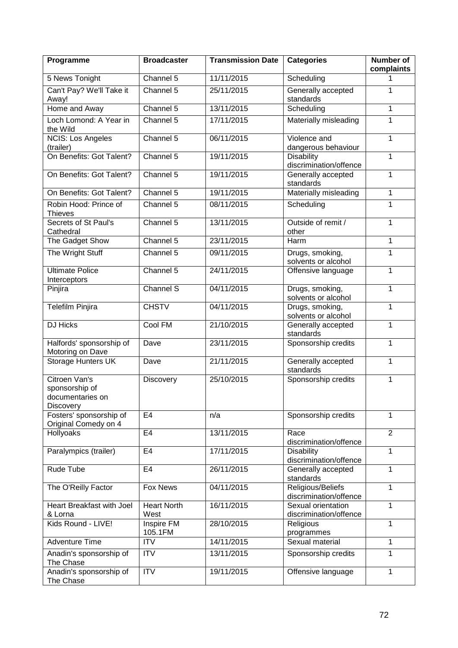| Programme                                                               | <b>Broadcaster</b>           | <b>Transmission Date</b> | <b>Categories</b>                            | Number of<br>complaints |
|-------------------------------------------------------------------------|------------------------------|--------------------------|----------------------------------------------|-------------------------|
| 5 News Tonight                                                          | Channel 5                    | 11/11/2015               | Scheduling                                   |                         |
| Can't Pay? We'll Take it<br>Away!                                       | Channel 5                    | 25/11/2015               | Generally accepted<br>standards              | 1                       |
| Home and Away                                                           | Channel 5                    | 13/11/2015               | Scheduling                                   | 1                       |
| Loch Lomond: A Year in<br>the Wild                                      | Channel 5                    | 17/11/2015               | Materially misleading                        | $\mathbf{1}$            |
| <b>NCIS: Los Angeles</b><br>(trailer)                                   | Channel 5                    | 06/11/2015               | Violence and<br>dangerous behaviour          | $\mathbf{1}$            |
| On Benefits: Got Talent?                                                | Channel 5                    | 19/11/2015               | <b>Disability</b><br>discrimination/offence  | 1                       |
| On Benefits: Got Talent?                                                | Channel 5                    | 19/11/2015               | Generally accepted<br>standards              | 1                       |
| On Benefits: Got Talent?                                                | Channel 5                    | 19/11/2015               | Materially misleading                        | 1                       |
| Robin Hood: Prince of<br><b>Thieves</b>                                 | Channel 5                    | 08/11/2015               | Scheduling                                   | $\mathbf{1}$            |
| Secrets of St Paul's<br>Cathedral                                       | Channel 5                    | 13/11/2015               | Outside of remit /<br>other                  | 1                       |
| The Gadget Show                                                         | Channel 5                    | 23/11/2015               | Harm                                         | $\mathbf{1}$            |
| The Wright Stuff                                                        | Channel 5                    | 09/11/2015               | Drugs, smoking,<br>solvents or alcohol       | 1                       |
| <b>Ultimate Police</b><br>Interceptors                                  | Channel 5                    | 24/11/2015               | Offensive language                           | 1                       |
| Pinjira                                                                 | Channel S                    | 04/11/2015               | Drugs, smoking,<br>solvents or alcohol       | $\mathbf{1}$            |
| Telefilm Pinjira                                                        | <b>CHSTV</b>                 | 04/11/2015               | Drugs, smoking,<br>solvents or alcohol       | 1                       |
| <b>DJ Hicks</b>                                                         | Cool FM                      | 21/10/2015               | Generally accepted<br>standards              | 1                       |
| Halfords' sponsorship of<br>Motoring on Dave                            | Dave                         | 23/11/2015               | Sponsorship credits                          | $\mathbf{1}$            |
| <b>Storage Hunters UK</b>                                               | Dave                         | 21/11/2015               | Generally accepted<br>standards              | 1                       |
| Citroen Van's<br>sponsorship of<br>documentaries on<br><b>Discovery</b> | Discovery                    | 25/10/2015               | Sponsorship credits                          | $\mathbf{1}$            |
| Fosters' sponsorship of<br>Original Comedy on 4                         | E4                           | n/a                      | Sponsorship credits                          | 1                       |
| Hollyoaks                                                               | E <sub>4</sub>               | 13/11/2015               | Race<br>discrimination/offence               | $\overline{2}$          |
| Paralympics (trailer)                                                   | E <sub>4</sub>               | 17/11/2015               | <b>Disability</b><br>discrimination/offence  | 1                       |
| <b>Rude Tube</b>                                                        | E4                           | 26/11/2015               | Generally accepted<br>standards              | 1                       |
| The O'Reilly Factor                                                     | <b>Fox News</b>              | 04/11/2015               | Religious/Beliefs<br>discrimination/offence  | 1                       |
| Heart Breakfast with Joel<br>& Lorna                                    | <b>Heart North</b><br>West   | 16/11/2015               | Sexual orientation<br>discrimination/offence | 1                       |
| Kids Round - LIVE!                                                      | <b>Inspire FM</b><br>105.1FM | 28/10/2015               | Religious<br>programmes                      | 1                       |
| <b>Adventure Time</b>                                                   | <b>ITV</b>                   | 14/11/2015               | Sexual material                              | 1                       |
| Anadin's sponsorship of<br>The Chase                                    | $\overline{ITV}$             | 13/11/2015               | Sponsorship credits                          | 1                       |
| Anadin's sponsorship of<br>The Chase                                    | $\overline{ITV}$             | 19/11/2015               | Offensive language                           | 1                       |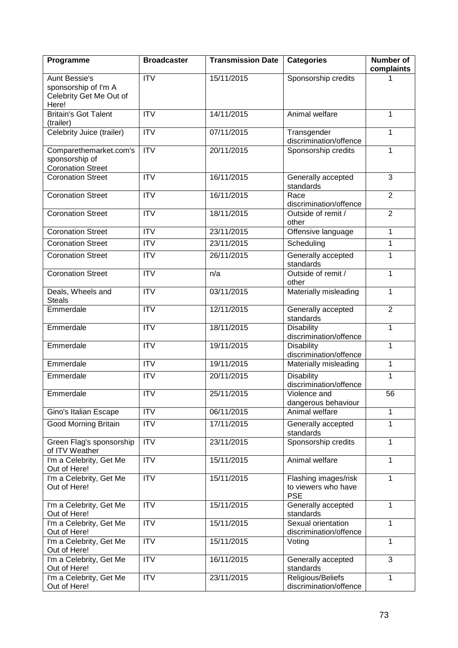| Programme                                                               | <b>Broadcaster</b> | <b>Transmission Date</b> | <b>Categories</b>                                         | <b>Number of</b><br>complaints |
|-------------------------------------------------------------------------|--------------------|--------------------------|-----------------------------------------------------------|--------------------------------|
| <b>Aunt Bessie's</b><br>sponsorship of I'm A<br>Celebrity Get Me Out of | <b>ITV</b>         | 15/11/2015               | Sponsorship credits                                       |                                |
| Here!                                                                   |                    |                          |                                                           |                                |
| <b>Britain's Got Talent</b><br>(trailer)                                | <b>ITV</b>         | 14/11/2015               | Animal welfare                                            | 1                              |
| Celebrity Juice (trailer)                                               | ITV                | 07/11/2015               | Transgender<br>discrimination/offence                     | 1                              |
| Comparethemarket.com's<br>sponsorship of<br><b>Coronation Street</b>    | $\overline{IV}$    | 20/11/2015               | Sponsorship credits                                       | 1                              |
| <b>Coronation Street</b>                                                | <b>ITV</b>         | 16/11/2015               | Generally accepted<br>standards                           | 3                              |
| <b>Coronation Street</b>                                                | $\overline{IV}$    | 16/11/2015               | Race<br>discrimination/offence                            | $\overline{2}$                 |
| <b>Coronation Street</b>                                                | $\overline{IV}$    | 18/11/2015               | Outside of remit /<br>other                               | $\overline{2}$                 |
| <b>Coronation Street</b>                                                | <b>ITV</b>         | 23/11/2015               | Offensive language                                        | $\mathbf{1}$                   |
| <b>Coronation Street</b>                                                | $\overline{IV}$    | 23/11/2015               | Scheduling                                                | 1                              |
| <b>Coronation Street</b>                                                | <b>ITV</b>         | 26/11/2015               | Generally accepted<br>standards                           | 1                              |
| <b>Coronation Street</b>                                                | $\overline{ITV}$   | n/a                      | Outside of remit /<br>other                               | $\mathbf{1}$                   |
| Deals, Wheels and<br><b>Steals</b>                                      | <b>ITV</b>         | 03/11/2015               | Materially misleading                                     | $\mathbf{1}$                   |
| Emmerdale                                                               | <b>ITV</b>         | 12/11/2015               | Generally accepted<br>standards                           | $\overline{2}$                 |
| Emmerdale                                                               | $\overline{ITV}$   | 18/11/2015               | <b>Disability</b><br>discrimination/offence               | $\mathbf{1}$                   |
| Emmerdale                                                               | <b>ITV</b>         | 19/11/2015               | <b>Disability</b><br>discrimination/offence               | 1                              |
| Emmerdale                                                               | <b>ITV</b>         | 19/11/2015               | Materially misleading<br>1                                |                                |
| Emmerdale                                                               | <b>ITV</b>         | 20/11/2015               | <b>Disability</b><br>discrimination/offence               | $\mathbf{1}$                   |
| Emmerdale                                                               | <b>ITV</b>         | 25/11/2015               | Violence and<br>dangerous behaviour                       | 56                             |
| Gino's Italian Escape                                                   | <b>ITV</b>         | 06/11/2015               | Animal welfare                                            | 1                              |
| <b>Good Morning Britain</b>                                             | <b>ITV</b>         | 17/11/2015               | Generally accepted<br>standards                           | 1                              |
| Green Flag's sponsorship<br>of ITV Weather                              | $\overline{ITV}$   | 23/11/2015               | Sponsorship credits                                       | $\mathbf{1}$                   |
| I'm a Celebrity, Get Me<br>Out of Here!                                 | <b>ITV</b>         | 15/11/2015               | Animal welfare                                            | 1                              |
| I'm a Celebrity, Get Me<br>Out of Here!                                 | ITV                | 15/11/2015               | Flashing images/risk<br>to viewers who have<br><b>PSE</b> | $\mathbf{1}$                   |
| I'm a Celebrity, Get Me<br>Out of Here!                                 | <b>ITV</b>         | 15/11/2015               | Generally accepted<br>standards                           | $\mathbf{1}$                   |
| I'm a Celebrity, Get Me<br>Out of Here!                                 | <b>ITV</b>         | 15/11/2015               | Sexual orientation<br>discrimination/offence              | $\mathbf{1}$                   |
| I'm a Celebrity, Get Me<br>Out of Here!                                 | <b>ITV</b>         | 15/11/2015               | Voting                                                    | $\mathbf{1}$                   |
| I'm a Celebrity, Get Me<br>Out of Here!                                 | <b>ITV</b>         | 16/11/2015               | Generally accepted<br>standards                           | 3                              |
| I'm a Celebrity, Get Me<br>Out of Here!                                 | <b>ITV</b>         | 23/11/2015               | Religious/Beliefs<br>discrimination/offence               | $\mathbf{1}$                   |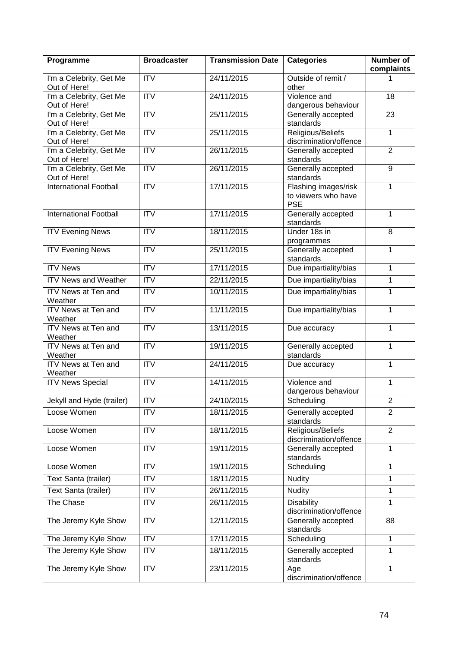| Programme                               | <b>Broadcaster</b>     | <b>Transmission Date</b> | <b>Categories</b>                                         | <b>Number of</b><br>complaints |  |
|-----------------------------------------|------------------------|--------------------------|-----------------------------------------------------------|--------------------------------|--|
| I'm a Celebrity, Get Me<br>Out of Here! | <b>ITV</b>             | 24/11/2015               | Outside of remit /<br>other                               |                                |  |
| I'm a Celebrity, Get Me<br>Out of Here! | $\overline{ITV}$       | 24/11/2015               | Violence and<br>dangerous behaviour                       | 18                             |  |
| I'm a Celebrity, Get Me<br>Out of Here! | ITV                    | 25/11/2015               | $\overline{23}$<br>Generally accepted<br>standards        |                                |  |
| I'm a Celebrity, Get Me<br>Out of Here! | $\overline{ITV}$       | 25/11/2015               | Religious/Beliefs<br>discrimination/offence               | $\mathbf{1}$                   |  |
| I'm a Celebrity, Get Me<br>Out of Here! | ITV                    | 26/11/2015               | Generally accepted<br>standards                           | $\overline{2}$                 |  |
| I'm a Celebrity, Get Me<br>Out of Here! | ITV                    | 26/11/2015               | Generally accepted<br>standards                           | $\overline{9}$                 |  |
| <b>International Football</b>           | $\overline{\text{IV}}$ | 17/11/2015               | Flashing images/risk<br>to viewers who have<br><b>PSE</b> | 1                              |  |
| <b>International Football</b>           | <b>ITV</b>             | 17/11/2015               | Generally accepted<br>standards                           | $\mathbf{1}$                   |  |
| <b>ITV Evening News</b>                 | $\overline{IV}$        | 18/11/2015               | Under 18s in<br>programmes                                | 8                              |  |
| <b>ITV Evening News</b>                 | <b>ITV</b>             | 25/11/2015               | Generally accepted<br>standards                           | $\mathbf{1}$                   |  |
| <b>ITV News</b>                         | $\overline{IV}$        | 17/11/2015               | Due impartiality/bias                                     | $\mathbf{1}$                   |  |
| <b>ITV News and Weather</b>             | $\overline{ITV}$       | 22/11/2015               | Due impartiality/bias<br>$\mathbf{1}$                     |                                |  |
| ITV News at Ten and<br>Weather          | $\overline{IV}$        | 10/11/2015               | Due impartiality/bias                                     | $\mathbf{1}$                   |  |
| <b>ITV News at Ten and</b><br>Weather   | ITV                    | 11/11/2015               | Due impartiality/bias                                     | $\mathbf{1}$                   |  |
| ITV News at Ten and<br>Weather          | <b>ITV</b>             | 13/11/2015               | Due accuracy                                              | $\mathbf{1}$                   |  |
| <b>ITV News at Ten and</b><br>Weather   | <b>ITV</b>             | 19/11/2015               | Generally accepted<br>standards                           | $\mathbf{1}$                   |  |
| ITV News at Ten and<br>Weather          | <b>ITV</b>             | 24/11/2015               | Due accuracy                                              | $\mathbf{1}$                   |  |
| <b>ITV News Special</b>                 | $\overline{IV}$        | 14/11/2015               | Violence and<br>dangerous behaviour                       | $\mathbf{1}$                   |  |
| Jekyll and Hyde (trailer)               | ITV                    | 24/10/2015               | Scheduling                                                | $\overline{2}$                 |  |
| Loose Women                             | <b>ITV</b>             | 18/11/2015               | Generally accepted<br>standards                           | $\overline{2}$                 |  |
| Loose Women                             | $\overline{IV}$        | 18/11/2015               | Religious/Beliefs<br>discrimination/offence               | $\overline{2}$                 |  |
| Loose Women                             | <b>ITV</b>             | 19/11/2015               | Generally accepted<br>standards                           | $\mathbf{1}$                   |  |
| Loose Women                             | <b>ITV</b>             | 19/11/2015               | Scheduling                                                | 1                              |  |
| Text Santa (trailer)                    | $\overline{IV}$        | 18/11/2015               | <b>Nudity</b>                                             | 1                              |  |
| Text Santa (trailer)                    | <b>ITV</b>             | 26/11/2015               | <b>Nudity</b>                                             | $\mathbf{1}$                   |  |
| The Chase                               | <b>ITV</b>             | 26/11/2015               | <b>Disability</b><br>discrimination/offence               | $\mathbf{1}$                   |  |
| The Jeremy Kyle Show                    | <b>ITV</b>             | 12/11/2015               | Generally accepted<br>standards                           | 88                             |  |
| The Jeremy Kyle Show                    | $\overline{IV}$        | 17/11/2015               | Scheduling                                                | $\mathbf{1}$                   |  |
| The Jeremy Kyle Show                    | <b>ITV</b>             | 18/11/2015               | Generally accepted<br>standards                           | $\mathbf{1}$                   |  |
| The Jeremy Kyle Show                    | $\overline{IV}$        | 23/11/2015               | Age<br>discrimination/offence                             | $\mathbf{1}$                   |  |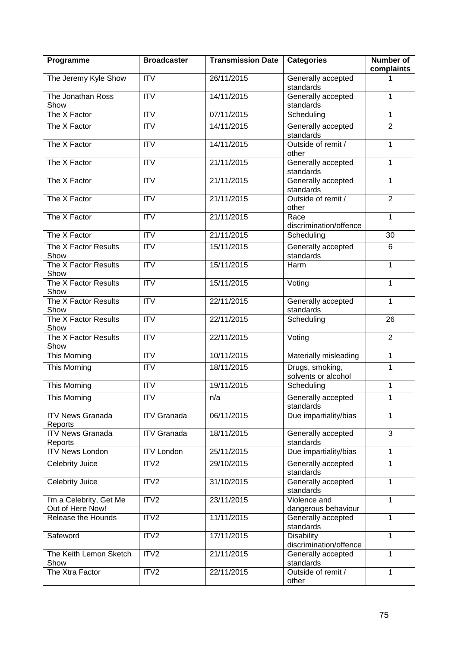| Programme                                   | <b>Broadcaster</b>     | <b>Transmission Date</b> | <b>Categories</b>                               | <b>Number of</b><br>complaints |  |
|---------------------------------------------|------------------------|--------------------------|-------------------------------------------------|--------------------------------|--|
| The Jeremy Kyle Show                        | <b>ITV</b>             | 26/11/2015               | Generally accepted<br>standards                 | 1                              |  |
| The Jonathan Ross<br>Show                   | <b>ITV</b>             | 14/11/2015               | Generally accepted<br>standards                 | 1                              |  |
| The X Factor                                | $\overline{IV}$        | 07/11/2015               | Scheduling                                      | 1                              |  |
| The X Factor                                | <b>ITV</b>             | 14/11/2015               | Generally accepted<br>standards                 | $\overline{2}$                 |  |
| The X Factor                                | $\overline{IV}$        | 14/11/2015               | Outside of remit /<br>other                     | 1                              |  |
| The X Factor                                | <b>ITV</b>             | 21/11/2015               | Generally accepted<br>standards                 | 1                              |  |
| The X Factor                                | <b>ITV</b>             | 21/11/2015               | Generally accepted<br>standards                 | $\mathbf{1}$                   |  |
| The X Factor                                | <b>ITV</b>             | 21/11/2015               | Outside of remit /<br>other                     | $\overline{2}$                 |  |
| The X Factor                                | $\overline{IV}$        | 21/11/2015               | Race<br>discrimination/offence                  | $\mathbf{1}$                   |  |
| The X Factor                                | <b>ITV</b>             | 21/11/2015               | Scheduling                                      | 30                             |  |
| The X Factor Results<br>Show                | ITV                    | 15/11/2015               | Generally accepted<br>standards                 | 6                              |  |
| The X Factor Results<br>Show                | $\overline{\text{IV}}$ | 15/11/2015               | Harm                                            | 1                              |  |
| The X Factor Results<br>Show                | $\overline{IV}$        | 15/11/2015               | Voting                                          | 1                              |  |
| The X Factor Results<br>Show                | ITV                    | 22/11/2015               | Generally accepted<br>$\mathbf{1}$<br>standards |                                |  |
| The X Factor Results<br>Show                | $\overline{\text{IV}}$ | 22/11/2015               | Scheduling<br>26                                |                                |  |
| The X Factor Results<br>Show                | <b>ITV</b>             | 22/11/2015               | $\overline{2}$<br>Voting                        |                                |  |
| This Morning                                | $\overline{IV}$        | 10/11/2015               | Materially misleading                           | $\mathbf{1}$                   |  |
| This Morning                                | <b>ITV</b>             | 18/11/2015               | Drugs, smoking,<br>1<br>solvents or alcohol     |                                |  |
| This Morning                                | $\overline{IV}$        | 19/11/2015               | Scheduling                                      | $\mathbf{1}$                   |  |
| This Morning                                | <b>ITV</b>             | n/a                      | Generally accepted<br>standards                 | 1                              |  |
| <b>ITV News Granada</b><br>Reports          | <b>ITV Granada</b>     | 06/11/2015               | Due impartiality/bias                           | $\mathbf{1}$                   |  |
| <b>ITV News Granada</b><br>Reports          | <b>ITV Granada</b>     | 18/11/2015               | Generally accepted<br>standards                 | 3                              |  |
| <b>ITV News London</b>                      | <b>ITV London</b>      | 25/11/2015               | Due impartiality/bias                           | $\mathbf{1}$                   |  |
| Celebrity Juice                             | ITV2                   | 29/10/2015               | Generally accepted<br>standards                 | 1                              |  |
| Celebrity Juice                             | ITV <sub>2</sub>       | 31/10/2015               | Generally accepted<br>standards                 | 1                              |  |
| I'm a Celebrity, Get Me<br>Out of Here Now! | ITV2                   | 23/11/2015               | Violence and<br>dangerous behaviour             | $\mathbf{1}$                   |  |
| Release the Hounds                          | ITV <sub>2</sub>       | 11/11/2015               | Generally accepted<br>standards                 | 1                              |  |
| Safeword                                    | ITV2                   | 17/11/2015               | <b>Disability</b><br>discrimination/offence     | $\mathbf{1}$                   |  |
| The Keith Lemon Sketch<br>Show              | ITV2                   | 21/11/2015               | Generally accepted<br>standards                 | $\mathbf{1}$                   |  |
| The Xtra Factor                             | ITV2                   | 22/11/2015               | Outside of remit /<br>other                     | 1                              |  |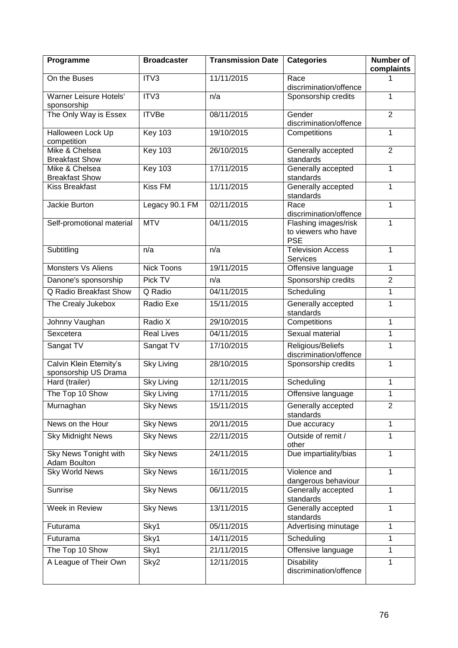| Programme                                       | <b>Broadcaster</b> | <b>Transmission Date</b> | <b>Categories</b>                                         | <b>Number of</b><br>complaints |  |
|-------------------------------------------------|--------------------|--------------------------|-----------------------------------------------------------|--------------------------------|--|
| On the Buses                                    | ITV3               | 11/11/2015               | Race<br>discrimination/offence                            |                                |  |
| <b>Warner Leisure Hotels'</b><br>sponsorship    | ITV3               | n/a                      | Sponsorship credits                                       | 1                              |  |
| The Only Way is Essex                           | <b>ITVBe</b>       | 08/11/2015               | $\overline{2}$<br>Gender<br>discrimination/offence        |                                |  |
| Halloween Lock Up<br>competition                | <b>Key 103</b>     | 19/10/2015               | Competitions                                              | 1                              |  |
| Mike & Chelsea<br><b>Breakfast Show</b>         | <b>Key 103</b>     | 26/10/2015               | Generally accepted<br>standards                           | $\overline{2}$                 |  |
| Mike & Chelsea<br><b>Breakfast Show</b>         | <b>Key 103</b>     | 17/11/2015               | Generally accepted<br>standards                           | $\mathbf{1}$                   |  |
| <b>Kiss Breakfast</b>                           | <b>Kiss FM</b>     | 11/11/2015               | Generally accepted<br>standards                           | 1                              |  |
| Jackie Burton                                   | Legacy 90.1 FM     | 02/11/2015               | Race<br>discrimination/offence                            | 1                              |  |
| Self-promotional material                       | <b>MTV</b>         | 04/11/2015               | Flashing images/risk<br>to viewers who have<br><b>PSE</b> | 1                              |  |
| Subtitling                                      | n/a                | n/a                      | <b>Television Access</b><br><b>Services</b>               | $\mathbf{1}$                   |  |
| <b>Monsters Vs Aliens</b>                       | <b>Nick Toons</b>  | 19/11/2015               | Offensive language                                        | $\mathbf{1}$                   |  |
| Danone's sponsorship                            | Pick TV            | n/a                      | Sponsorship credits<br>$\overline{2}$                     |                                |  |
| Q Radio Breakfast Show                          | Q Radio            | 04/11/2015               | Scheduling<br>1                                           |                                |  |
| The Crealy Jukebox                              | Radio Exe          | 15/11/2015               | Generally accepted<br>$\mathbf{1}$<br>standards           |                                |  |
| Johnny Vaughan                                  | Radio X            | 29/10/2015               | Competitions                                              | $\mathbf{1}$                   |  |
| Sexcetera                                       | <b>Real Lives</b>  | 04/11/2015               | Sexual material<br>$\mathbf{1}$                           |                                |  |
| Sangat TV                                       | Sangat TV          | 17/10/2015               | Religious/Beliefs<br>1<br>discrimination/offence          |                                |  |
| Calvin Klein Eternity's<br>sponsorship US Drama | <b>Sky Living</b>  | 28/10/2015               | Sponsorship credits                                       | $\mathbf{1}$                   |  |
| Hard (trailer)                                  | <b>Sky Living</b>  | 12/11/2015               | Scheduling<br>1                                           |                                |  |
| The Top 10 Show                                 | <b>Sky Living</b>  | 17/11/2015               | Offensive language                                        | $\mathbf{1}$                   |  |
| Murnaghan                                       | <b>Sky News</b>    | 15/11/2015               | Generally accepted<br>standards                           | $\overline{2}$                 |  |
| News on the Hour                                | <b>Sky News</b>    | 20/11/2015               | Due accuracy                                              | $\mathbf{1}$                   |  |
| <b>Sky Midnight News</b>                        | <b>Sky News</b>    | 22/11/2015               | Outside of remit /<br>other                               | $\mathbf{1}$                   |  |
| Sky News Tonight with<br>Adam Boulton           | <b>Sky News</b>    | 24/11/2015               | Due impartiality/bias                                     | $\mathbf{1}$                   |  |
| <b>Sky World News</b>                           | <b>Sky News</b>    | 16/11/2015               | Violence and<br>dangerous behaviour                       | 1                              |  |
| Sunrise                                         | <b>Sky News</b>    | 06/11/2015               | Generally accepted<br>1<br>standards                      |                                |  |
| Week in Review                                  | <b>Sky News</b>    | 13/11/2015               | Generally accepted<br>standards                           | 1                              |  |
| Futurama                                        | Sky1               | 05/11/2015               | Advertising minutage                                      | $\mathbf{1}$                   |  |
| Futurama                                        | Sky1               | 14/11/2015               | Scheduling                                                | 1                              |  |
| The Top 10 Show                                 | Sky1               | 21/11/2015               | Offensive language                                        | $\mathbf{1}$                   |  |
| A League of Their Own                           | Sky2               | 12/11/2015               | <b>Disability</b><br>discrimination/offence               | 1                              |  |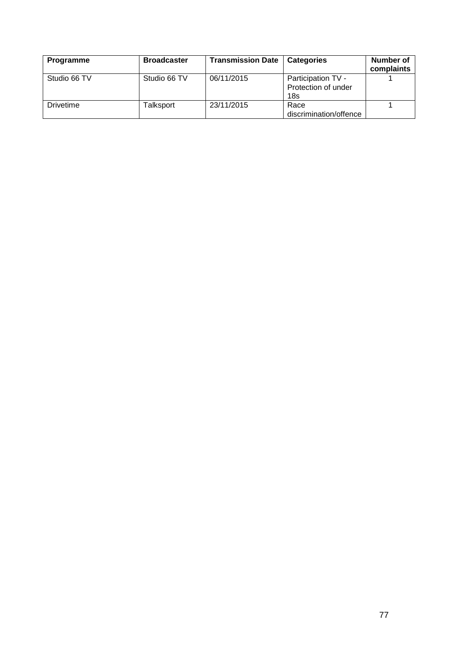| Programme        | <b>Broadcaster</b> | <b>Transmission Date</b> | <b>Categories</b>                                            | Number of<br>complaints |
|------------------|--------------------|--------------------------|--------------------------------------------------------------|-------------------------|
| Studio 66 TV     | Studio 66 TV       | 06/11/2015               | Participation TV -<br>Protection of under<br>18 <sub>s</sub> |                         |
| <b>Drivetime</b> | Talksport          | 23/11/2015               | Race<br>discrimination/offence                               |                         |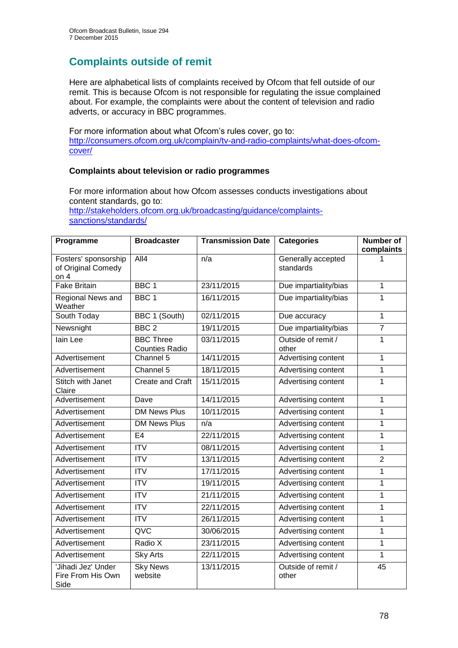# **Complaints outside of remit**

Here are alphabetical lists of complaints received by Ofcom that fell outside of our remit. This is because Ofcom is not responsible for regulating the issue complained about. For example, the complaints were about the content of television and radio adverts, or accuracy in BBC programmes.

For more information about what Ofcom's rules cover, go to: [http://consumers.ofcom.org.uk/complain/tv-and-radio-complaints/what-does-ofcom](http://consumers.ofcom.org.uk/complain/tv-and-radio-complaints/what-does-ofcom-cover/)[cover/](http://consumers.ofcom.org.uk/complain/tv-and-radio-complaints/what-does-ofcom-cover/)

## **Complaints about television or radio programmes**

For more information about how Ofcom assesses conducts investigations about content standards, go to: [http://stakeholders.ofcom.org.uk/broadcasting/guidance/complaints](http://stakeholders.ofcom.org.uk/broadcasting/guidance/complaints-sanctions/standards/)[sanctions/standards/](http://stakeholders.ofcom.org.uk/broadcasting/guidance/complaints-sanctions/standards/)

| Programme                                            | <b>Broadcaster</b>                        | <b>Transmission Date</b> | <b>Categories</b>               | <b>Number of</b><br>complaints |
|------------------------------------------------------|-------------------------------------------|--------------------------|---------------------------------|--------------------------------|
| Fosters' sponsorship<br>of Original Comedy<br>on $4$ | AII4                                      | n/a                      | Generally accepted<br>standards |                                |
| <b>Fake Britain</b>                                  | BBC <sub>1</sub>                          | 23/11/2015               | Due impartiality/bias           | 1                              |
| Regional News and<br>Weather                         | BBC <sub>1</sub>                          | 16/11/2015               | Due impartiality/bias           | 1                              |
| South Today                                          | BBC 1 (South)                             | 02/11/2015               | Due accuracy                    | $\mathbf{1}$                   |
| Newsnight                                            | BBC <sub>2</sub>                          | 19/11/2015               | Due impartiality/bias           | $\overline{7}$                 |
| lain Lee                                             | <b>BBC Three</b><br><b>Counties Radio</b> | 03/11/2015               | Outside of remit /<br>other     | $\mathbf{1}$                   |
| Advertisement                                        | Channel 5                                 | 14/11/2015               | Advertising content             | $\mathbf{1}$                   |
| Advertisement                                        | Channel 5                                 | 18/11/2015               | Advertising content             | 1                              |
| <b>Stitch with Janet</b><br>Claire                   | Create and Craft                          | 15/11/2015               | Advertising content             | 1                              |
| Advertisement                                        | Dave                                      | 14/11/2015               | Advertising content             | $\mathbf{1}$                   |
| Advertisement                                        | <b>DM News Plus</b>                       | 10/11/2015               | Advertising content             | 1                              |
| Advertisement                                        | <b>DM News Plus</b>                       | n/a                      | Advertising content             | $\mathbf{1}$                   |
| Advertisement                                        | E <sub>4</sub>                            | 22/11/2015               | Advertising content             | $\mathbf 1$                    |
| Advertisement                                        | $\overline{\text{IV}}$                    | 08/11/2015               | Advertising content             | $\mathbf{1}$                   |
| Advertisement                                        | <b>ITV</b>                                | 13/11/2015               | Advertising content             | $\overline{2}$                 |
| Advertisement                                        | $\overline{\text{ITV}}$                   | 17/11/2015               | Advertising content             | $\mathbf{1}$                   |
| Advertisement                                        | $\overline{IV}$                           | 19/11/2015               | Advertising content             | 1                              |
| Advertisement                                        | <b>ITV</b>                                | 21/11/2015               | Advertising content             | 1                              |
| Advertisement                                        | $\overline{IV}$                           | 22/11/2015               | Advertising content             | 1                              |
| Advertisement                                        | $\overline{IV}$                           | 26/11/2015               | Advertising content             | $\mathbf 1$                    |
| Advertisement                                        | QVC                                       | 30/06/2015               | Advertising content             | 1                              |
| Advertisement                                        | Radio X                                   | 23/11/2015               | Advertising content             | 1                              |
| Advertisement                                        | <b>Sky Arts</b>                           | 22/11/2015               | Advertising content             | $\mathbf{1}$                   |
| 'Jihadi Jez' Under<br>Fire From His Own<br>Side      | <b>Sky News</b><br>website                | 13/11/2015               | Outside of remit /<br>other     | $\overline{45}$                |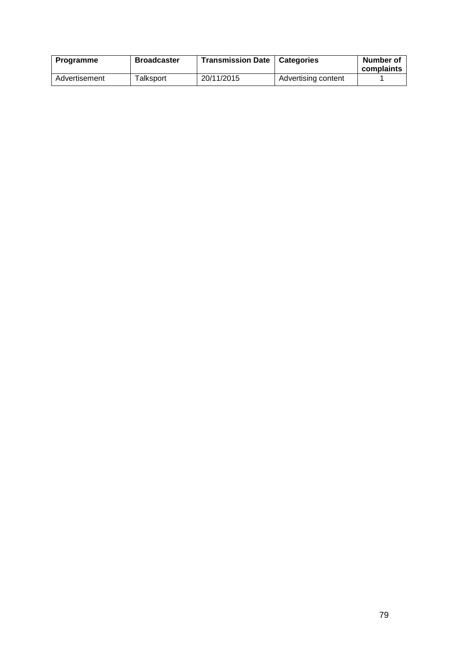| Programme     | <b>Broadcaster</b> | <b>Transmission Date</b> | Categories          | Number of<br>complaints |
|---------------|--------------------|--------------------------|---------------------|-------------------------|
| Advertisement | Talksport          | 20/11/2015               | Advertising content |                         |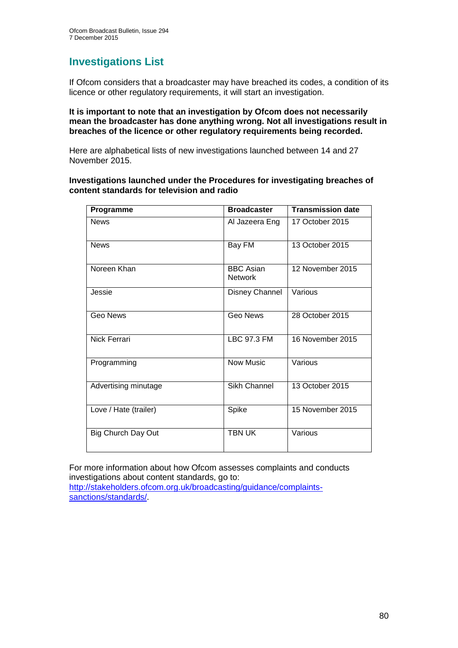# **Investigations List**

If Ofcom considers that a broadcaster may have breached its codes, a condition of its licence or other regulatory requirements, it will start an investigation.

#### **It is important to note that an investigation by Ofcom does not necessarily mean the broadcaster has done anything wrong. Not all investigations result in breaches of the licence or other regulatory requirements being recorded.**

Here are alphabetical lists of new investigations launched between 14 and 27 November 2015.

### **Investigations launched under the Procedures for investigating breaches of content standards for television and radio**

| Programme                 | <b>Broadcaster</b>                 | <b>Transmission date</b> |
|---------------------------|------------------------------------|--------------------------|
| <b>News</b>               | Al Jazeera Eng                     | 17 October 2015          |
| <b>News</b>               | Bay FM                             | 13 October 2015          |
| Noreen Khan               | <b>BBC Asian</b><br><b>Network</b> | 12 November 2015         |
| Jessie                    | Disney Channel                     | Various                  |
| <b>Geo News</b>           | <b>Geo News</b>                    | 28 October 2015          |
| Nick Ferrari              | <b>LBC 97.3 FM</b>                 | 16 November 2015         |
| Programming               | Now Music                          | Various                  |
| Advertising minutage      | <b>Sikh Channel</b>                | 13 October 2015          |
| Love / Hate (trailer)     | Spike                              | 15 November 2015         |
| <b>Big Church Day Out</b> | <b>TBN UK</b>                      | Various                  |

For more information about how Ofcom assesses complaints and conducts investigations about content standards, go to: [http://stakeholders.ofcom.org.uk/broadcasting/guidance/complaints](http://stakeholders.ofcom.org.uk/broadcasting/guidance/complaints-sanctions/standards/)[sanctions/standards/.](http://stakeholders.ofcom.org.uk/broadcasting/guidance/complaints-sanctions/standards/)